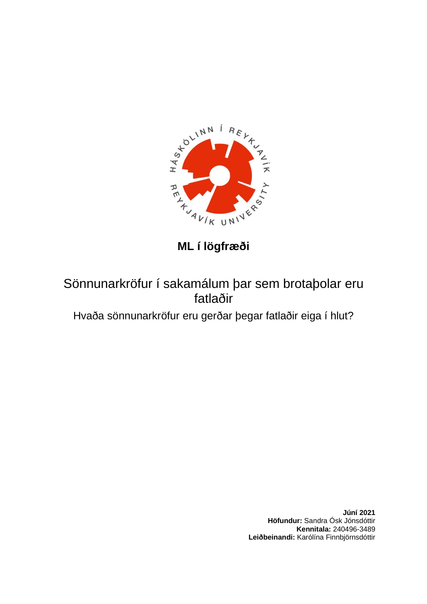

**ML í lögfræði**

# Sönnunarkröfur í sakamálum þar sem brotaþolar eru fatlaðir

Hvaða sönnunarkröfur eru gerðar þegar fatlaðir eiga í hlut?

**Júní 2021 Höfundur:** Sandra Ósk Jónsdóttir **Kennitala:** 240496-3489 **Leiðbeinandi:** Karólína Finnbjörnsdóttir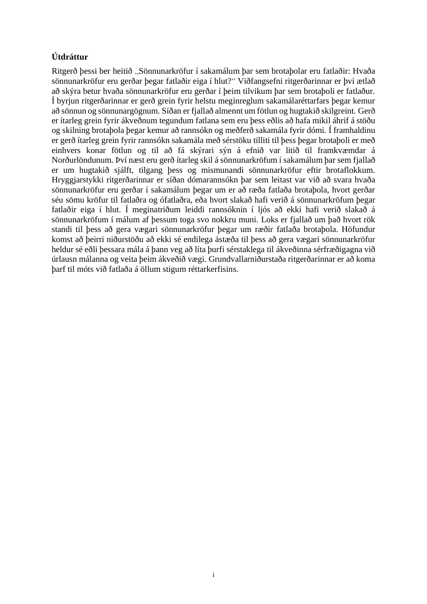# **Útdráttur**

Ritgerð þessi ber heitið "Sönnunarkröfur í sakamálum þar sem brotaþolar eru fatlaðir: Hvaða sönnunarkröfur eru gerðar þegar fatlaðir eiga í hlut?" Viðfangsefni ritgerðarinnar er því ætlað að skýra betur hvaða sönnunarkröfur eru gerðar í þeim tilvikum þar sem brotaþoli er fatlaður. Í byrjun ritgerðarinnar er gerð grein fyrir helstu meginreglum sakamálaréttarfars þegar kemur að sönnun og sönnunargögnum. Síðan er fjallað almennt um fötlun og hugtakið skilgreint. Gerð er ítarleg grein fyrir ákveðnum tegundum fatlana sem eru þess eðlis að hafa mikil áhrif á stöðu og skilning brotaþola þegar kemur að rannsókn og meðferð sakamála fyrir dómi. Í framhaldinu er gerð ítarleg grein fyrir rannsókn sakamála með sérstöku tilliti til þess þegar brotaþoli er með einhvers konar fötlun og til að fá skýrari sýn á efnið var litið til framkvæmdar á Norðurlöndunum. Því næst eru gerð ítarleg skil á sönnunarkröfum í sakamálum þar sem fjallað er um hugtakið sjálft, tilgang þess og mismunandi sönnunarkröfur eftir brotaflokkum. Hryggjarstykki ritgerðarinnar er síðan dómarannsókn þar sem leitast var við að svara hvaða sönnunarkröfur eru gerðar í sakamálum þegar um er að ræða fatlaða brotaþola, hvort gerðar séu sömu kröfur til fatlaðra og ófatlaðra, eða hvort slakað hafi verið á sönnunarkröfum þegar fatlaðir eiga í hlut. Í meginatriðum leiddi rannsóknin í ljós að ekki hafi verið slakað á sönnunarkröfum í málum af þessum toga svo nokkru muni. Loks er fjallað um það hvort rök standi til þess að gera vægari sönnunarkröfur þegar um ræðir fatlaða brotaþola. Höfundur komst að þeirri niðurstöðu að ekki sé endilega ástæða til þess að gera vægari sönnunarkröfur heldur sé eðli þessara mála á þann veg að líta þurfi sérstaklega til ákveðinna sérfræðigagna við úrlausn málanna og veita þeim ákveðið vægi. Grundvallarniðurstaða ritgerðarinnar er að koma þarf til móts við fatlaða á öllum stigum réttarkerfisins.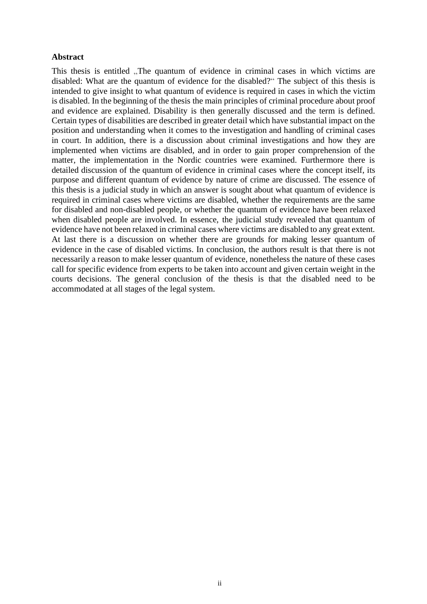#### **Abstract**

This thesis is entitled . The quantum of evidence in criminal cases in which victims are disabled: What are the quantum of evidence for the disabled?" The subject of this thesis is intended to give insight to what quantum of evidence is required in cases in which the victim is disabled. In the beginning of the thesis the main principles of criminal procedure about proof and evidence are explained. Disability is then generally discussed and the term is defined. Certain types of disabilities are described in greater detail which have substantial impact on the position and understanding when it comes to the investigation and handling of criminal cases in court. In addition, there is a discussion about criminal investigations and how they are implemented when victims are disabled, and in order to gain proper comprehension of the matter, the implementation in the Nordic countries were examined. Furthermore there is detailed discussion of the quantum of evidence in criminal cases where the concept itself, its purpose and different quantum of evidence by nature of crime are discussed. The essence of this thesis is a judicial study in which an answer is sought about what quantum of evidence is required in criminal cases where victims are disabled, whether the requirements are the same for disabled and non-disabled people, or whether the quantum of evidence have been relaxed when disabled people are involved. In essence, the judicial study revealed that quantum of evidence have not been relaxed in criminal cases where victims are disabled to any great extent. At last there is a discussion on whether there are grounds for making lesser quantum of evidence in the case of disabled victims. In conclusion, the authors result is that there is not necessarily a reason to make lesser quantum of evidence, nonetheless the nature of these cases call for specific evidence from experts to be taken into account and given certain weight in the courts decisions. The general conclusion of the thesis is that the disabled need to be accommodated at all stages of the legal system.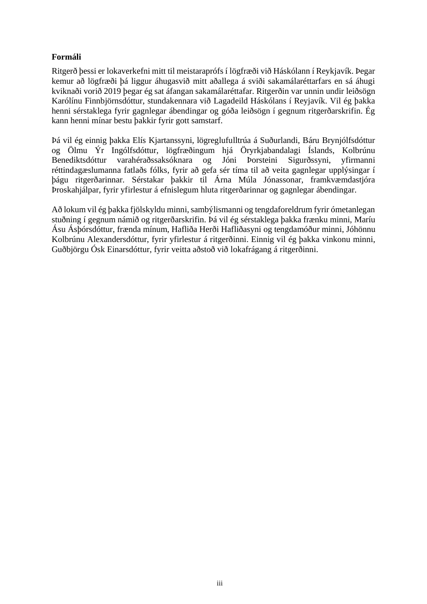## **Formáli**

Ritgerð þessi er lokaverkefni mitt til meistaraprófs í lögfræði við Háskólann í Reykjavík. Þegar kemur að lögfræði þá liggur áhugasvið mitt aðallega á sviði sakamálaréttarfars en sá áhugi kviknaði vorið 2019 þegar ég sat áfangan sakamálaréttafar. Ritgerðin var unnin undir leiðsögn Karólínu Finnbjörnsdóttur, stundakennara við Lagadeild Háskólans í Reyjavík. Vil ég þakka henni sérstaklega fyrir gagnlegar ábendingar og góða leiðsögn í gegnum ritgerðarskrifin. Ég kann henni mínar bestu þakkir fyrir gott samstarf.

Þá vil ég einnig þakka Elís Kjartanssyni, lögreglufulltrúa á Suðurlandi, Báru Brynjólfsdóttur og Ölmu Ýr Ingólfsdóttur, lögfræðingum hjá Öryrkjabandalagi Íslands, Kolbrúnu Benediktsdóttur varahéraðssaksóknara og Jóni Þorsteini Sigurðssyni, yfirmanni réttindagæslumanna fatlaðs fólks, fyrir að gefa sér tíma til að veita gagnlegar upplýsingar í þágu ritgerðarinnar. Sérstakar þakkir til Árna Múla Jónassonar, framkvæmdastjóra Þroskahjálpar, fyrir yfirlestur á efnislegum hluta ritgerðarinnar og gagnlegar ábendingar.

Að lokum vil ég þakka fjölskyldu minni, sambýlismanni og tengdaforeldrum fyrir ómetanlegan stuðning í gegnum námið og ritgerðarskrifin. Þá vil ég sérstaklega þakka frænku minni, Maríu Ásu Ásþórsdóttur, frænda mínum, Hafliða Herði Hafliðasyni og tengdamóður minni, Jóhönnu Kolbrúnu Alexandersdóttur, fyrir yfirlestur á ritgerðinni. Einnig vil ég þakka vinkonu minni, Guðbjörgu Ósk Einarsdóttur, fyrir veitta aðstoð við lokafrágang á ritgerðinni.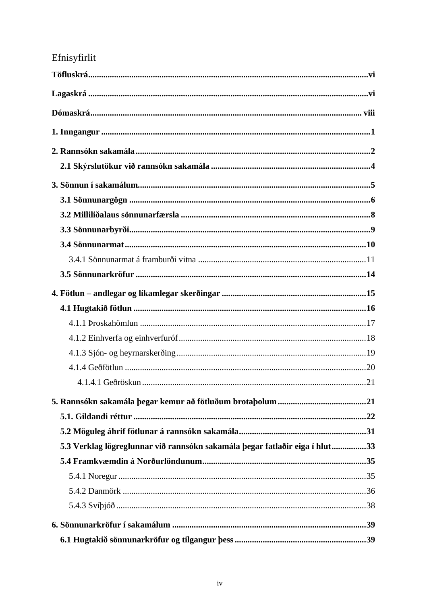# Efnisyfirlit

| 5.3 Verklag lögreglunnar við rannsókn sakamála þegar fatlaðir eiga í hlut33 |  |
|-----------------------------------------------------------------------------|--|
|                                                                             |  |
|                                                                             |  |
|                                                                             |  |
|                                                                             |  |
|                                                                             |  |
|                                                                             |  |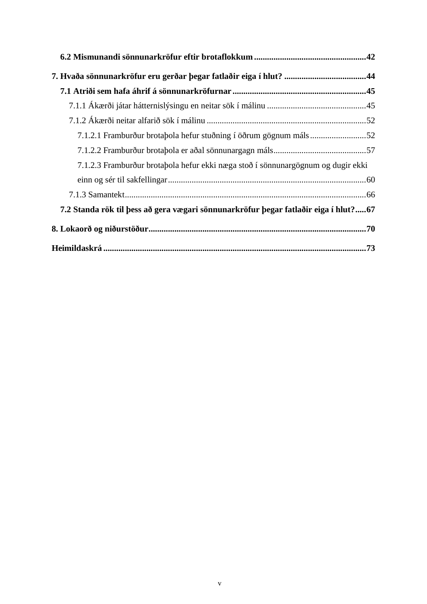| 7.1.2.3 Framburður brotabola hefur ekki næga stoð í sönnunargögnum og dugir ekki    |  |
|-------------------------------------------------------------------------------------|--|
|                                                                                     |  |
|                                                                                     |  |
| 7.2 Standa rök til þess að gera vægari sönnunarkröfur þegar fatlaðir eiga í hlut?67 |  |
|                                                                                     |  |
|                                                                                     |  |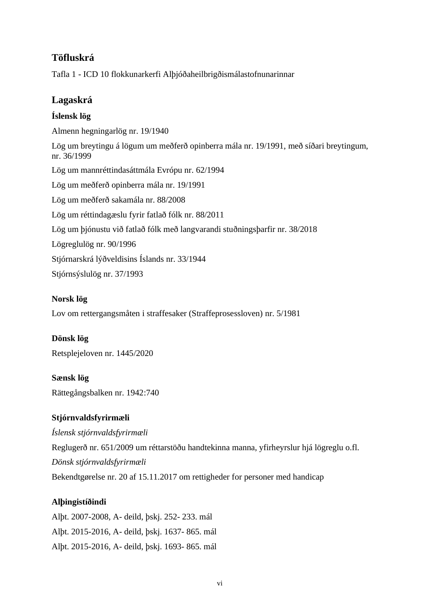# **Töfluskrá**

Tafla 1 - ICD 10 flokkunarkerfi Alþjóðaheilbrigðismálastofnunarinnar

# **Lagaskrá**

# **Íslensk lög**

Almenn hegningarlög nr. 19/1940 Lög um breytingu á lögum um meðferð opinberra mála nr. 19/1991, með síðari breytingum, nr. 36/1999 Lög um mannréttindasáttmála Evrópu nr. 62/1994 Lög um meðferð opinberra mála nr. 19/1991 Lög um meðferð sakamála nr. 88/2008 Lög um réttindagæslu fyrir fatlað fólk nr. 88/2011 Lög um þjónustu við fatlað fólk með langvarandi stuðningsþarfir nr. 38/2018 Lögreglulög nr. 90/1996 Stjórnarskrá lýðveldisins Íslands nr. 33/1944 Stjórnsýslulög nr. 37/1993

# **Norsk lög**

Lov om rettergangsmåten i straffesaker (Straffeprosessloven) nr. 5/1981

## **Dönsk lög**

Retsplejeloven nr. 1445/2020

**Sænsk lög**  Rättegångsbalken nr. 1942:740

# **Stjórnvaldsfyrirmæli**

*Íslensk stjórnvaldsfyrirmæli*

Reglugerð nr. 651/2009 um réttarstöðu handtekinna manna, yfirheyrslur hjá lögreglu o.fl. *Dönsk stjórnvaldsfyrirmæli* Bekendtgørelse nr. 20 af 15.11.2017 om rettigheder for personer med handicap

# **Alþingistíðindi**

Alþt. 2007-2008, A- deild, þskj. 252- 233. mál Alþt. 2015-2016, A- deild, þskj. 1637- 865. mál Alþt. 2015-2016, A- deild, þskj. 1693- 865. mál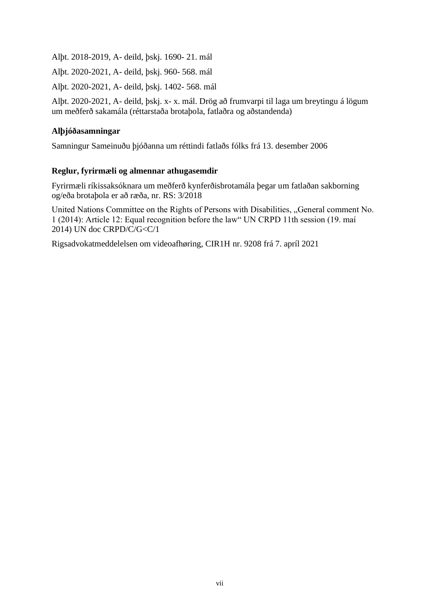Alþt. 2018-2019, A- deild, þskj. 1690- 21. mál

Alþt. 2020-2021, A- deild, þskj. 960- 568. mál

Alþt. 2020-2021, A- deild, þskj. 1402- 568. mál

Alþt. 2020-2021, A- deild, þskj. x- x. mál. Drög að frumvarpi til laga um breytingu á lögum um meðferð sakamála (réttarstaða brotaþola, fatlaðra og aðstandenda)

## **Alþjóðasamningar**

Samningur Sameinuðu þjóðanna um réttindi fatlaðs fólks frá 13. desember 2006

## **Reglur, fyrirmæli og almennar athugasemdir**

Fyrirmæli ríkissaksóknara um meðferð kynferðisbrotamála þegar um fatlaðan sakborning og/eða brotaþola er að ræða, nr. RS: 3/2018

United Nations Committee on the Rights of Persons with Disabilities, "General comment No. 1 (2014): Article 12: Equal recognition before the law" UN CRPD 11th session (19. maí 2014) UN doc CRPD/C/G<C/1

Rigsadvokatmeddelelsen om videoafhøring, CIR1H nr. 9208 frá 7. apríl 2021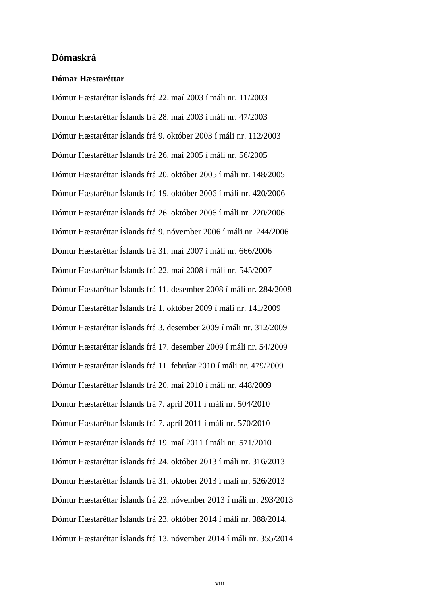## **Dómaskrá**

#### **Dómar Hæstaréttar**

Dómur Hæstaréttar Íslands frá 22. maí 2003 í máli nr. 11/2003 Dómur Hæstaréttar Íslands frá 28. maí 2003 í máli nr. 47/2003 Dómur Hæstaréttar Íslands frá 9. október 2003 í máli nr. 112/2003 Dómur Hæstaréttar Íslands frá 26. maí 2005 í máli nr. 56/2005 Dómur Hæstaréttar Íslands frá 20. október 2005 í máli nr. 148/2005 Dómur Hæstaréttar Íslands frá 19. október 2006 í máli nr. 420/2006 Dómur Hæstaréttar Íslands frá 26. október 2006 í máli nr. 220/2006 Dómur Hæstaréttar Íslands frá 9. nóvember 2006 í máli nr. 244/2006 Dómur Hæstaréttar Íslands frá 31. maí 2007 í máli nr. 666**/**2006 Dómur Hæstaréttar Íslands frá 22. maí 2008 í máli nr. 545/2007 Dómur Hæstaréttar Íslands frá 11. desember 2008 í máli nr. 284/2008 Dómur Hæstaréttar Íslands frá 1. október 2009 í máli nr. 141/2009 Dómur Hæstaréttar Íslands frá 3. desember 2009 í máli nr. 312/2009 Dómur Hæstaréttar Íslands frá 17. desember 2009 í máli nr. 54/2009 Dómur Hæstaréttar Íslands frá 11. febrúar 2010 í máli nr. 479/2009 Dómur Hæstaréttar Íslands frá 20. maí 2010 í máli nr. 448/2009 Dómur Hæstaréttar Íslands frá 7. apríl 2011 í máli nr. 504/2010 Dómur Hæstaréttar Íslands frá 7. apríl 2011 í máli nr. 570/2010 Dómur Hæstaréttar Íslands frá 19. maí 2011 í máli nr. 571/2010 Dómur Hæstaréttar Íslands frá 24. október 2013 í máli nr. 316/2013 Dómur Hæstaréttar Íslands frá 31. október 2013 í máli nr. 526/2013 Dómur Hæstaréttar Íslands frá 23. nóvember 2013 í máli nr. 293/2013 Dómur Hæstaréttar Íslands frá 23. október 2014 í máli nr. 388/2014. Dómur Hæstaréttar Íslands frá 13. nóvember 2014 í máli nr. 355/2014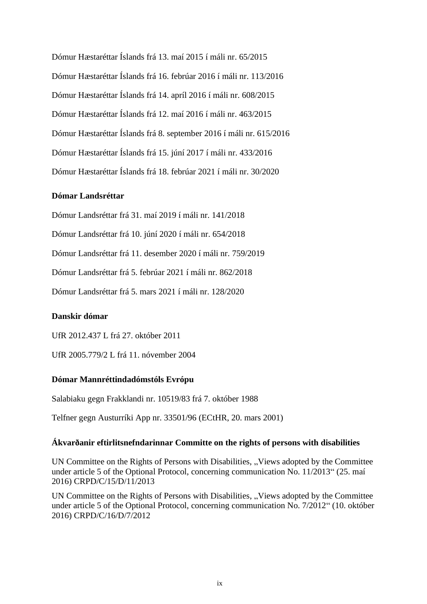Dómur Hæstaréttar Íslands frá 13. maí 2015 í máli nr. 65/2015 Dómur Hæstaréttar Íslands frá 16. febrúar 2016 í máli nr. 113/2016 Dómur Hæstaréttar Íslands frá 14. apríl 2016 í máli nr. 608/2015 Dómur Hæstaréttar Íslands frá 12. maí 2016 í máli nr. 463/2015 Dómur Hæstaréttar Íslands frá 8. september 2016 í máli nr. 615/2016 Dómur Hæstaréttar Íslands frá 15. júní 2017 í máli nr. 433/2016 Dómur Hæstaréttar Íslands frá 18. febrúar 2021 í máli nr. 30/2020

#### **Dómar Landsréttar**

Dómur Landsréttar frá 31. maí 2019 í máli nr. 141/2018

Dómur Landsréttar frá 10. júní 2020 í máli nr. 654/2018

Dómur Landsréttar frá 11. desember 2020 í máli nr. 759/2019

Dómur Landsréttar frá 5. febrúar 2021 í máli nr. 862/2018

Dómur Landsréttar frá 5. mars 2021 í máli nr. 128/2020

#### **Danskir dómar**

UfR 2012.437 L frá 27. október 2011

UfR 2005.779/2 L frá 11. nóvember 2004

#### **Dómar Mannréttindadómstóls Evrópu**

Salabiaku gegn Frakklandi nr. 10519/83 frá 7. október 1988

Telfner gegn Austurríki App nr. 33501/96 (ECtHR, 20. mars 2001)

#### **Ákvarðanir eftirlitsnefndarinnar Committe on the rights of persons with disabilities**

UN Committee on the Rights of Persons with Disabilities, "Views adopted by the Committee under article 5 of the Optional Protocol, concerning communication No. 11/2013" (25. maí 2016) CRPD/C/15/D/11/2013

UN Committee on the Rights of Persons with Disabilities, "Views adopted by the Committee under article 5 of the Optional Protocol, concerning communication No. 7/2012" (10. október 2016) CRPD/C/16/D/7/2012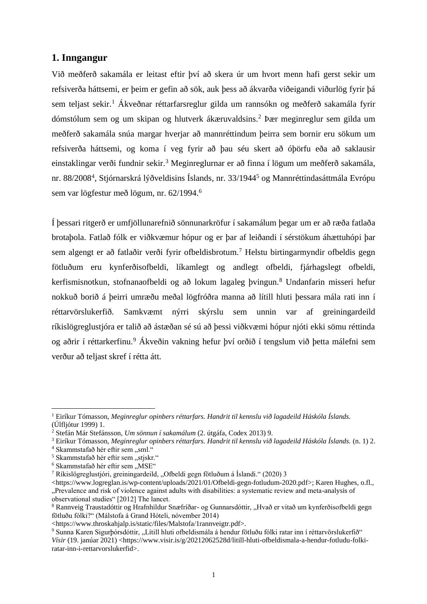## **1. Inngangur**

Við meðferð sakamála er leitast eftir því að skera úr um hvort menn hafi gerst sekir um refsiverða háttsemi, er þeim er gefin að sök, auk þess að ákvarða viðeigandi viðurlög fyrir þá sem teljast sekir.<sup>1</sup> Ákveðnar réttarfarsreglur gilda um rannsókn og meðferð sakamála fyrir dómstólum sem og um skipan og hlutverk ákæruvaldsins.<sup>2</sup> Þær meginreglur sem gilda um meðferð sakamála snúa margar hverjar að mannréttindum þeirra sem bornir eru sökum um refsiverða háttsemi, og koma í veg fyrir að þau séu skert að óþörfu eða að saklausir einstaklingar verði fundnir sekir.<sup>3</sup> Meginreglurnar er að finna í lögum um meðferð sakamála, nr. 88/2008<sup>4</sup>, Stjórnarskrá lýðveldisins Íslands, nr. 33/1944<sup>5</sup> og Mannréttindasáttmála Evrópu sem var lögfestur með lögum, nr. 62/1994.<sup>6</sup>

Í þessari ritgerð er umfjöllunarefnið sönnunarkröfur í sakamálum þegar um er að ræða fatlaða brotaþola. Fatlað fólk er viðkvæmur hópur og er þar af leiðandi í sérstökum áhættuhópi þar sem algengt er að fatlaðir verði fyrir ofbeldisbrotum.<sup>7</sup> Helstu birtingarmyndir ofbeldis gegn fötluðum eru kynferðisofbeldi, líkamlegt og andlegt ofbeldi, fjárhagslegt ofbeldi, kerfismisnotkun, stofnanaofbeldi og að lokum lagaleg þvingun.<sup>8</sup> Undanfarin misseri hefur nokkuð borið á þeirri umræðu meðal lögfróðra manna að lítill hluti þessara mála rati inn í réttarvörslukerfið. Samkvæmt nýrri skýrslu sem unnin var af greiningardeild ríkislögreglustjóra er talið að ástæðan sé sú að þessi viðkvæmi hópur njóti ekki sömu réttinda og aðrir í réttarkerfinu.<sup>9</sup> Ákveðin vakning hefur því orðið í tengslum við þetta málefni sem verður að teljast skref í rétta átt.

<sup>1</sup> Eiríkur Tómasson, *Meginreglur opinbers réttarfars. Handrit til kennslu við lagadeild Háskóla Íslands.* (Úlfljótur 1999) 1.

<sup>2</sup> Stefán Már Stefánsson, *Um sönnun í sakamálum* (2. útgáfa, Codex 2013) 9.

<sup>3</sup> Eiríkur Tómasson, *Meginreglur opinbers réttarfars. Handrit til kennslu við lagadeild Háskóla Íslands.* (n. 1) 2.

 $4$  Skammstafað hér eftir sem "sml."

 $5$  Skammstafað hér eftir sem "stjskr."

 $6$  Skammstafað hér eftir sem "MSE"

 $7$  Ríkislögreglustjóri, greiningardeild, "Ofbeldi gegn fötluðum á Íslandi." (2020) 3

<sup>&</sup>lt;https://www.logreglan.is/wp-content/uploads/2021/01/Ofbeldi-gegn-fotludum-2020.pdf>; Karen Hughes, o.fl., "Prevalence and risk of violence against adults with disabilities: a systematic review and meta-analysis of observational studies" [2012] The lancet.

<sup>&</sup>lt;sup>8</sup> Rannveig Traustadóttir og Hrafnhildur Snæfríðar- og Gunnarsdóttir, "Hvað er vitað um kynferðisofbeldi gegn fötluðu fólki?" (Málstofa á Grand Hóteli, nóvember 2014)

<sup>&</sup>lt;https://www.throskahjalp.is/static/files/Malstofa/1rannveigtr.pdf>.

<sup>9</sup> Sunna Karen Sigurþórsdóttir, "Lítill hluti ofbeldismála á hendur fötluðu fólki ratar inn í réttarvörslukerfið" *Vísir* (19. janúar 2021) <https://www.visir.is/g/20212062528d/litill-hluti-ofbeldismala-a-hendur-fotludu-folkiratar-inn-i-rettarvorslukerfid>.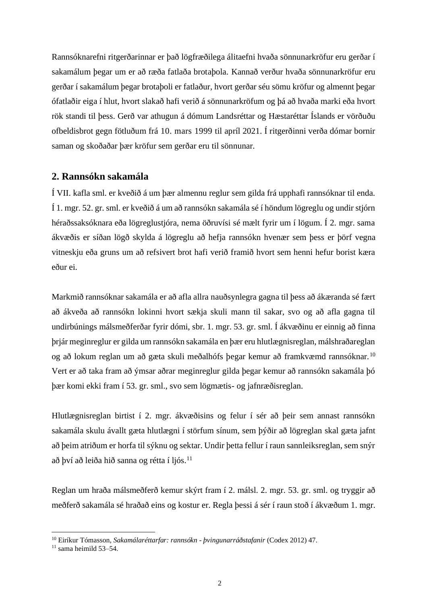Rannsóknarefni ritgerðarinnar er það lögfræðilega álitaefni hvaða sönnunarkröfur eru gerðar í sakamálum þegar um er að ræða fatlaða brotaþola. Kannað verður hvaða sönnunarkröfur eru gerðar í sakamálum þegar brotaþoli er fatlaður, hvort gerðar séu sömu kröfur og almennt þegar ófatlaðir eiga í hlut, hvort slakað hafi verið á sönnunarkröfum og þá að hvaða marki eða hvort rök standi til þess. Gerð var athugun á dómum Landsréttar og Hæstaréttar Íslands er vörðuðu ofbeldisbrot gegn fötluðum frá 10. mars 1999 til apríl 2021. Í ritgerðinni verða dómar bornir saman og skoðaðar þær kröfur sem gerðar eru til sönnunar.

## **2. Rannsókn sakamála**

Í VII. kafla sml. er kveðið á um þær almennu reglur sem gilda frá upphafi rannsóknar til enda. Í 1. mgr. 52. gr. sml. er kveðið á um að rannsókn sakamála sé í höndum lögreglu og undir stjórn héraðssaksóknara eða lögreglustjóra, nema öðruvísi sé mælt fyrir um í lögum. Í 2. mgr. sama ákvæðis er síðan lögð skylda á lögreglu að hefja rannsókn hvenær sem þess er þörf vegna vitneskju eða gruns um að refsivert brot hafi verið framið hvort sem henni hefur borist kæra eður ei.

Markmið rannsóknar sakamála er að afla allra nauðsynlegra gagna til þess að ákæranda sé fært að ákveða að rannsókn lokinni hvort sækja skuli mann til sakar, svo og að afla gagna til undirbúnings málsmeðferðar fyrir dómi, sbr. 1. mgr. 53. gr. sml. Í ákvæðinu er einnig að finna þrjár meginreglur er gilda um rannsókn sakamála en þær eru hlutlægnisreglan, málshraðareglan og að lokum reglan um að gæta skuli meðalhófs þegar kemur að framkvæmd rannsóknar.<sup>10</sup> Vert er að taka fram að ýmsar aðrar meginreglur gilda þegar kemur að rannsókn sakamála þó þær komi ekki fram í 53. gr. sml., svo sem lögmætis- og jafnræðisreglan.

Hlutlægnisreglan birtist í 2. mgr. ákvæðisins og felur í sér að þeir sem annast rannsókn sakamála skulu ávallt gæta hlutlægni í störfum sínum, sem þýðir að lögreglan skal gæta jafnt að þeim atriðum er horfa til sýknu og sektar. Undir þetta fellur í raun sannleiksreglan, sem snýr að því að leiða hið sanna og rétta í ljós.<sup>11</sup>

Reglan um hraða málsmeðferð kemur skýrt fram í 2. málsl. 2. mgr. 53. gr. sml. og tryggir að meðferð sakamála sé hraðað eins og kostur er. Regla þessi á sér í raun stoð í ákvæðum 1. mgr.

<sup>10</sup> Eiríkur Tómasson, *Sakamálaréttarfar: rannsókn - þvingunarráðstafanir* (Codex 2012) 47.

 $11$  sama heimild 53–54.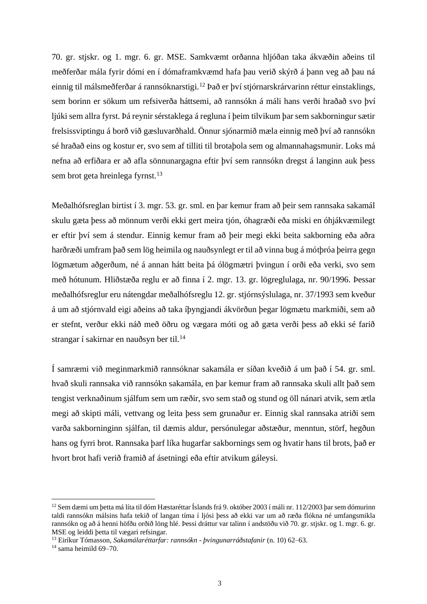70. gr. stjskr. og 1. mgr. 6. gr. MSE. Samkvæmt orðanna hljóðan taka ákvæðin aðeins til meðferðar mála fyrir dómi en í dómaframkvæmd hafa þau verið skýrð á þann veg að þau ná einnig til málsmeðferðar á rannsóknarstigi.<sup>12</sup> Það er því stjórnarskrárvarinn réttur einstaklings, sem borinn er sökum um refsiverða háttsemi, að rannsókn á máli hans verði hraðað svo því ljúki sem allra fyrst. Þá reynir sérstaklega á regluna í þeim tilvikum þar sem sakborningur sætir frelsissviptingu á borð við gæsluvarðhald. Önnur sjónarmið mæla einnig með því að rannsókn sé hraðað eins og kostur er, svo sem af tilliti til brotaþola sem og almannahagsmunir. Loks má nefna að erfiðara er að afla sönnunargagna eftir því sem rannsókn dregst á langinn auk þess sem brot geta hreinlega fyrnst.<sup>13</sup>

Meðalhófsreglan birtist í 3. mgr. 53. gr. sml. en þar kemur fram að þeir sem rannsaka sakamál skulu gæta þess að mönnum verði ekki gert meira tjón, óhagræði eða miski en óhjákvæmilegt er eftir því sem á stendur. Einnig kemur fram að þeir megi ekki beita sakborning eða aðra harðræði umfram það sem lög heimila og nauðsynlegt er til að vinna bug á mótþróa þeirra gegn lögmætum aðgerðum, né á annan hátt beita þá ólögmætri þvingun í orði eða verki, svo sem með hótunum. Hliðstæða reglu er að finna í 2. mgr. 13. gr. lögreglulaga, nr. 90/1996. Þessar meðalhófsreglur eru nátengdar meðalhófsreglu 12. gr. stjórnsýslulaga, nr. 37/1993 sem kveður á um að stjórnvald eigi aðeins að taka íþyngjandi ákvörðun þegar lögmætu markmiði, sem að er stefnt, verður ekki náð með öðru og vægara móti og að gæta verði þess að ekki sé farið strangar í sakirnar en nauðsyn ber til.<sup>14</sup>

Í samræmi við meginmarkmið rannsóknar sakamála er síðan kveðið á um það í 54. gr. sml. hvað skuli rannsaka við rannsókn sakamála, en þar kemur fram að rannsaka skuli allt það sem tengist verknaðinum sjálfum sem um ræðir, svo sem stað og stund og öll nánari atvik, sem ætla megi að skipti máli, vettvang og leita þess sem grunaður er. Einnig skal rannsaka atriði sem varða sakborninginn sjálfan, til dæmis aldur, persónulegar aðstæður, menntun, störf, hegðun hans og fyrri brot. Rannsaka þarf líka hugarfar sakbornings sem og hvatir hans til brots, það er hvort brot hafi verið framið af ásetningi eða eftir atvikum gáleysi.

<sup>&</sup>lt;sup>12</sup> Sem dæmi um þetta má líta til dóm Hæstaréttar Íslands frá 9. október 2003 í máli nr. 112/2003 þar sem dómurinn taldi rannsókn málsins hafa tekið of langan tíma í ljósi þess að ekki var um að ræða flókna né umfangsmikla rannsókn og að á henni höfðu orðið löng hlé. Þessi dráttur var talinn í andstöðu við 70. gr. stjskr. og 1. mgr. 6. gr. MSE og leiddi þetta til vægari refsingar.

<sup>13</sup> Eiríkur Tómasson, *Sakamálaréttarfar: rannsókn - þvingunarráðstafanir* (n. 10) 62–63.

 $14$  sama heimild 69–70.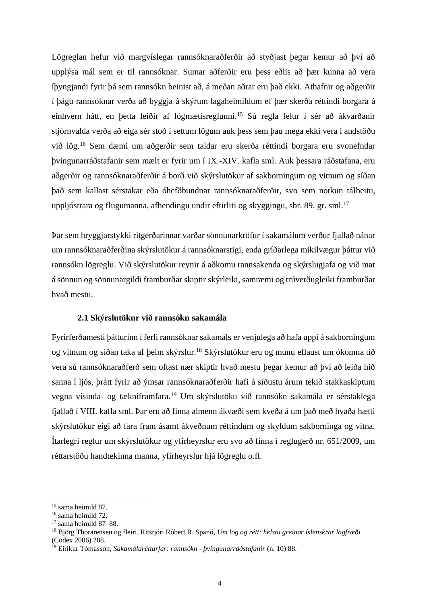Lögreglan hefur við margvíslegar rannsóknaraðferðir að styðjast þegar kemur að því að upplýsa mál sem er til rannsóknar. Sumar aðferðir eru þess eðlis að þær kunna að vera íþyngjandi fyrir þá sem rannsókn beinist að, á meðan aðrar eru það ekki. Athafnir og aðgerðir í þágu rannsóknar verða að byggja á skýrum lagaheimildum ef þær skerða réttindi borgara á einhvern hátt, en þetta leiðir af lögmætisreglunni.<sup>15</sup> Sú regla felur í sér að ákvarðanir stjórnvalda verða að eiga sér stoð í settum lögum auk þess sem þau mega ekki vera í andstöðu við lög.<sup>16</sup> Sem dæmi um aðgerðir sem taldar eru skerða réttindi borgara eru svonefndar þvingunarráðstafanir sem mælt er fyrir um í IX.-XIV. kafla sml. Auk þessara ráðstafana, eru aðgerðir og rannsóknaraðferðir á borð við skýrslutökur af sakborningum og vitnum og síðan það sem kallast sérstakar eða óhefðbundnar rannsóknaraðferðir, svo sem notkun tálbeitu, uppljóstrara og flugumanna, afhendingu undir eftirliti og skyggingu, sbr. 89. gr. sml.<sup>17</sup>

Þar sem hryggjarstykki ritgerðarinnar varðar sönnunarkröfur í sakamálum verður fjallað nánar um rannsóknaraðferðina skýrslutökur á rannsóknarstigi, enda gríðarlega mikilvægur þáttur við rannsókn lögreglu. Við skýrslutökur reynir á aðkomu rannsakenda og skýrslugjafa og við mat á sönnun og sönnunargildi framburðar skiptir skýrleiki, samræmi og trúverðugleiki framburðar hvað mestu.

#### **2.1 Skýrslutökur við rannsókn sakamála**

Fyrirferðamesti þátturinn í ferli rannsóknar sakamáls er venjulega að hafa uppi á sakborningum og vitnum og síðan taka af þeim skýrslur.<sup>18</sup> Skýrslutökur eru og munu eflaust um ókomna tíð vera sú rannsóknaraðferð sem oftast nær skiptir hvað mestu þegar kemur að því að leiða hið sanna í ljós, þrátt fyrir að ýmsar rannsóknaraðferðir hafi á síðustu árum tekið stakkaskiptum vegna vísinda- og tækniframfara.<sup>19</sup> Um skýrslutöku við rannsókn sakamála er sérstaklega fjallað í VIII. kafla sml. Þar eru að finna almenn ákvæði sem kveða á um það með hvaða hætti skýrslutökur eigi að fara fram ásamt ákveðnum réttindum og skyldum sakborninga og vitna. Ítarlegri reglur um skýrslutökur og yfirheyrslur eru svo að finna í reglugerð nr. 651/2009, um réttarstöðu handtekinna manna, yfirheyrslur hjá lögreglu o.fl.

<sup>15</sup> sama heimild 87.

<sup>16</sup> sama heimild 72.

<sup>17</sup> sama heimild 87–88.

<sup>18</sup> Björg Thorarensen og fleiri. Ritstjóri Róbert R. Spanó, *Um lög og rétt: helstu greinar íslenskrar lögfræði* (Codex 2006) 208.

<sup>19</sup> Eiríkur Tómasson, *Sakamálaréttarfar: rannsókn - þvingunarráðstafanir* (n. 10) 88.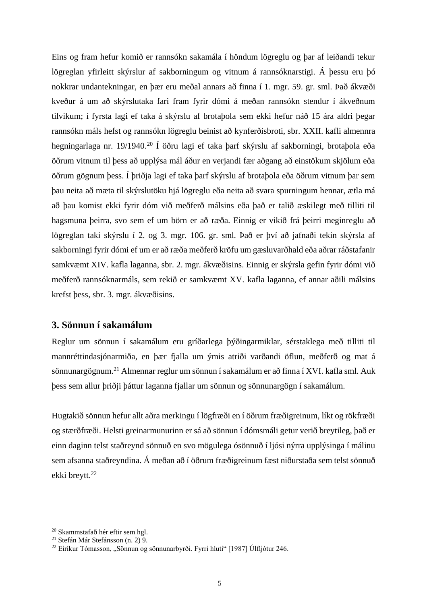Eins og fram hefur komið er rannsókn sakamála í höndum lögreglu og þar af leiðandi tekur lögreglan yfirleitt skýrslur af sakborningum og vitnum á rannsóknarstigi. Á þessu eru þó nokkrar undantekningar, en þær eru meðal annars að finna í 1. mgr. 59. gr. sml. Það ákvæði kveður á um að skýrslutaka fari fram fyrir dómi á meðan rannsókn stendur í ákveðnum tilvikum; í fyrsta lagi ef taka á skýrslu af brotaþola sem ekki hefur náð 15 ára aldri þegar rannsókn máls hefst og rannsókn lögreglu beinist að kynferðisbroti, sbr. XXII. kafli almennra hegningarlaga nr. 19/1940. <sup>20</sup> Í öðru lagi ef taka þarf skýrslu af sakborningi, brotaþola eða öðrum vitnum til þess að upplýsa mál áður en verjandi fær aðgang að einstökum skjölum eða öðrum gögnum þess. Í þriðja lagi ef taka þarf skýrslu af brotaþola eða öðrum vitnum þar sem þau neita að mæta til skýrslutöku hjá lögreglu eða neita að svara spurningum hennar, ætla má að þau komist ekki fyrir dóm við meðferð málsins eða það er talið æskilegt með tilliti til hagsmuna þeirra, svo sem ef um börn er að ræða. Einnig er vikið frá þeirri meginreglu að lögreglan taki skýrslu í 2. og 3. mgr. 106. gr. sml. Það er því að jafnaði tekin skýrsla af sakborningi fyrir dómi ef um er að ræða meðferð kröfu um gæsluvarðhald eða aðrar ráðstafanir samkvæmt XIV. kafla laganna, sbr. 2. mgr. ákvæðisins. Einnig er skýrsla gefin fyrir dómi við meðferð rannsóknarmáls, sem rekið er samkvæmt XV. kafla laganna, ef annar aðili málsins krefst þess, sbr. 3. mgr. ákvæðisins.

## **3. Sönnun í sakamálum**

Reglur um sönnun í sakamálum eru gríðarlega þýðingarmiklar, sérstaklega með tilliti til mannréttindasjónarmiða, en þær fjalla um ýmis atriði varðandi öflun, meðferð og mat á sönnunargögnum.<sup>21</sup> Almennar reglur um sönnun í sakamálum er að finna í XVI. kafla sml. Auk þess sem allur þriðji þáttur laganna fjallar um sönnun og sönnunargögn í sakamálum.

Hugtakið sönnun hefur allt aðra merkingu í lögfræði en í öðrum fræðigreinum, líkt og rökfræði og stærðfræði. Helsti greinarmunurinn er sá að sönnun í dómsmáli getur verið breytileg, það er einn daginn telst staðreynd sönnuð en svo mögulega ósönnuð í ljósi nýrra upplýsinga í málinu sem afsanna staðreyndina. Á meðan að í öðrum fræðigreinum fæst niðurstaða sem telst sönnuð ekki breytt. 22

<sup>20</sup> Skammstafað hér eftir sem hgl.

<sup>21</sup> Stefán Már Stefánsson (n. 2) 9.

 $^{22}$  Eiríkur Tómasson, "Sönnun og sönnunarbyrði. Fyrri hluti" [1987] Úlfljótur 246.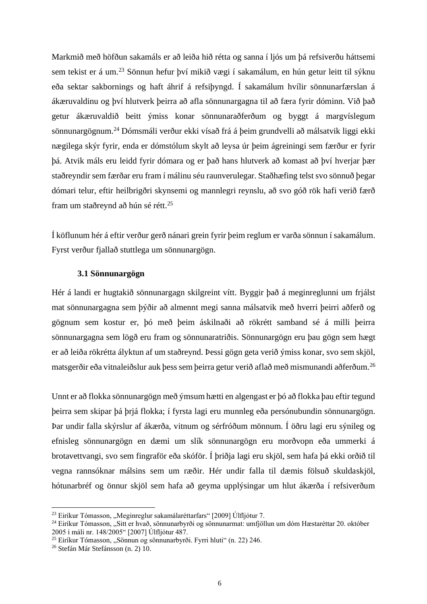Markmið með höfðun sakamáls er að leiða hið rétta og sanna í ljós um þá refsiverðu háttsemi sem tekist er á um.<sup>23</sup> Sönnun hefur því mikið vægi í sakamálum, en hún getur leitt til sýknu eða sektar sakbornings og haft áhrif á refsiþyngd. Í sakamálum hvílir sönnunarfærslan á ákæruvaldinu og því hlutverk þeirra að afla sönnunargagna til að færa fyrir dóminn. Við það getur ákæruvaldið beitt ýmiss konar sönnunaraðferðum og byggt á margvíslegum sönnunargögnum.<sup>24</sup> Dómsmáli verður ekki vísað frá á þeim grundvelli að málsatvik liggi ekki nægilega skýr fyrir, enda er dómstólum skylt að leysa úr þeim ágreiningi sem færður er fyrir þá. Atvik máls eru leidd fyrir dómara og er það hans hlutverk að komast að því hverjar þær staðreyndir sem færðar eru fram í málinu séu raunverulegar. Staðhæfing telst svo sönnuð þegar dómari telur, eftir heilbrigðri skynsemi og mannlegri reynslu, að svo góð rök hafi verið færð fram um staðreynd að hún sé rétt.<sup>25</sup>

Í köflunum hér á eftir verður gerð nánari grein fyrir þeim reglum er varða sönnun í sakamálum. Fyrst verður fjallað stuttlega um sönnunargögn.

#### **3.1 Sönnunargögn**

Hér á landi er hugtakið sönnunargagn skilgreint vítt. Byggir það á meginreglunni um frjálst mat sönnunargagna sem þýðir að almennt megi sanna málsatvik með hverri þeirri aðferð og gögnum sem kostur er, þó með þeim áskilnaði að rökrétt samband sé á milli þeirra sönnunargagna sem lögð eru fram og sönnunaratriðis. Sönnunargögn eru þau gögn sem hægt er að leiða rökrétta ályktun af um staðreynd. Þessi gögn geta verið ýmiss konar, svo sem skjöl, matsgerðir eða vitnaleiðslur auk þess sem þeirra getur verið aflað með mismunandi aðferðum. 26

Unnt er að flokka sönnunargögn með ýmsum hætti en algengast er þó að flokka þau eftir tegund þeirra sem skipar þá þrjá flokka; í fyrsta lagi eru munnleg eða persónubundin sönnunargögn. Þar undir falla skýrslur af ákærða, vitnum og sérfróðum mönnum. Í öðru lagi eru sýnileg og efnisleg sönnunargögn en dæmi um slík sönnunargögn eru morðvopn eða ummerki á brotavettvangi, svo sem fingraför eða skóför. Í þriðja lagi eru skjöl, sem hafa þá ekki orðið til vegna rannsóknar málsins sem um ræðir. Hér undir falla til dæmis fölsuð skuldaskjöl, hótunarbréf og önnur skjöl sem hafa að geyma upplýsingar um hlut ákærða í refsiverðum

 $^{23}$  Eiríkur Tómasson, "Meginreglur sakamálaréttarfars" [2009] Úlfljótur 7.

<sup>&</sup>lt;sup>24</sup> Eiríkur Tómasson, "Sitt er hvað, sönnunarbyrði og sönnunarmat: umfjöllun um dóm Hæstaréttar 20. október 2005 í máli nr. 148/2005" [2007] Úlfljótur 487.

<sup>&</sup>lt;sup>25</sup> Eiríkur Tómasson, "Sönnun og sönnunarbyrði. Fyrri hluti" (n. 22) 246.

<sup>26</sup> Stefán Már Stefánsson (n. 2) 10.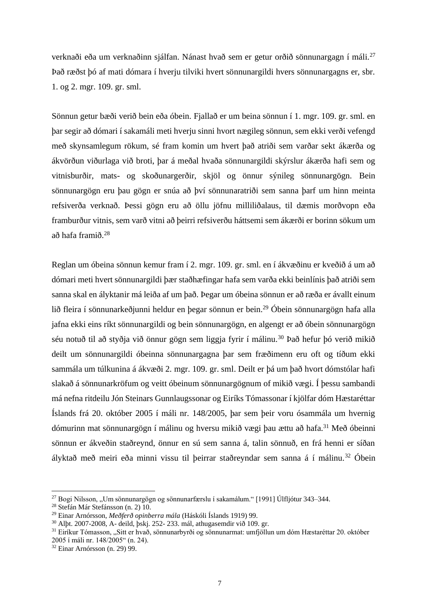verknaði eða um verknaðinn sjálfan. Nánast hvað sem er getur orðið sönnunargagn í máli.<sup>27</sup> Það ræðst þó af mati dómara í hverju tilviki hvert sönnunargildi hvers sönnunargagns er, sbr. 1. og 2. mgr. 109. gr. sml.

Sönnun getur bæði verið bein eða óbein. Fjallað er um beina sönnun í 1. mgr. 109. gr. sml. en þar segir að dómari í sakamáli meti hverju sinni hvort nægileg sönnun, sem ekki verði vefengd með skynsamlegum rökum, sé fram komin um hvert það atriði sem varðar sekt ákærða og ákvörðun viðurlaga við broti, þar á meðal hvaða sönnunargildi skýrslur ákærða hafi sem og vitnisburðir, mats- og skoðunargerðir, skjöl og önnur sýnileg sönnunargögn. Bein sönnunargögn eru þau gögn er snúa að því sönnunaratriði sem sanna þarf um hinn meinta refsiverða verknað. Þessi gögn eru að öllu jöfnu milliliðalaus, til dæmis morðvopn eða framburður vitnis, sem varð vitni að þeirri refsiverðu háttsemi sem ákærði er borinn sökum um að hafa framið. 28

Reglan um óbeina sönnun kemur fram í 2. mgr. 109. gr. sml. en í ákvæðinu er kveðið á um að dómari meti hvert sönnunargildi þær staðhæfingar hafa sem varða ekki beinlínis það atriði sem sanna skal en ályktanir má leiða af um það. Þegar um óbeina sönnun er að ræða er ávallt einum lið fleira í sönnunarkeðjunni heldur en þegar sönnun er bein.<sup>29</sup> Óbein sönnunargögn hafa alla jafna ekki eins ríkt sönnunargildi og bein sönnunargögn, en algengt er að óbein sönnunargögn séu notuð til að styðja við önnur gögn sem liggja fyrir í málinu.<sup>30</sup> Það hefur þó verið mikið deilt um sönnunargildi óbeinna sönnunargagna þar sem fræðimenn eru oft og tíðum ekki sammála um túlkunina á ákvæði 2. mgr. 109. gr. sml. Deilt er þá um það hvort dómstólar hafi slakað á sönnunarkröfum og veitt óbeinum sönnunargögnum of mikið vægi. Í þessu sambandi má nefna ritdeilu Jón Steinars Gunnlaugssonar og Eiríks Tómassonar í kjölfar dóm Hæstaréttar Íslands frá 20. október 2005 í máli nr. 148/2005, þar sem þeir voru ósammála um hvernig dómurinn mat sönnunargögn í málinu og hversu mikið vægi þau ættu að hafa.<sup>31</sup> Með óbeinni sönnun er ákveðin staðreynd, önnur en sú sem sanna á, talin sönnuð, en frá henni er síðan ályktað með meiri eða minni vissu til þeirrar staðreyndar sem sanna á í málinu.<sup>32</sup> Óbein

 $27$  Bogi Nilsson, "Um sönnunargögn og sönnunarfærslu í sakamálum." [1991] Úlfljótur 343–344.

<sup>28</sup> Stefán Már Stefánsson (n. 2) 10.

<sup>29</sup> Einar Arnórsson, *Meðferð opinberra mála* (Háskóli Íslands 1919) 99.

<sup>30</sup> Alþt. 2007-2008, A- deild, þskj. 252- 233. mál, athugasemdir við 109. gr.

<sup>&</sup>lt;sup>31</sup> Eiríkur Tómasson, "Sitt er hvað, sönnunarbyrði og sönnunarmat: umfjöllun um dóm Hæstaréttar 20. október 2005 í máli nr. 148/2005" (n. 24).

<sup>32</sup> Einar Arnórsson (n. 29) 99.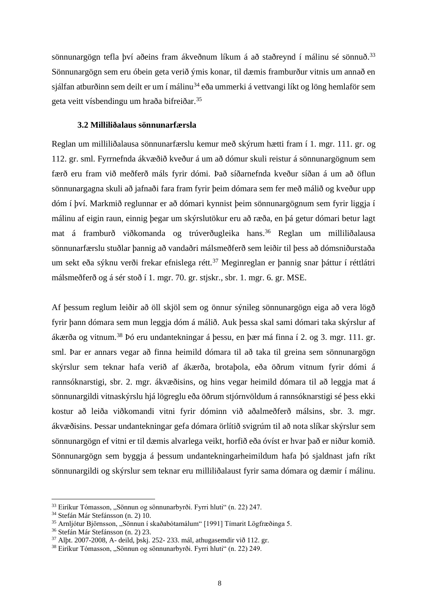sönnunargögn tefla því aðeins fram ákveðnum líkum á að staðreynd í málinu sé sönnuð.<sup>33</sup> Sönnunargögn sem eru óbein geta verið ýmis konar, til dæmis framburður vitnis um annað en sjálfan atburðinn sem deilt er um í málinu<sup>34</sup> eða ummerki á vettvangi líkt og löng hemlaför sem geta veitt vísbendingu um hraða bifreiðar. 35

#### **3.2 Milliliðalaus sönnunarfærsla**

Reglan um milliliðalausa sönnunarfærslu kemur með skýrum hætti fram í 1. mgr. 111. gr. og 112. gr. sml. Fyrrnefnda ákvæðið kveður á um að dómur skuli reistur á sönnunargögnum sem færð eru fram við meðferð máls fyrir dómi. Það síðarnefnda kveður síðan á um að öflun sönnunargagna skuli að jafnaði fara fram fyrir þeim dómara sem fer með málið og kveður upp dóm í því. Markmið reglunnar er að dómari kynnist þeim sönnunargögnum sem fyrir liggja í málinu af eigin raun, einnig þegar um skýrslutökur eru að ræða, en þá getur dómari betur lagt mat á framburð viðkomanda og trúverðugleika hans.<sup>36</sup> Reglan um milliliðalausa sönnunarfærslu stuðlar þannig að vandaðri málsmeðferð sem leiðir til þess að dómsniðurstaða um sekt eða sýknu verði frekar efnislega rétt.<sup>37</sup> Meginreglan er þannig snar þáttur í réttlátri málsmeðferð og á sér stoð í 1. mgr. 70. gr. stjskr., sbr. 1. mgr. 6. gr. MSE.

Af þessum reglum leiðir að öll skjöl sem og önnur sýnileg sönnunargögn eiga að vera lögð fyrir þann dómara sem mun leggja dóm á málið. Auk þessa skal sami dómari taka skýrslur af ákærða og vitnum.<sup>38</sup> Þó eru undantekningar á þessu, en þær má finna í 2. og 3. mgr. 111. gr. sml. Þar er annars vegar að finna heimild dómara til að taka til greina sem sönnunargögn skýrslur sem teknar hafa verið af ákærða, brotaþola, eða öðrum vitnum fyrir dómi á rannsóknarstigi, sbr. 2. mgr. ákvæðisins, og hins vegar heimild dómara til að leggja mat á sönnunargildi vitnaskýrslu hjá lögreglu eða öðrum stjórnvöldum á rannsóknarstigi sé þess ekki kostur að leiða viðkomandi vitni fyrir dóminn við aðalmeðferð málsins, sbr. 3. mgr. ákvæðisins. Þessar undantekningar gefa dómara örlítið svigrúm til að nota slíkar skýrslur sem sönnunargögn ef vitni er til dæmis alvarlega veikt, horfið eða óvíst er hvar það er niður komið. Sönnunargögn sem byggja á þessum undantekningarheimildum hafa þó sjaldnast jafn ríkt sönnunargildi og skýrslur sem teknar eru milliliðalaust fyrir sama dómara og dæmir í málinu.

<sup>&</sup>lt;sup>33</sup> Eiríkur Tómasson, "Sönnun og sönnunarbyrði. Fyrri hluti" (n. 22) 247.

<sup>34</sup> Stefán Már Stefánsson (n. 2) 10.

 $35$  Arnljótur Björnsson, "Sönnun í skaðabótamálum" [1991] Tímarit Lögfræðinga 5.

<sup>36</sup> Stefán Már Stefánsson (n. 2) 23.

<sup>37</sup> Alþt. 2007-2008, A- deild, þskj. 252- 233. mál, athugasemdir við 112. gr.

<sup>&</sup>lt;sup>38</sup> Eiríkur Tómasson, "Sönnun og sönnunarbyrði. Fyrri hluti" (n. 22) 249.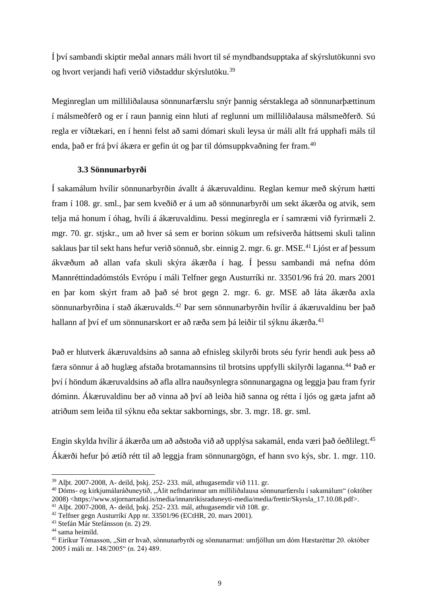Í því sambandi skiptir meðal annars máli hvort til sé myndbandsupptaka af skýrslutökunni svo og hvort verjandi hafi verið viðstaddur skýrslutöku.<sup>39</sup>

Meginreglan um milliliðalausa sönnunarfærslu snýr þannig sérstaklega að sönnunarþættinum í málsmeðferð og er í raun þannig einn hluti af reglunni um milliliðalausa málsmeðferð. Sú regla er víðtækari, en í henni felst að sami dómari skuli leysa úr máli allt frá upphafi máls til enda, það er frá því ákæra er gefin út og þar til dómsuppkvaðning fer fram.<sup>40</sup>

## **3.3 Sönnunarbyrði**

Í sakamálum hvílir sönnunarbyrðin ávallt á ákæruvaldinu. Reglan kemur með skýrum hætti fram í 108. gr. sml., þar sem kveðið er á um að sönnunarbyrði um sekt ákærða og atvik, sem telja má honum í óhag, hvíli á ákæruvaldinu. Þessi meginregla er í samræmi við fyrirmæli 2. mgr. 70. gr. stjskr., um að hver sá sem er borinn sökum um refsiverða háttsemi skuli talinn saklaus þar til sekt hans hefur verið sönnuð, sbr. einnig 2. mgr. 6. gr. MSE.<sup>41</sup> Ljóst er af þessum ákvæðum að allan vafa skuli skýra ákærða í hag. Í þessu sambandi má nefna dóm Mannréttindadómstóls Evrópu í máli Telfner gegn Austurríki nr. 33501/96 frá 20. mars 2001 en þar kom skýrt fram að það sé brot gegn 2. mgr. 6. gr. MSE að láta ákærða axla sönnunarbyrðina í stað ákæruvalds.<sup>42</sup> Þar sem sönnunarbyrðin hvílir á ákæruvaldinu ber það hallann af því ef um sönnunarskort er að ræða sem þá leiðir til sýknu ákærða. 43

Það er hlutverk ákæruvaldsins að sanna að efnisleg skilyrði brots séu fyrir hendi auk þess að færa sönnur á að huglæg afstaða brotamannsins til brotsins uppfylli skilyrði laganna.<sup>44</sup> Það er því í höndum ákæruvaldsins að afla allra nauðsynlegra sönnunargagna og leggja þau fram fyrir dóminn. Ákæruvaldinu ber að vinna að því að leiða hið sanna og rétta í ljós og gæta jafnt að atriðum sem leiða til sýknu eða sektar sakbornings, sbr. 3. mgr. 18. gr. sml.

Engin skylda hvílir á ákærða um að aðstoða við að upplýsa sakamál, enda væri það óeðlilegt.<sup>45</sup> Ákærði hefur þó ætíð rétt til að leggja fram sönnunargögn, ef hann svo kýs, sbr. 1. mgr. 110.

<sup>39</sup> Alþt. 2007-2008, A- deild, þskj. 252- 233. mál, athugasemdir við 111. gr.

<sup>&</sup>lt;sup>40</sup> Dóms- og kirkjumálaráðuneytið, "Álit nefndarinnar um milliliðalausa sönnunarfærslu í sakamálum" (október 2008) <https://www.stjornarradid.is/media/innanrikisraduneyti-media/media/frettir/Skyrsla\_17.10.08.pdf>.

<sup>41</sup> Alþt. 2007-2008, A- deild, þskj. 252- 233. mál, athugasemdir við 108. gr.

<sup>42</sup> Telfner gegn Austurríki App nr. 33501/96 (ECtHR, 20. mars 2001).

<sup>43</sup> Stefán Már Stefánsson (n. 2) 29.

<sup>44</sup> sama heimild.

<sup>45</sup> Eiríkur Tómasson, "Sitt er hvað, sönnunarbyrði og sönnunarmat: umfjöllun um dóm Hæstaréttar 20. október 2005 í máli nr. 148/2005" (n. 24) 489.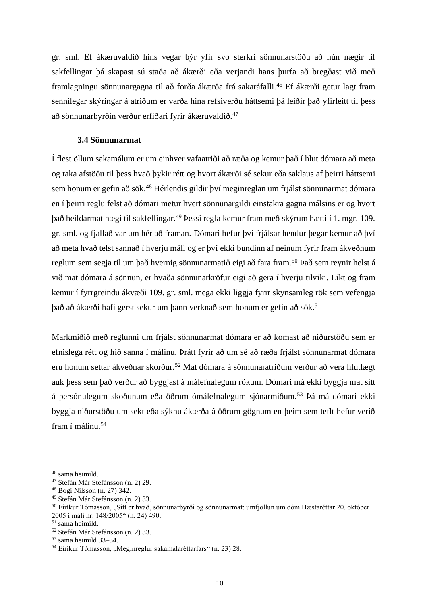gr. sml. Ef ákæruvaldið hins vegar býr yfir svo sterkri sönnunarstöðu að hún nægir til sakfellingar þá skapast sú staða að ákærði eða verjandi hans þurfa að bregðast við með framlagningu sönnunargagna til að forða ákærða frá sakaráfalli.<sup>46</sup> Ef ákærði getur lagt fram sennilegar skýringar á atriðum er varða hina refsiverðu háttsemi þá leiðir það yfirleitt til þess að sönnunarbyrðin verður erfiðari fyrir ákæruvaldið.<sup>47</sup>

## **3.4 Sönnunarmat**

Í flest öllum sakamálum er um einhver vafaatriði að ræða og kemur það í hlut dómara að meta og taka afstöðu til þess hvað þykir rétt og hvort ákærði sé sekur eða saklaus af þeirri háttsemi sem honum er gefin að sök.<sup>48</sup> Hérlendis gildir því meginreglan um frjálst sönnunarmat dómara en í þeirri reglu felst að dómari metur hvert sönnunargildi einstakra gagna málsins er og hvort það heildarmat nægi til sakfellingar.<sup>49</sup> Þessi regla kemur fram með skýrum hætti í 1. mgr. 109. gr. sml. og fjallað var um hér að framan. Dómari hefur því frjálsar hendur þegar kemur að því að meta hvað telst sannað í hverju máli og er því ekki bundinn af neinum fyrir fram ákveðnum reglum sem segja til um það hvernig sönnunarmatið eigi að fara fram.<sup>50</sup> Það sem reynir helst á við mat dómara á sönnun, er hvaða sönnunarkröfur eigi að gera í hverju tilviki. Líkt og fram kemur í fyrrgreindu ákvæði 109. gr. sml. mega ekki liggja fyrir skynsamleg rök sem vefengja það að ákærði hafi gerst sekur um þann verknað sem honum er gefin að sök.<sup>51</sup>

Markmiðið með reglunni um frjálst sönnunarmat dómara er að komast að niðurstöðu sem er efnislega rétt og hið sanna í málinu. Þrátt fyrir að um sé að ræða frjálst sönnunarmat dómara eru honum settar ákveðnar skorður.<sup>52</sup> Mat dómara á sönnunaratriðum verður að vera hlutlægt auk þess sem það verður að byggjast á málefnalegum rökum. Dómari má ekki byggja mat sitt á persónulegum skoðunum eða öðrum ómálefnalegum sjónarmiðum.<sup>53</sup> Þá má dómari ekki byggja niðurstöðu um sekt eða sýknu ákærða á öðrum gögnum en þeim sem teflt hefur verið fram í málinu.<sup>54</sup>

<sup>46</sup> sama heimild.

<sup>47</sup> Stefán Már Stefánsson (n. 2) 29.

<sup>48</sup> Bogi Nilsson (n. 27) 342.

<sup>49</sup> Stefán Már Stefánsson (n. 2) 33.

<sup>&</sup>lt;sup>50</sup> Eiríkur Tómasson, "Sitt er hvað, sönnunarbyrði og sönnunarmat: umfjöllun um dóm Hæstaréttar 20. október 2005 í máli nr. 148/2005" (n. 24) 490.

<sup>51</sup> sama heimild.

<sup>52</sup> Stefán Már Stefánsson (n. 2) 33.

<sup>53</sup> sama heimild 33–34.

<sup>&</sup>lt;sup>54</sup> Eiríkur Tómasson, "Meginreglur sakamálaréttarfars" (n. 23) 28.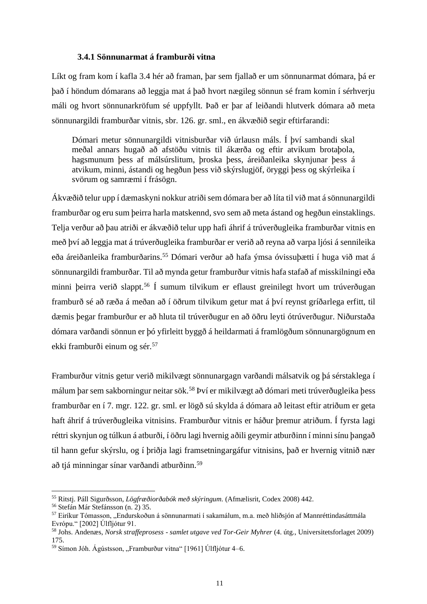#### **3.4.1 Sönnunarmat á framburði vitna**

Líkt og fram kom í kafla 3.4 hér að framan, þar sem fjallað er um sönnunarmat dómara, þá er það í höndum dómarans að leggja mat á það hvort nægileg sönnun sé fram komin í sérhverju máli og hvort sönnunarkröfum sé uppfyllt. Það er þar af leiðandi hlutverk dómara að meta sönnunargildi framburðar vitnis, sbr. 126. gr. sml., en ákvæðið segir eftirfarandi:

Dómari metur sönnunargildi vitnisburðar við úrlausn máls. Í því sambandi skal meðal annars hugað að afstöðu vitnis til ákærða og eftir atvikum brotaþola, hagsmunum þess af málsúrslitum, þroska þess, áreiðanleika skynjunar þess á atvikum, minni, ástandi og hegðun þess við skýrslugjöf, öryggi þess og skýrleika í svörum og samræmi í frásögn.

Ákvæðið telur upp í dæmaskyni nokkur atriði sem dómara ber að líta til við mat á sönnunargildi framburðar og eru sum þeirra harla matskennd, svo sem að meta ástand og hegðun einstaklings. Telja verður að þau atriði er ákvæðið telur upp hafi áhrif á trúverðugleika framburðar vitnis en með því að leggja mat á trúverðugleika framburðar er verið að reyna að varpa ljósi á sennileika eða áreiðanleika framburðarins.<sup>55</sup> Dómari verður að hafa ýmsa óvissuþætti í huga við mat á sönnunargildi framburðar. Til að mynda getur framburður vitnis hafa stafað af misskilningi eða minni þeirra verið slappt.<sup>56</sup> Í sumum tilvikum er eflaust greinilegt hvort um trúverðugan framburð sé að ræða á meðan að í öðrum tilvikum getur mat á því reynst gríðarlega erfitt, til dæmis þegar framburður er að hluta til trúverðugur en að öðru leyti ótrúverðugur. Niðurstaða dómara varðandi sönnun er þó yfirleitt byggð á heildarmati á framlögðum sönnunargögnum en ekki framburði einum og sér.<sup>57</sup>

Framburður vitnis getur verið mikilvægt sönnunargagn varðandi málsatvik og þá sérstaklega í málum þar sem sakborningur neitar sök.<sup>58</sup> Því er mikilvægt að dómari meti trúverðugleika þess framburðar en í 7. mgr. 122. gr. sml. er lögð sú skylda á dómara að leitast eftir atriðum er geta haft áhrif á trúverðugleika vitnisins. Framburður vitnis er háður þremur atriðum. Í fyrsta lagi réttri skynjun og túlkun á atburði, í öðru lagi hvernig aðili geymir atburðinn í minni sínu þangað til hann gefur skýrslu, og í þriðja lagi framsetningargáfur vitnisins, það er hvernig vitnið nær að tjá minningar sínar varðandi atburðinn.<sup>59</sup>

<sup>55</sup> Ritstj. Páll Sigurðsson, *Lögfræðiorðabók með skýringum.* (Afmælisrit, Codex 2008) 442.

<sup>56</sup> Stefán Már Stefánsson (n. 2) 35.

<sup>&</sup>lt;sup>57</sup> Eiríkur Tómasson, "Endurskoðun á sönnunarmati í sakamálum, m.a. með hliðsjón af Mannréttindasáttmála Evrópu." [2002] Úlfljótur 91.

<sup>58</sup> Johs. Andenæs, *Norsk straffeprosess - samlet utgave ved Tor-Geir Myhrer* (4. útg., Universitetsforlaget 2009) 175.

 $59$  Símon Jóh. Ágústsson, "Framburður vitna" [1961] Úlfljótur 4–6.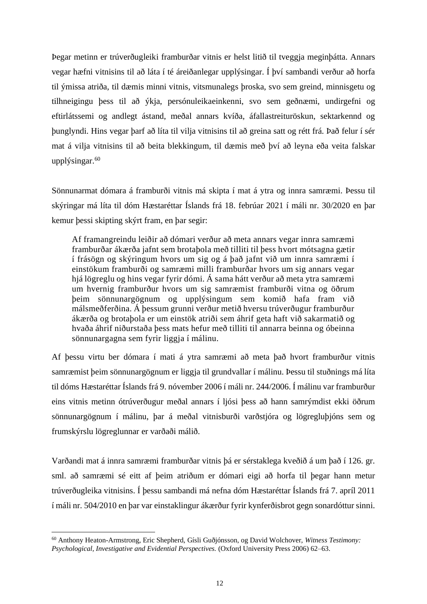Þegar metinn er trúverðugleiki framburðar vitnis er helst litið til tveggja meginþátta. Annars vegar hæfni vitnisins til að láta í té áreiðanlegar upplýsingar. Í því sambandi verður að horfa til ýmissa atriða, til dæmis minni vitnis, vitsmunalegs þroska, svo sem greind, minnisgetu og tilhneigingu þess til að ýkja, persónuleikaeinkenni, svo sem geðnæmi, undirgefni og eftirlátssemi og andlegt ástand, meðal annars kvíða, áfallastreituröskun, sektarkennd og þunglyndi. Hins vegar þarf að líta til vilja vitnisins til að greina satt og rétt frá. Það felur í sér mat á vilja vitnisins til að beita blekkingum, til dæmis með því að leyna eða veita falskar upplýsingar. 60

Sönnunarmat dómara á framburði vitnis má skipta í mat á ytra og innra samræmi. Þessu til skýringar má líta til dóm Hæstaréttar Íslands frá 18. febrúar 2021 í máli nr. 30/2020 en þar kemur þessi skipting skýrt fram, en þar segir:

Af framangreindu leiðir að dómari verður að meta annars vegar innra samræmi framburðar ákærða jafnt sem brotaþola með tilliti til þess hvort mótsagna gætir í frásögn og skýringum hvors um sig og á það jafnt við um innra samræmi í einstökum framburði og samræmi milli framburðar hvors um sig annars vegar hjá lögreglu og hins vegar fyrir dómi. Á sama hátt verður að meta ytra samræmi um hvernig framburður hvors um sig samræmist framburði vitna og öðrum þeim sönnunargögnum og upplýsingum sem komið hafa fram við málsmeðferðina. Á þessum grunni verður metið hversu trúverðugur framburður ákærða og brotaþola er um einstök atriði sem áhrif geta haft við sakarmatið og hvaða áhrif niðurstaða þess mats hefur með tilliti til annarra beinna og óbeinna sönnunargagna sem fyrir liggja í málinu.

Af þessu virtu ber dómara í mati á ytra samræmi að meta það hvort framburður vitnis samræmist þeim sönnunargögnum er liggja til grundvallar í málinu. Þessu til stuðnings má líta til dóms Hæstaréttar Íslands frá 9. nóvember 2006 í máli nr. 244/2006. Í málinu var framburður eins vitnis metinn ótrúverðugur meðal annars í ljósi þess að hann samrýmdist ekki öðrum sönnunargögnum í málinu, þar á meðal vitnisburði varðstjóra og lögregluþjóns sem og frumskýrslu lögreglunnar er varðaði málið.

Varðandi mat á innra samræmi framburðar vitnis þá er sérstaklega kveðið á um það í 126. gr. sml. að samræmi sé eitt af þeim atriðum er dómari eigi að horfa til þegar hann metur trúverðugleika vitnisins. Í þessu sambandi má nefna dóm Hæstaréttar Íslands frá 7. apríl 2011 í máli nr. 504/2010 en þar var einstaklingur ákærður fyrir kynferðisbrot gegn sonardóttur sinni.

<sup>60</sup> Anthony Heaton-Armstrong, Eric Shepherd, Gísli Guðjónsson, og David Wolchover, *Witness Testimony: Psychological, Investigative and Evidential Perspectives.* (Oxford University Press 2006) 62–63.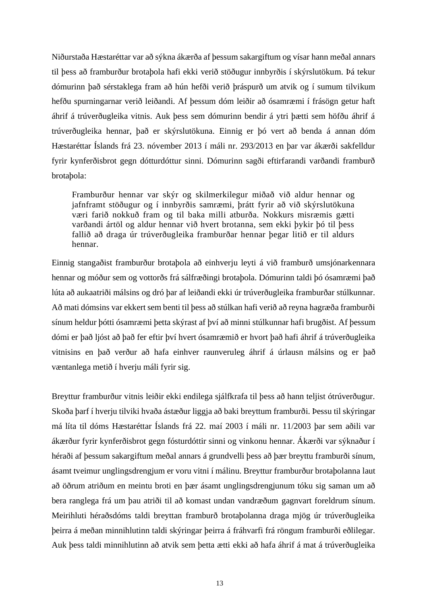Niðurstaða Hæstaréttar var að sýkna ákærða af þessum sakargiftum og vísar hann meðal annars til þess að framburður brotaþola hafi ekki verið stöðugur innbyrðis í skýrslutökum. Þá tekur dómurinn það sérstaklega fram að hún hefði verið þráspurð um atvik og í sumum tilvikum hefðu spurningarnar verið leiðandi. Af þessum dóm leiðir að ósamræmi í frásögn getur haft áhrif á trúverðugleika vitnis. Auk þess sem dómurinn bendir á ytri þætti sem höfðu áhrif á trúverðugleika hennar, það er skýrslutökuna. Einnig er þó vert að benda á annan dóm Hæstaréttar Íslands frá 23. nóvember 2013 í máli nr. 293/2013 en þar var ákærði sakfelldur fyrir kynferðisbrot gegn dótturdóttur sinni. Dómurinn sagði eftirfarandi varðandi framburð brotaþola:

Framburður hennar var skýr og skilmerkilegur miðað við aldur hennar og jafnframt stöðugur og í innbyrðis samræmi, þrátt fyrir að við skýrslutökuna væri farið nokkuð fram og til baka milli atburða. Nokkurs misræmis gætti varðandi ártöl og aldur hennar við hvert brotanna, sem ekki þykir þó til þess fallið að draga úr trúverðugleika framburðar hennar þegar litið er til aldurs hennar.

Einnig stangaðist framburður brotaþola að einhverju leyti á við framburð umsjónarkennara hennar og móður sem og vottorðs frá sálfræðingi brotaþola. Dómurinn taldi þó ósamræmi það lúta að aukaatriði málsins og dró þar af leiðandi ekki úr trúverðugleika framburðar stúlkunnar. Að mati dómsins var ekkert sem benti til þess að stúlkan hafi verið að reyna hagræða framburði sínum heldur þótti ósamræmi þetta skýrast af því að minni stúlkunnar hafi brugðist. Af þessum dómi er það ljóst að það fer eftir því hvert ósamræmið er hvort það hafi áhrif á trúverðugleika vitnisins en það verður að hafa einhver raunveruleg áhrif á úrlausn málsins og er það væntanlega metið í hverju máli fyrir sig.

Breyttur framburður vitnis leiðir ekki endilega sjálfkrafa til þess að hann teljist ótrúverðugur. Skoða þarf í hverju tilviki hvaða ástæður liggja að baki breyttum framburði. Þessu til skýringar má líta til dóms Hæstaréttar Íslands frá 22. maí 2003 í máli nr. 11/2003 þar sem aðili var ákærður fyrir kynferðisbrot gegn fósturdóttir sinni og vinkonu hennar. Ákærði var sýknaður í héraði af þessum sakargiftum meðal annars á grundvelli þess að þær breyttu framburði sínum, ásamt tveimur unglingsdrengjum er voru vitni í málinu. Breyttur framburður brotaþolanna laut að öðrum atriðum en meintu broti en þær ásamt unglingsdrengjunum tóku sig saman um að bera ranglega frá um þau atriði til að komast undan vandræðum gagnvart foreldrum sínum. Meirihluti héraðsdóms taldi breyttan framburð brotaþolanna draga mjög úr trúverðugleika þeirra á meðan minnihlutinn taldi skýringar þeirra á fráhvarfi frá röngum framburði eðlilegar. Auk þess taldi minnihlutinn að atvik sem þetta ætti ekki að hafa áhrif á mat á trúverðugleika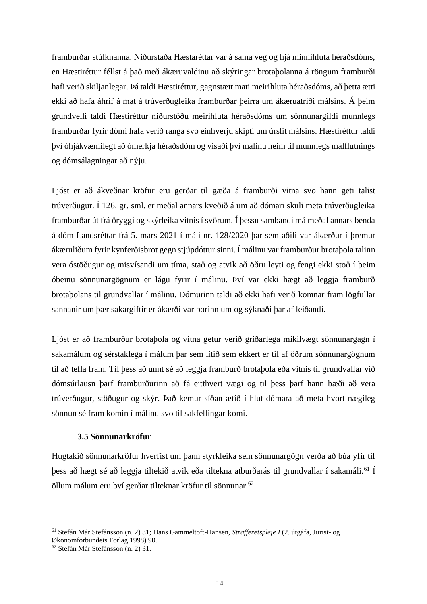framburðar stúlknanna. Niðurstaða Hæstaréttar var á sama veg og hjá minnihluta héraðsdóms, en Hæstiréttur féllst á það með ákæruvaldinu að skýringar brotaþolanna á röngum framburði hafi verið skiljanlegar. Þá taldi Hæstiréttur, gagnstætt mati meirihluta héraðsdóms, að þetta ætti ekki að hafa áhrif á mat á trúverðugleika framburðar þeirra um ákæruatriði málsins. Á þeim grundvelli taldi Hæstiréttur niðurstöðu meirihluta héraðsdóms um sönnunargildi munnlegs framburðar fyrir dómi hafa verið ranga svo einhverju skipti um úrslit málsins. Hæstiréttur taldi því óhjákvæmilegt að ómerkja héraðsdóm og vísaði því málinu heim til munnlegs málflutnings og dómsálagningar að nýju.

Ljóst er að ákveðnar kröfur eru gerðar til gæða á framburði vitna svo hann geti talist trúverðugur. Í 126. gr. sml. er meðal annars kveðið á um að dómari skuli meta trúverðugleika framburðar út frá öryggi og skýrleika vitnis í svörum. Í þessu sambandi má meðal annars benda á dóm Landsréttar frá 5. mars 2021 í máli nr. 128/2020 þar sem aðili var ákærður í þremur ákæruliðum fyrir kynferðisbrot gegn stjúpdóttur sinni. Í málinu var framburður brotaþola talinn vera óstöðugur og misvísandi um tíma, stað og atvik að öðru leyti og fengi ekki stoð í þeim óbeinu sönnunargögnum er lágu fyrir í málinu. Því var ekki hægt að leggja framburð brotaþolans til grundvallar í málinu. Dómurinn taldi að ekki hafi verið komnar fram lögfullar sannanir um þær sakargiftir er ákærði var borinn um og sýknaði þar af leiðandi.

Ljóst er að framburður brotaþola og vitna getur verið gríðarlega mikilvægt sönnunargagn í sakamálum og sérstaklega í málum þar sem lítið sem ekkert er til af öðrum sönnunargögnum til að tefla fram. Til þess að unnt sé að leggja framburð brotaþola eða vitnis til grundvallar við dómsúrlausn þarf framburðurinn að fá eitthvert vægi og til þess þarf hann bæði að vera trúverðugur, stöðugur og skýr. Það kemur síðan ætíð í hlut dómara að meta hvort nægileg sönnun sé fram komin í málinu svo til sakfellingar komi.

## **3.5 Sönnunarkröfur**

Hugtakið sönnunarkröfur hverfist um þann styrkleika sem sönnunargögn verða að búa yfir til þess að hægt sé að leggja tiltekið atvik eða tiltekna atburðarás til grundvallar í sakamáli.<sup>61</sup> Í öllum málum eru því gerðar tilteknar kröfur til sönnunar.<sup>62</sup>

<sup>61</sup> Stefán Már Stefánsson (n. 2) 31; Hans Gammeltoft-Hansen, *Strafferetspleje I* (2. útgáfa, Jurist- og Økonomforbundets Forlag 1998) 90.

<sup>62</sup> Stefán Már Stefánsson (n. 2) 31.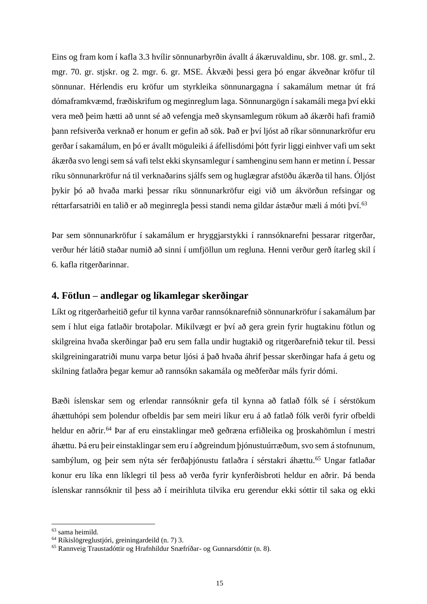Eins og fram kom í kafla 3.3 hvílir sönnunarbyrðin ávallt á ákæruvaldinu, sbr. 108. gr. sml., 2. mgr. 70. gr. stjskr. og 2. mgr. 6. gr. MSE. Ákvæði þessi gera þó engar ákveðnar kröfur til sönnunar. Hérlendis eru kröfur um styrkleika sönnunargagna í sakamálum metnar út frá dómaframkvæmd, fræðiskrifum og meginreglum laga. Sönnunargögn í sakamáli mega því ekki vera með þeim hætti að unnt sé að vefengja með skynsamlegum rökum að ákærði hafi framið þann refsiverða verknað er honum er gefin að sök. Það er því ljóst að ríkar sönnunarkröfur eru gerðar í sakamálum, en þó er ávallt möguleiki á áfellisdómi þótt fyrir liggi einhver vafi um sekt ákærða svo lengi sem sá vafi telst ekki skynsamlegur í samhenginu sem hann er metinn í. Þessar ríku sönnunarkröfur ná til verknaðarins sjálfs sem og huglægrar afstöðu ákærða til hans. Óljóst þykir þó að hvaða marki þessar ríku sönnunarkröfur eigi við um ákvörðun refsingar og réttarfarsatriði en talið er að meginregla þessi standi nema gildar ástæður mæli á móti því.<sup>63</sup>

Þar sem sönnunarkröfur í sakamálum er hryggjarstykki í rannsóknarefni þessarar ritgerðar, verður hér látið staðar numið að sinni í umfjöllun um regluna. Henni verður gerð ítarleg skil í 6. kafla ritgerðarinnar.

## **4. Fötlun – andlegar og líkamlegar skerðingar**

Líkt og ritgerðarheitið gefur til kynna varðar rannsóknarefnið sönnunarkröfur í sakamálum þar sem í hlut eiga fatlaðir brotaþolar. Mikilvægt er því að gera grein fyrir hugtakinu fötlun og skilgreina hvaða skerðingar það eru sem falla undir hugtakið og ritgerðarefnið tekur til. Þessi skilgreiningaratriði munu varpa betur ljósi á það hvaða áhrif þessar skerðingar hafa á getu og skilning fatlaðra þegar kemur að rannsókn sakamála og meðferðar máls fyrir dómi.

Bæði íslenskar sem og erlendar rannsóknir gefa til kynna að fatlað fólk sé í sérstökum áhættuhópi sem þolendur ofbeldis þar sem meiri líkur eru á að fatlað fólk verði fyrir ofbeldi heldur en aðrir.<sup>64</sup> Þar af eru einstaklingar með geðræna erfiðleika og þroskahömlun í mestri áhættu. Þá eru þeir einstaklingar sem eru í aðgreindum þjónustuúrræðum, svo sem á stofnunum, sambýlum, og þeir sem nýta sér ferðaþjónustu fatlaðra í sérstakri áhættu.<sup>65</sup> Ungar fatlaðar konur eru líka enn líklegri til þess að verða fyrir kynferðisbroti heldur en aðrir. Þá benda íslenskar rannsóknir til þess að í meirihluta tilvika eru gerendur ekki sóttir til saka og ekki

<sup>63</sup> sama heimild.

<sup>64</sup> Ríkislögreglustjóri, greiningardeild (n. 7) 3.

<sup>65</sup> Rannveig Traustadóttir og Hrafnhildur Snæfríðar- og Gunnarsdóttir (n. 8).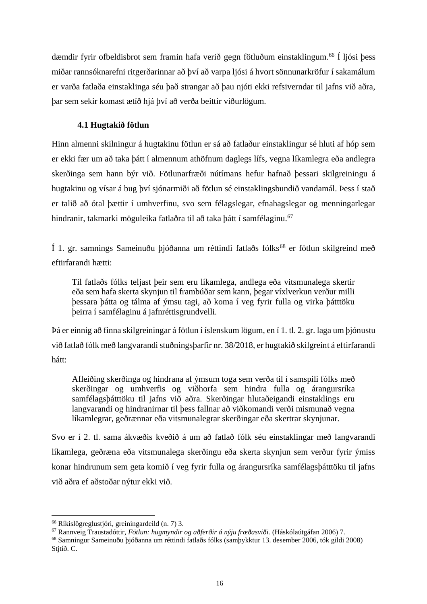dæmdir fyrir ofbeldisbrot sem framin hafa verið gegn fötluðum einstaklingum.<sup>66</sup> Í ljósi þess miðar rannsóknarefni ritgerðarinnar að því að varpa ljósi á hvort sönnunarkröfur í sakamálum er varða fatlaða einstaklinga séu það strangar að þau njóti ekki refsiverndar til jafns við aðra, þar sem sekir komast ætíð hjá því að verða beittir viðurlögum.

## **4.1 Hugtakið fötlun**

Hinn almenni skilningur á hugtakinu fötlun er sá að fatlaður einstaklingur sé hluti af hóp sem er ekki fær um að taka þátt í almennum athöfnum daglegs lífs, vegna líkamlegra eða andlegra skerðinga sem hann býr við. Fötlunarfræði nútímans hefur hafnað þessari skilgreiningu á hugtakinu og vísar á bug því sjónarmiði að fötlun sé einstaklingsbundið vandamál. Þess í stað er talið að ótal þættir í umhverfinu, svo sem félagslegar, efnahagslegar og menningarlegar hindranir, takmarki möguleika fatlaðra til að taka þátt í samfélaginu.<sup>67</sup>

Í 1. gr. samnings Sameinuðu þjóðanna um réttindi fatlaðs fólks<sup>68</sup> er fötlun skilgreind með eftirfarandi hætti:

Til fatlaðs fólks teljast þeir sem eru líkamlega, andlega eða vitsmunalega skertir eða sem hafa skerta skynjun til frambúðar sem kann, þegar víxlverkun verður milli þessara þátta og tálma af ýmsu tagi, að koma í veg fyrir fulla og virka þátttöku þeirra í samfélaginu á jafnréttisgrundvelli.

Þá er einnig að finna skilgreiningar á fötlun í íslenskum lögum, en í 1. tl. 2. gr. laga um þjónustu við fatlað fólk með langvarandi stuðningsþarfir nr. 38/2018, er hugtakið skilgreint á eftirfarandi hátt:

Afleiðing skerðinga og hindrana af ýmsum toga sem verða til í samspili fólks með skerðingar og umhverfis og viðhorfa sem hindra fulla og árangursríka samfélagsþátttöku til jafns við aðra. Skerðingar hlutaðeigandi einstaklings eru langvarandi og hindranirnar til þess fallnar að viðkomandi verði mismunað vegna líkamlegrar, geðrænnar eða vitsmunalegrar skerðingar eða skertrar skynjunar.

Svo er í 2. tl. sama ákvæðis kveðið á um að fatlað fólk séu einstaklingar með langvarandi líkamlega, geðræna eða vitsmunalega skerðingu eða skerta skynjun sem verður fyrir ýmiss konar hindrunum sem geta komið í veg fyrir fulla og árangursríka samfélagsþátttöku til jafns við aðra ef aðstoðar nýtur ekki við.

<sup>66</sup> Ríkislögreglustjóri, greiningardeild (n. 7) 3.

<sup>67</sup> Rannveig Traustadóttir, *Fötlun: hugmyndir og aðferðir á nýju fræðasviði.* (Háskólaútgáfan 2006) 7.

<sup>68</sup> Samningur Sameinuðu þjóðanna um réttindi fatlaðs fólks (samþykktur 13. desember 2006, tók gildi 2008) Stitíð. C.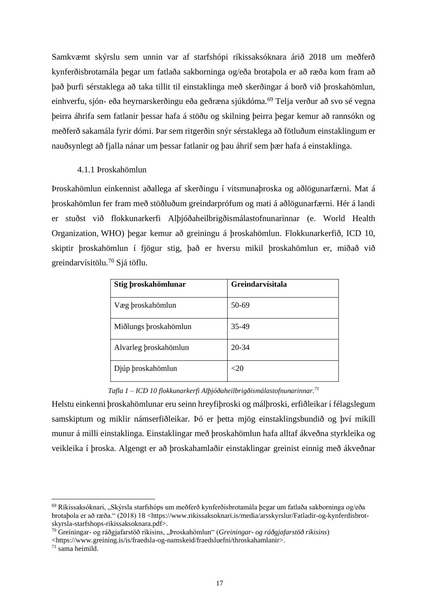Samkvæmt skýrslu sem unnin var af starfshópi ríkissaksóknara árið 2018 um meðferð kynferðisbrotamála þegar um fatlaða sakborninga og/eða brotaþola er að ræða kom fram að það þurfi sérstaklega að taka tillit til einstaklinga með skerðingar á borð við þroskahömlun, einhverfu, sjón- eða heyrnarskerðingu eða geðræna sjúkdóma.<sup>69</sup> Telja verður að svo sé vegna þeirra áhrifa sem fatlanir þessar hafa á stöðu og skilning þeirra þegar kemur að rannsókn og meðferð sakamála fyrir dómi. Þar sem ritgerðin snýr sérstaklega að fötluðum einstaklingum er nauðsynlegt að fjalla nánar um þessar fatlanir og þau áhrif sem þær hafa á einstaklinga.

## 4.1.1 Þroskahömlun

Þroskahömlun einkennist aðallega af skerðingu í vitsmunaþroska og aðlögunarfærni. Mat á þroskahömlun fer fram með stöðluðum greindarprófum og mati á aðlögunarfærni. Hér á landi er stuðst við flokkunarkerfi Alþjóðaheilbrigðismálastofnunarinnar (e. World Health Organization, WHO) þegar kemur að greiningu á þroskahömlun. Flokkunarkerfið, ICD 10, skiptir þroskahömlun í fjögur stig, það er hversu mikil þroskahömlun er, miðað við greindarvísitölu.<sup>70</sup> Sjá töflu.

| Stig broskahömlunar   | Greindarvísitala |
|-----------------------|------------------|
| Væg þroskahömlun      | $50-69$          |
| Miðlungs þroskahömlun | 35-49            |
| Alvarleg broskahömlun | $20 - 34$        |
| Djúp þroskahömlun     | ${<}20$          |

*Tafla 1 – ICD 10 flokkunarkerfi Alþjóðaheilbrigðismálastofnunarinnar.<sup>71</sup>*

Helstu einkenni þroskahömlunar eru seinn hreyfiþroski og málþroski, erfiðleikar í félagslegum samskiptum og miklir námserfiðleikar. Þó er þetta mjög einstaklingsbundið og því mikill munur á milli einstaklinga. Einstaklingar með þroskahömlun hafa alltaf ákveðna styrkleika og veikleika í þroska. Algengt er að þroskahamlaðir einstaklingar greinist einnig með ákveðnar

 $^{69}$  Ríkissaksóknari, "Skýrsla starfshóps um meðferð kynferðisbrotamála begar um fatlaða sakborninga og/eða brotaþola er að ræða." (2018) 18 <https://www.rikissaksoknari.is/media/arsskyrslur/Fatladir-og-kynferdisbrotskyrsla-starfshops-rikissaksoknara.pdf>.

<sup>70</sup> Greiningar- og ráðgjafarstöð ríkisins, "Þroskahömlun" (*Greiningar- og ráðgjafarstöð ríkisins*)

<sup>&</sup>lt;https://www.greining.is/is/fraedsla-og-namskeid/fraedsluefni/throskahamlanir>.

 $71$  sama heimild.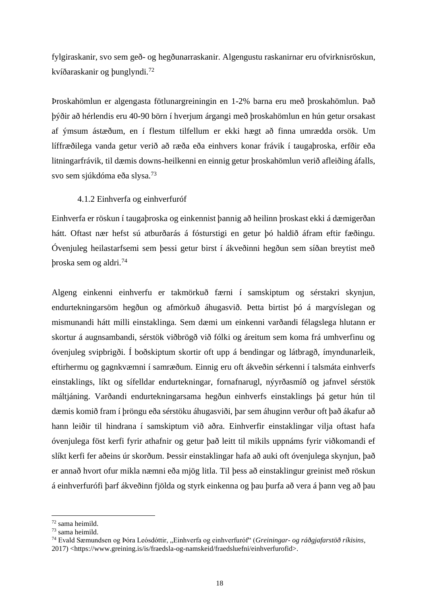fylgiraskanir, svo sem geð- og hegðunarraskanir. Algengustu raskanirnar eru ofvirknisröskun, kvíðaraskanir og þunglyndi.<sup>72</sup>

Þroskahömlun er algengasta fötlunargreiningin en 1-2% barna eru með þroskahömlun. Það þýðir að hérlendis eru 40-90 börn í hverjum árgangi með þroskahömlun en hún getur orsakast af ýmsum ástæðum, en í flestum tilfellum er ekki hægt að finna umrædda orsök. Um líffræðilega vanda getur verið að ræða eða einhvers konar frávik í taugaþroska, erfðir eða litningarfrávik, til dæmis downs-heilkenni en einnig getur þroskahömlun verið afleiðing áfalls, svo sem sjúkdóma eða slysa.<sup>73</sup>

#### 4.1.2 Einhverfa og einhverfuróf

Einhverfa er röskun í taugaþroska og einkennist þannig að heilinn þroskast ekki á dæmigerðan hátt. Oftast nær hefst sú atburðarás á fósturstigi en getur þó haldið áfram eftir fæðingu. Óvenjuleg heilastarfsemi sem þessi getur birst í ákveðinni hegðun sem síðan breytist með þroska sem og aldri.<sup>74</sup>

Algeng einkenni einhverfu er takmörkuð færni í samskiptum og sérstakri skynjun, endurtekningarsöm hegðun og afmörkuð áhugasvið. Þetta birtist þó á margvíslegan og mismunandi hátt milli einstaklinga. Sem dæmi um einkenni varðandi félagslega hlutann er skortur á augnsambandi, sérstök viðbrögð við fólki og áreitum sem koma frá umhverfinu og óvenjuleg svipbrigði. Í boðskiptum skortir oft upp á bendingar og látbragð, ímyndunarleik, eftirhermu og gagnkvæmni í samræðum. Einnig eru oft ákveðin sérkenni í talsmáta einhverfs einstaklings, líkt og sífelldar endurtekningar, fornafnarugl, nýyrðasmíð og jafnvel sérstök máltjáning. Varðandi endurtekningarsama hegðun einhverfs einstaklings þá getur hún til dæmis komið fram í þröngu eða sérstöku áhugasviði, þar sem áhuginn verður oft það ákafur að hann leiðir til hindrana í samskiptum við aðra. Einhverfir einstaklingar vilja oftast hafa óvenjulega föst kerfi fyrir athafnir og getur það leitt til mikils uppnáms fyrir viðkomandi ef slíkt kerfi fer aðeins úr skorðum. Þessir einstaklingar hafa að auki oft óvenjulega skynjun, það er annað hvort ofur mikla næmni eða mjög litla. Til þess að einstaklingur greinist með röskun á einhverfurófi þarf ákveðinn fjölda og styrk einkenna og þau þurfa að vera á þann veg að þau

<sup>72</sup> sama heimild.

<sup>73</sup> sama heimild.

<sup>74</sup> Evald Sæmundsen og Þóra Leósdóttir, "Einhverfa og einhverfuróf" (*Greiningar- og ráðgjafarstöð ríkisins*, 2017) <https://www.greining.is/is/fraedsla-og-namskeid/fraedsluefni/einhverfurofid>.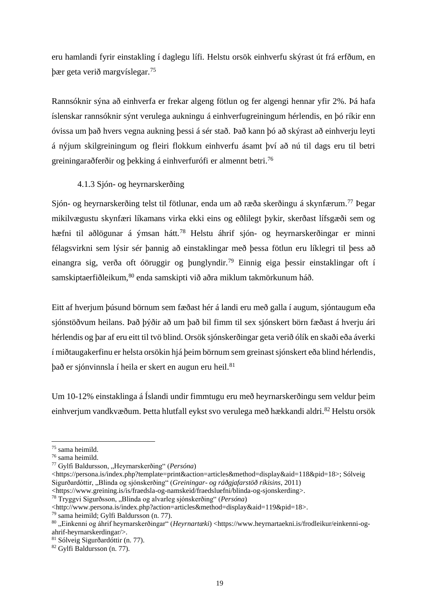eru hamlandi fyrir einstakling í daglegu lífi. Helstu orsök einhverfu skýrast út frá erfðum, en þær geta verið margvíslegar.<sup>75</sup>

Rannsóknir sýna að einhverfa er frekar algeng fötlun og fer algengi hennar yfir 2%. Þá hafa íslenskar rannsóknir sýnt verulega aukningu á einhverfugreiningum hérlendis, en þó ríkir enn óvissa um það hvers vegna aukning þessi á sér stað. Það kann þó að skýrast að einhverju leyti á nýjum skilgreiningum og fleiri flokkum einhverfu ásamt því að nú til dags eru til betri greiningaraðferðir og þekking á einhverfurófi er almennt betri. 76

## 4.1.3 Sjón- og heyrnarskerðing

Sjón- og heyrnarskerðing telst til fötlunar, enda um að ræða skerðingu á skynfærum.<sup>77</sup> Þegar mikilvægustu skynfæri líkamans virka ekki eins og eðlilegt þykir, skerðast lífsgæði sem og hæfni til aðlögunar á ýmsan hátt.<sup>78</sup> Helstu áhrif sjón- og heyrnarskerðingar er minni félagsvirkni sem lýsir sér þannig að einstaklingar með þessa fötlun eru líklegri til þess að einangra sig, verða oft óöruggir og þunglyndir.<sup>79</sup> Einnig eiga þessir einstaklingar oft í samskiptaerfiðleikum, <sup>80</sup> enda samskipti við aðra miklum takmörkunum háð.

Eitt af hverjum þúsund börnum sem fæðast hér á landi eru með galla í augum, sjóntaugum eða sjónstöðvum heilans. Það þýðir að um það bil fimm til sex sjónskert börn fæðast á hverju ári hérlendis og þar af eru eitt til tvö blind. Orsök sjónskerðingar geta verið ólík en skaði eða áverki í miðtaugakerfinu er helsta orsökin hjá þeim börnum sem greinast sjónskert eða blind hérlendis, það er sjónvinnsla í heila er skert en augun eru heil.<sup>81</sup>

Um 10-12% einstaklinga á Íslandi undir fimmtugu eru með heyrnarskerðingu sem veldur þeim einhverjum vandkvæðum. Þetta hlutfall eykst svo verulega með hækkandi aldri. <sup>82</sup> Helstu orsök

<sup>75</sup> sama heimild.

<sup>76</sup> sama heimild.

<sup>77</sup> Gylfi Baldursson, "Heyrnarskerðing" (*Persóna*)

<sup>&</sup>lt;https://persona.is/index.php?template=print&action=articles&method=display&aid=118&pid=18>; Sólveig Sigurðardóttir, "Blinda og sjónskerðing" (*Greiningar- og ráðgjafarstöð ríkisins*, 2011)

<sup>&</sup>lt;https://www.greining.is/is/fraedsla-og-namskeid/fraedsluefni/blinda-og-sjonskerding>.

<sup>78</sup> Tryggvi Sigurðsson, "Blinda og alvarleg sjónskerðing" (*Persóna*)

<sup>&</sup>lt;http://www.persona.is/index.php?action=articles&method=display&aid=119&pid=18>.

<sup>79</sup> sama heimild; Gylfi Baldursson (n. 77).

<sup>&</sup>lt;sup>80</sup> "Einkenni og áhrif heyrnarskerðingar" (*Heyrnartæki*) <https://www.heyrnartaekni.is/frodleikur/einkenni-ogahrif-heyrnarskerdingar/>.

<sup>81</sup> Sólveig Sigurðardóttir (n. 77).

<sup>82</sup> Gylfi Baldursson (n. 77).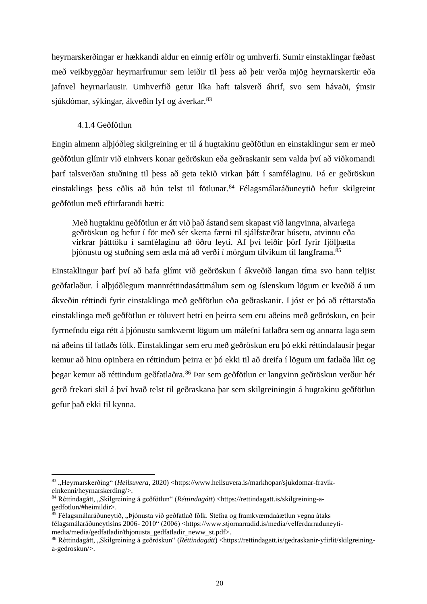heyrnarskerðingar er hækkandi aldur en einnig erfðir og umhverfi. Sumir einstaklingar fæðast með veikbyggðar heyrnarfrumur sem leiðir til þess að þeir verða mjög heyrnarskertir eða jafnvel heyrnarlausir. Umhverfið getur líka haft talsverð áhrif, svo sem hávaði, ýmsir sjúkdómar, sýkingar, ákveðin lyf og áverkar.<sup>83</sup>

#### 4.1.4 Geðfötlun

Engin almenn alþjóðleg skilgreining er til á hugtakinu geðfötlun en einstaklingur sem er með geðfötlun glímir við einhvers konar geðröskun eða geðraskanir sem valda því að viðkomandi þarf talsverðan stuðning til þess að geta tekið virkan þátt í samfélaginu. Þá er geðröskun einstaklings þess eðlis að hún telst til fötlunar.<sup>84</sup> Félagsmálaráðuneytið hefur skilgreint geðfötlun með eftirfarandi hætti:

Með hugtakinu geðfötlun er átt við það ástand sem skapast við langvinna, alvarlega geðröskun og hefur í för með sér skerta færni til sjálfstæðrar búsetu, atvinnu eða virkrar þátttöku í samfélaginu að öðru leyti. Af því leiðir þörf fyrir fjölþætta þjónustu og stuðning sem ætla má að verði í mörgum tilvikum til langframa.<sup>85</sup>

Einstaklingur þarf því að hafa glímt við geðröskun í ákveðið langan tíma svo hann teljist geðfatlaður. Í alþjóðlegum mannréttindasáttmálum sem og íslenskum lögum er kveðið á um ákveðin réttindi fyrir einstaklinga með geðfötlun eða geðraskanir. Ljóst er þó að réttarstaða einstaklinga með geðfötlun er töluvert betri en þeirra sem eru aðeins með geðröskun, en þeir fyrrnefndu eiga rétt á þjónustu samkvæmt lögum um málefni fatlaðra sem og annarra laga sem ná aðeins til fatlaðs fólk. Einstaklingar sem eru með geðröskun eru þó ekki réttindalausir þegar kemur að hinu opinbera en réttindum þeirra er þó ekki til að dreifa í lögum um fatlaða líkt og þegar kemur að réttindum geðfatlaðra.<sup>86</sup> Þar sem geðfötlun er langvinn geðröskun verður hér gerð frekari skil á því hvað telst til geðraskana þar sem skilgreiningin á hugtakinu geðfötlun gefur það ekki til kynna.

<sup>83 &</sup>quot;Heyrnarskerðing" (*Heilsuvera*, 2020) <https://www.heilsuvera.is/markhopar/sjukdomar-fravikeinkenni/heyrnarskerding/>.

<sup>84</sup> Réttindagátt, "Skilgreining á geðfötlun" (*Réttindagátt*) <https://rettindagatt.js/skilgreining-agedfotlun/#heimildir>.

 $85$  Félagsmálaráðuneytið, "Þjónusta við geðfatlað fólk. Stefna og framkvæmdaáætlun vegna átaks félagsmálaráðuneytisins 2006- 2010" (2006) <https://www.stjornarradid.is/media/velferdarraduneytimedia/media/gedfatladir/thjonusta\_gedfatladir\_neww\_st.pdf>.

<sup>86</sup> Réttindagátt, "Skilgreining á geðröskun" (*Réttindagátt*) <https://rettindagatt.is/gedraskanir-yfirlit/skilgreininga-gedroskun/>.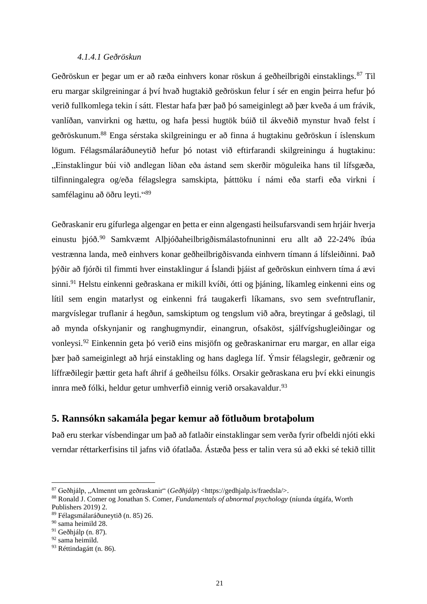### *4.1.4.1 Geðröskun*

Geðröskun er þegar um er að ræða einhvers konar röskun á geðheilbrigði einstaklings.<sup>87</sup> Til eru margar skilgreiningar á því hvað hugtakið geðröskun felur í sér en engin þeirra hefur þó verið fullkomlega tekin í sátt. Flestar hafa þær það þó sameiginlegt að þær kveða á um frávik, vanlíðan, vanvirkni og hættu, og hafa þessi hugtök búið til ákveðið mynstur hvað felst í geðröskunum.<sup>88</sup> Enga sérstaka skilgreiningu er að finna á hugtakinu geðröskun í íslenskum lögum. Félagsmálaráðuneytið hefur þó notast við eftirfarandi skilgreiningu á hugtakinu: "Einstaklingur búi við andlegan líðan eða ástand sem skerðir möguleika hans til lífsgæða, tilfinningalegra og/eða félagslegra samskipta, þátttöku í námi eða starfi eða virkni í samfélaginu að öðru leyti."<sup>89</sup>

Geðraskanir eru gífurlega algengar en þetta er einn algengasti heilsufarsvandi sem hrjáir hverja einustu þjóð.<sup>90</sup> Samkvæmt Alþjóðaheilbrigðismálastofnuninni eru allt að 22-24% íbúa vestrænna landa, með einhvers konar geðheilbrigðisvanda einhvern tímann á lífsleiðinni. Það þýðir að fjórði til fimmti hver einstaklingur á Íslandi þjáist af geðröskun einhvern tíma á ævi sinni.<sup>91</sup> Helstu einkenni geðraskana er mikill kvíði, ótti og þjáning, líkamleg einkenni eins og lítil sem engin matarlyst og einkenni frá taugakerfi líkamans, svo sem svefntruflanir, margvíslegar truflanir á hegðun, samskiptum og tengslum við aðra, breytingar á geðslagi, til að mynda ofskynjanir og ranghugmyndir, einangrun, ofsaköst, sjálfvígshugleiðingar og vonleysi.<sup>92</sup> Einkennin geta þó verið eins misjöfn og geðraskanirnar eru margar, en allar eiga þær það sameiginlegt að hrjá einstakling og hans daglega líf. Ýmsir félagslegir, geðrænir og líffræðilegir þættir geta haft áhrif á geðheilsu fólks. Orsakir geðraskana eru því ekki einungis innra með fólki, heldur getur umhverfið einnig verið orsakavaldur.<sup>93</sup>

# **5. Rannsókn sakamála þegar kemur að fötluðum brotaþolum**

Það eru sterkar vísbendingar um það að fatlaðir einstaklingar sem verða fyrir ofbeldi njóti ekki verndar réttarkerfisins til jafns við ófatlaða. Ástæða þess er talin vera sú að ekki sé tekið tillit

<sup>&</sup>lt;sup>87</sup> Geðhjálp, "Almennt um geðraskanir" (*Geðhjálp*) <https://gedhjalp.is/fraedsla/>.

<sup>88</sup> Ronald J. Comer og Jonathan S. Comer, *Fundamentals of abnormal psychology* (níunda útgáfa, Worth Publishers 2019) 2.

<sup>89</sup> Félagsmálaráðuneytið (n. 85) 26.

<sup>90</sup> sama heimild 28.

<sup>91</sup> Geðhjálp (n. 87).

<sup>&</sup>lt;sup>92</sup> sama heimild.

<sup>93</sup> Réttindagátt (n. 86).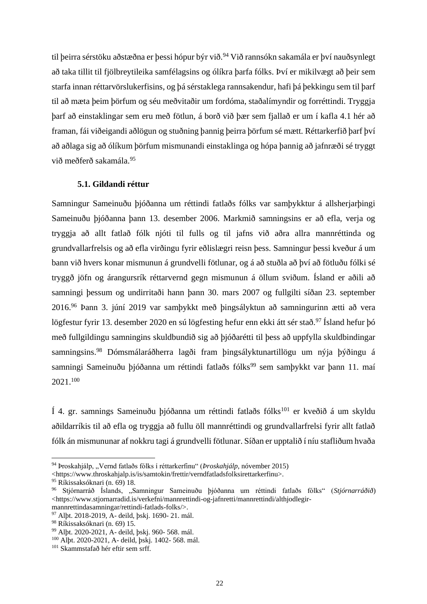til þeirra sérstöku að stæðna er þessi hópur býr við.<sup>94</sup> Við rannsókn sakamála er því nauð synlegt að taka tillit til fjölbreytileika samfélagsins og ólíkra þarfa fólks. Því er mikilvægt að þeir sem starfa innan réttarvörslukerfisins, og þá sérstaklega rannsakendur, hafi þá þekkingu sem til þarf til að mæta þeim þörfum og séu meðvitaðir um fordóma, staðalímyndir og forréttindi. Tryggja þarf að einstaklingar sem eru með fötlun, á borð við þær sem fjallað er um í kafla 4.1 hér að framan, fái viðeigandi aðlögun og stuðning þannig þeirra þörfum sé mætt. Réttarkerfið þarf því að aðlaga sig að ólíkum þörfum mismunandi einstaklinga og hópa þannig að jafnræði sé tryggt við meðferð sakamála. 95

#### **5.1. Gildandi réttur**

Samningur Sameinuðu þjóðanna um réttindi fatlaðs fólks var samþykktur á allsherjarþingi Sameinuðu þjóðanna þann 13. desember 2006. Markmið samningsins er að efla, verja og tryggja að allt fatlað fólk njóti til fulls og til jafns við aðra allra mannréttinda og grundvallarfrelsis og að efla virðingu fyrir eðlislægri reisn þess. Samningur þessi kveður á um bann við hvers konar mismunun á grundvelli fötlunar, og á að stuðla að því að fötluðu fólki sé tryggð jöfn og árangursrík réttarvernd gegn mismunun á öllum sviðum. Ísland er aðili að samningi þessum og undirritaði hann þann 30. mars 2007 og fullgilti síðan 23. september 2016.<sup>96</sup> Þann 3. júní 2019 var samþykkt með þingsályktun að samningurinn ætti að vera lögfestur fyrir 13. desember 2020 en sú lögfesting hefur enn ekki átt sér stað.<sup>97</sup> Ísland hefur þó með fullgildingu samningins skuldbundið sig að þjóðarétti til þess að uppfylla skuldbindingar samningsins.<sup>98</sup> Dómsmálaráðherra lagði fram þingsályktunartillögu um nýja þýðingu á samningi Sameinuðu þjóðanna um réttindi fatlaðs fólks<sup>99</sup> sem samþykkt var þann 11. maí 2021.<sup>100</sup>

Í 4. gr. samnings Sameinuðu þjóðanna um réttindi fatlaðs fólks<sup>101</sup> er kveðið á um skyldu aðildarríkis til að efla og tryggja að fullu öll mannréttindi og grundvallarfrelsi fyrir allt fatlað fólk án mismununar af nokkru tagi á grundvelli fötlunar. Síðan er upptalið í níu stafliðum hvaða

<sup>&</sup>lt;sup>94</sup> Þroskahjálp, "Vernd fatlaðs fólks í réttarkerfinu" (*Þroskahjálp*, nóvember 2015)

<sup>&</sup>lt;https://www.throskahjalp.is/is/samtokin/frettir/verndfatladsfolksirettarkerfinu>.

<sup>95</sup> Ríkissaksóknari (n. 69) 18.

<sup>96</sup> Stjórnarráð Íslands, "Samningur Sameinuðu þjóðanna um réttindi fatlaðs fólks" (*Stjórnarráðið*) <https://www.stjornarradid.is/verkefni/mannrettindi-og-jafnretti/mannrettindi/althjodlegirmannrettindasamningar/rettindi-fatlads-folks/>.

<sup>97</sup> Alþt. 2018-2019, A- deild, þskj. 1690- 21. mál.

<sup>98</sup> Ríkissaksóknari (n. 69) 15.

<sup>99</sup> Alþt. 2020-2021, A- deild, þskj. 960- 568. mál.

<sup>100</sup> Alþt. 2020-2021, A- deild, þskj. 1402- 568. mál.

<sup>101</sup> Skammstafað hér eftir sem srff.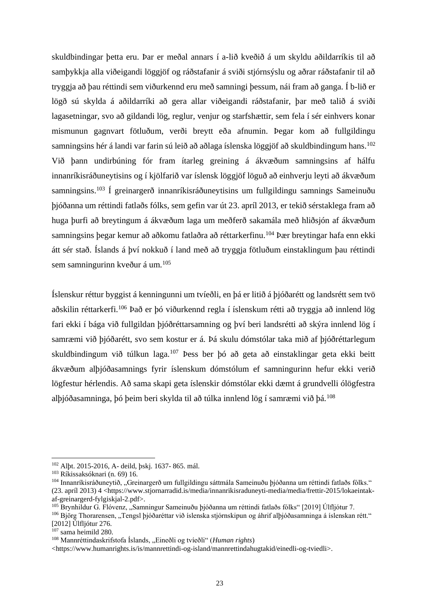skuldbindingar þetta eru. Þar er meðal annars í a-lið kveðið á um skyldu aðildarríkis til að samþykkja alla viðeigandi löggjöf og ráðstafanir á sviði stjórnsýslu og aðrar ráðstafanir til að tryggja að þau réttindi sem viðurkennd eru með samningi þessum, nái fram að ganga. Í b-lið er lögð sú skylda á aðildarríki að gera allar viðeigandi ráðstafanir, þar með talið á sviði lagasetningar, svo að gildandi lög, reglur, venjur og starfshættir, sem fela í sér einhvers konar mismunun gagnvart fötluðum, verði breytt eða afnumin. Þegar kom að fullgildingu samningsins hér á landi var farin sú leið að aðlaga íslenska löggjöf að skuldbindingum hans. 102 Við þann undirbúning fór fram ítarleg greining á ákvæðum samningsins af hálfu innanríkisráðuneytisins og í kjölfarið var íslensk löggjöf löguð að einhverju leyti að ákvæðum samningsins.<sup>103</sup> Í greinargerð innanríkisráðuneytisins um fullgildingu samnings Sameinuðu þjóðanna um réttindi fatlaðs fólks, sem gefin var út 23. apríl 2013, er tekið sérstaklega fram að huga þurfi að breytingum á ákvæðum laga um meðferð sakamála með hliðsjón af ákvæðum samningsins þegar kemur að aðkomu fatlaðra að réttarkerfinu.<sup>104</sup> Þær breytingar hafa enn ekki átt sér stað. Íslands á því nokkuð í land með að tryggja fötluðum einstaklingum þau réttindi sem samningurinn kveður á um.<sup>105</sup>

Íslenskur réttur byggist á kenningunni um tvíeðli, en þá er litið á þjóðarétt og landsrétt sem tvö aðskilin réttarkerfi.<sup>106</sup> Það er þó viðurkennd regla í íslenskum rétti að tryggja að innlend lög fari ekki í bága við fullgildan þjóðréttarsamning og því beri landsrétti að skýra innlend lög í samræmi við þjóðarétt, svo sem kostur er á. Þá skulu dómstólar taka mið af þjóðréttarlegum skuldbindingum við túlkun laga.<sup>107</sup> Þess ber þó að geta að einstaklingar geta ekki beitt ákvæðum alþjóðasamnings fyrir íslenskum dómstólum ef samningurinn hefur ekki verið lögfestur hérlendis. Að sama skapi geta íslenskir dómstólar ekki dæmt á grundvelli ólögfestra alþjóðasamninga, þó þeim beri skylda til að túlka innlend lög í samræmi við þá.<sup>108</sup>

<sup>102</sup> Alþt. 2015-2016, A- deild, þskj. 1637- 865. mál.

<sup>103</sup> Ríkissaksóknari (n. 69) 16.

<sup>104</sup> Innanríkisráðuneytið, "Greinargerð um fullgildingu sáttmála Sameinuðu þjóðanna um réttindi fatlaðs fólks." (23. apríl 2013) 4 <https://www.stjornarradid.is/media/innanrikisraduneyti-media/media/frettir-2015/lokaeintakaf-greinargerd-fylgiskjal-2.pdf>.

<sup>105</sup> Brynhildur G. Flóvenz, "Samningur Sameinuðu þjóðanna um réttindi fatlaðs fólks" [2019] Úlfljótur 7.

<sup>&</sup>lt;sup>106</sup> Björg Thorarensen, "Tengsl þjóðaréttar við íslenska stjórnskipun og áhrif alþjóðasamninga á íslenskan rétt." [2012] Úlfljótur 276.

<sup>107</sup> sama heimild 280.

<sup>&</sup>lt;sup>108</sup> Mannréttindaskrifstofa Íslands, "Eineðli og tvíeðli" (*Human rights*)

<sup>&</sup>lt;https://www.humanrights.is/is/mannrettindi-og-island/mannrettindahugtakid/einedli-og-tviedli>.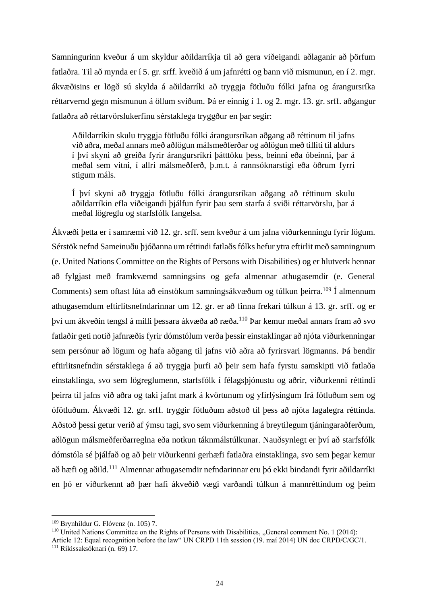Samningurinn kveður á um skyldur aðildarríkja til að gera viðeigandi aðlaganir að þörfum fatlaðra. Til að mynda er í 5. gr. srff. kveðið á um jafnrétti og bann við mismunun, en í 2. mgr. ákvæðisins er lögð sú skylda á aðildarríki að tryggja fötluðu fólki jafna og árangursríka réttarvernd gegn mismunun á öllum sviðum. Þá er einnig í 1. og 2. mgr. 13. gr. srff. aðgangur fatlaðra að réttarvörslukerfinu sérstaklega tryggður en þar segir:

Aðildarríkin skulu tryggja fötluðu fólki árangursríkan aðgang að réttinum til jafns við aðra, meðal annars með aðlögun málsmeðferðar og aðlögun með tilliti til aldurs í því skyni að greiða fyrir árangursríkri þátttöku þess, beinni eða óbeinni, þar á meðal sem vitni, í allri málsmeðferð, þ.m.t. á rannsóknarstigi eða öðrum fyrri stigum máls.

Í því skyni að tryggja fötluðu fólki árangursríkan aðgang að réttinum skulu aðildarríkin efla viðeigandi þjálfun fyrir þau sem starfa á sviði réttarvörslu, þar á meðal lögreglu og starfsfólk fangelsa.

Ákvæði þetta er í samræmi við 12. gr. srff. sem kveður á um jafna viðurkenningu fyrir lögum. Sérstök nefnd Sameinuðu þjóðanna um réttindi fatlaðs fólks hefur ytra eftirlit með samningnum (e. United Nations Committee on the Rights of Persons with Disabilities) og er hlutverk hennar að fylgjast með framkvæmd samningsins og gefa almennar athugasemdir (e. General Comments) sem oftast lúta að einstökum samningsákvæðum og túlkun þeirra.<sup>109</sup> Í almennum athugasemdum eftirlitsnefndarinnar um 12. gr. er að finna frekari túlkun á 13. gr. srff. og er því um ákveðin tengsl á milli þessara ákvæða að ræða. <sup>110</sup> Þar kemur meðal annars fram að svo fatlaðir geti notið jafnræðis fyrir dómstólum verða þessir einstaklingar að njóta viðurkenningar sem persónur að lögum og hafa aðgang til jafns við aðra að fyrirsvari lögmanns. Þá bendir eftirlitsnefndin sérstaklega á að tryggja þurfi að þeir sem hafa fyrstu samskipti við fatlaða einstaklinga, svo sem lögreglumenn, starfsfólk í félagsþjónustu og aðrir, viðurkenni réttindi þeirra til jafns við aðra og taki jafnt mark á kvörtunum og yfirlýsingum frá fötluðum sem og ófötluðum. Ákvæði 12. gr. srff. tryggir fötluðum aðstoð til þess að njóta lagalegra réttinda. Aðstoð þessi getur verið af ýmsu tagi, svo sem viðurkenning á breytilegum tjáningaraðferðum, aðlögun málsmeðferðarreglna eða notkun táknmálstúlkunar. Nauðsynlegt er því að starfsfólk dómstóla sé þjálfað og að þeir viðurkenni gerhæfi fatlaðra einstaklinga, svo sem þegar kemur að hæfi og aðild.<sup>111</sup> Almennar athugasemdir nefndarinnar eru þó ekki bindandi fyrir aðildarríki en þó er viðurkennt að þær hafi ákveðið vægi varðandi túlkun á mannréttindum og þeim

 $109$  Brynhildur G. Flóvenz (n. 105) 7.

 $110$  United Nations Committee on the Rights of Persons with Disabilities, "General comment No. 1 (2014): Article 12: Equal recognition before the law" UN CRPD 11th session (19. maí 2014) UN doc CRPD/C/GC/1. <sup>111</sup> Ríkissaksóknari (n. 69) 17.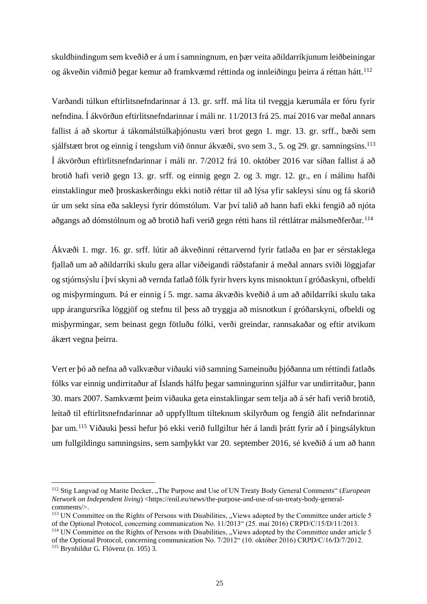skuldbindingum sem kveðið er á um í samningnum, en þær veita aðildarríkjunum leiðbeiningar og ákveðin viðmið þegar kemur að framkvæmd réttinda og innleiðingu þeirra á réttan hátt. 112

Varðandi túlkun eftirlitsnefndarinnar á 13. gr. srff. má líta til tveggja kærumála er fóru fyrir nefndina. Í ákvörðun eftirlitsnefndarinnar í máli nr. 11/2013 frá 25. maí 2016 var meðal annars fallist á að skortur á táknmálstúlkaþjónustu væri brot gegn 1. mgr. 13. gr. srff., bæði sem sjálfstætt brot og einnig í tengslum við önnur ákvæði, svo sem 3., 5. og 29. gr. samningsins.<sup>113</sup> Í ákvörðun eftirlitsnefndarinnar í máli nr. 7/2012 frá 10. október 2016 var síðan fallist á að brotið hafi verið gegn 13. gr. srff. og einnig gegn 2. og 3. mgr. 12. gr., en í málinu hafði einstaklingur með þroskaskerðingu ekki notið réttar til að lýsa yfir sakleysi sínu og fá skorið úr um sekt sína eða sakleysi fyrir dómstólum. Var því talið að hann hafi ekki fengið að njóta aðgangs að dómstólnum og að brotið hafi verið gegn rétti hans til réttlátrar málsmeðferðar.<sup>114</sup>

Ákvæði 1. mgr. 16. gr. srff. lútir að ákveðinni réttarvernd fyrir fatlaða en þar er sérstaklega fjallað um að aðildarríki skulu gera allar viðeigandi ráðstafanir á meðal annars sviði löggjafar og stjórnsýslu í því skyni að vernda fatlað fólk fyrir hvers kyns misnoktun í gróðaskyni, ofbeldi og misþyrmingum. Þá er einnig í 5. mgr. sama ákvæðis kveðið á um að aðildarríki skulu taka upp árangursríka löggjöf og stefnu til þess að tryggja að misnotkun í gróðarskyni, ofbeldi og misþyrmingar, sem beinast gegn fötluðu fólki, verði greindar, rannsakaðar og eftir atvikum ákært vegna þeirra.

Vert er þó að nefna að valkvæður viðauki við samning Sameinuðu þjóðanna um réttindi fatlaðs fólks var einnig undirritaður af Íslands hálfu þegar samningurinn sjálfur var undirritaður, þann 30. mars 2007. Samkvæmt þeim viðauka geta einstaklingar sem telja að á sér hafi verið brotið, leitað til eftirlitsnefndarinnar að uppfylltum tilteknum skilyrðum og fengið álit nefndarinnar þar um.<sup>115</sup> Viðauki þessi hefur þó ekki verið fullgiltur hér á landi þrátt fyrir að í þingsályktun um fullgildingu samningsins, sem samþykkt var 20. september 2016, sé kveðið á um að hann

<sup>&</sup>lt;sup>112</sup> Stig Langvad og Marite Decker, "The Purpose and Use of UN Treaty Body General Comments" (*European Network on Independent living*) <https://enil.eu/news/the-purpose-and-use-of-un-treaty-body-generalcomments/>.

 $113$  UN Committee on the Rights of Persons with Disabilities, "Views adopted by the Committee under article 5 of the Optional Protocol, concerning communication No. 11/2013" (25. maí 2016) CRPD/C/15/D/11/2013.

<sup>&</sup>lt;sup>114</sup> UN Committee on the Rights of Persons with Disabilities, "Views adopted by the Committee under article 5 of the Optional Protocol, concerning communication No. 7/2012" (10. október 2016) CRPD/C/16/D/7/2012.  $115$  Brynhildur G. Flóvenz (n. 105) 3.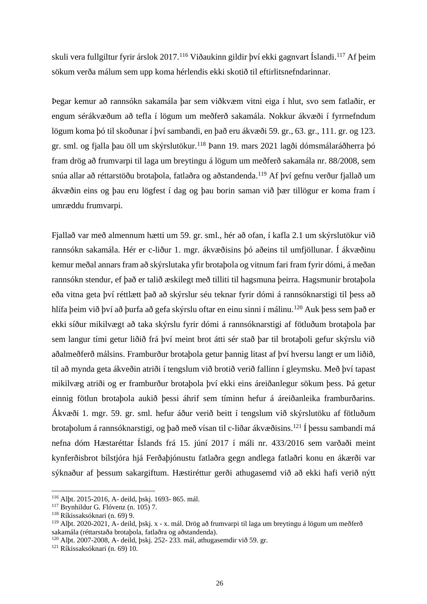skuli vera fullgiltur fyrir árslok 2017.<sup>116</sup> Viðaukinn gildir því ekki gagnvart Íslandi.<sup>117</sup> Af þeim sökum verða málum sem upp koma hérlendis ekki skotið til eftirlitsnefndarinnar.

Þegar kemur að rannsókn sakamála þar sem viðkvæm vitni eiga í hlut, svo sem fatlaðir, er engum sérákvæðum að tefla í lögum um meðferð sakamála. Nokkur ákvæði í fyrrnefndum lögum koma þó til skoðunar í því sambandi, en það eru ákvæði 59. gr., 63. gr., 111. gr. og 123. gr. sml. og fjalla þau öll um skýrslutökur.<sup>118</sup> Þann 19. mars 2021 lagði dómsmálaráðherra þó fram drög að frumvarpi til laga um breytingu á lögum um meðferð sakamála nr. 88/2008, sem snúa allar að réttarstöðu brotaþola, fatlaðra og aðstandenda. <sup>119</sup> Af því gefnu verður fjallað um ákvæðin eins og þau eru lögfest í dag og þau borin saman við þær tillögur er koma fram í umræddu frumvarpi.

Fjallað var með almennum hætti um 59. gr. sml., hér að ofan, í kafla 2.1 um skýrslutökur við rannsókn sakamála. Hér er c-liður 1. mgr. ákvæðisins þó aðeins til umfjöllunar. Í ákvæðinu kemur meðal annars fram að skýrslutaka yfir brotaþola og vitnum fari fram fyrir dómi, á meðan rannsókn stendur, ef það er talið æskilegt með tilliti til hagsmuna þeirra. Hagsmunir brotaþola eða vitna geta því réttlætt það að skýrslur séu teknar fyrir dómi á rannsóknarstigi til þess að hlífa þeim við því að þurfa að gefa skýrslu oftar en einu sinni í málinu.<sup>120</sup> Auk þess sem það er ekki síður mikilvægt að taka skýrslu fyrir dómi á rannsóknarstigi af fötluðum brotaþola þar sem langur tími getur liðið frá því meint brot átti sér stað þar til brotaþoli gefur skýrslu við aðalmeðferð málsins. Framburður brotaþola getur þannig litast af því hversu langt er um liðið, til að mynda geta ákveðin atriði í tengslum við brotið verið fallinn í gleymsku. Með því tapast mikilvæg atriði og er framburður brotaþola því ekki eins áreiðanlegur sökum þess. Þá getur einnig fötlun brotaþola aukið þessi áhrif sem tíminn hefur á áreiðanleika framburðarins. Ákvæði 1. mgr. 59. gr. sml. hefur áður verið beitt í tengslum við skýrslutöku af fötluðum brotaþolum á rannsóknarstigi, og það með vísan til c-liðar ákvæðisins. <sup>121</sup> Í þessu sambandi má nefna dóm Hæstaréttar Íslands frá 15. júní 2017 í máli nr. 433/2016 sem varðaði meint kynferðisbrot bílstjóra hjá Ferðaþjónustu fatlaðra gegn andlega fatlaðri konu en ákærði var sýknaður af þessum sakargiftum. Hæstiréttur gerði athugasemd við að ekki hafi verið nýtt

<sup>116</sup> Alþt. 2015-2016, A- deild, þskj. 1693- 865. mál.

<sup>117</sup> Brynhildur G. Flóvenz (n. 105) 7.

<sup>118</sup> Ríkissaksóknari (n. 69) 9.

<sup>119</sup> Alþt. 2020-2021, A- deild, þskj. x - x. mál. Drög að frumvarpi til laga um breytingu á lögum um meðferð sakamála (réttarstaða brotaþola, fatlaðra og aðstandenda).

<sup>120</sup> Alþt. 2007-2008, A- deild, þskj. 252- 233. mál, athugasemdir við 59. gr.

<sup>121</sup> Ríkissaksóknari (n. 69) 10.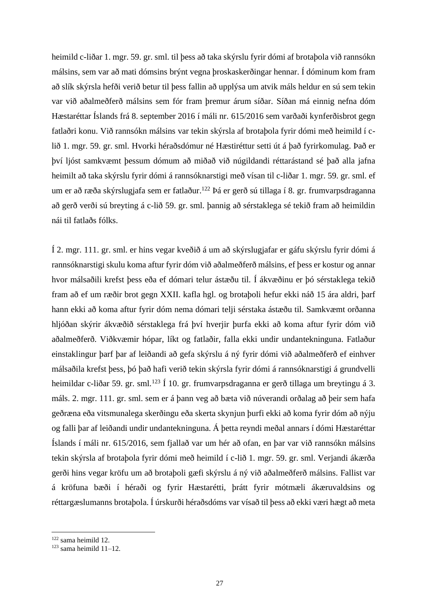heimild c-liðar 1. mgr. 59. gr. sml. til þess að taka skýrslu fyrir dómi af brotaþola við rannsókn málsins, sem var að mati dómsins brýnt vegna þroskaskerðingar hennar. Í dóminum kom fram að slík skýrsla hefði verið betur til þess fallin að upplýsa um atvik máls heldur en sú sem tekin var við aðalmeðferð málsins sem fór fram þremur árum síðar. Síðan má einnig nefna dóm Hæstaréttar Íslands frá 8. september 2016 í máli nr. 615/2016 sem varðaði kynferðisbrot gegn fatlaðri konu. Við rannsókn málsins var tekin skýrsla af brotaþola fyrir dómi með heimild í clið 1. mgr. 59. gr. sml. Hvorki héraðsdómur né Hæstiréttur setti út á það fyrirkomulag. Það er því ljóst samkvæmt þessum dómum að miðað við núgildandi réttarástand sé það alla jafna heimilt að taka skýrslu fyrir dómi á rannsóknarstigi með vísan til c-liðar 1. mgr. 59. gr. sml. ef um er að ræða skýrslugjafa sem er fatlaður. <sup>122</sup> Þá er gerð sú tillaga í 8. gr. frumvarpsdraganna að gerð verði sú breyting á c-lið 59. gr. sml. þannig að sérstaklega sé tekið fram að heimildin nái til fatlaðs fólks.

Í 2. mgr. 111. gr. sml. er hins vegar kveðið á um að skýrslugjafar er gáfu skýrslu fyrir dómi á rannsóknarstigi skulu koma aftur fyrir dóm við aðalmeðferð málsins, ef þess er kostur og annar hvor málsaðili krefst þess eða ef dómari telur ástæðu til. Í ákvæðinu er þó sérstaklega tekið fram að ef um ræðir brot gegn XXII. kafla hgl. og brotaþoli hefur ekki náð 15 ára aldri, þarf hann ekki að koma aftur fyrir dóm nema dómari telji sérstaka ástæðu til. Samkvæmt orðanna hljóðan skýrir ákvæðið sérstaklega frá því hverjir þurfa ekki að koma aftur fyrir dóm við aðalmeðferð. Viðkvæmir hópar, líkt og fatlaðir, falla ekki undir undantekninguna. Fatlaður einstaklingur þarf þar af leiðandi að gefa skýrslu á ný fyrir dómi við aðalmeðferð ef einhver málsaðila krefst þess, þó það hafi verið tekin skýrsla fyrir dómi á rannsóknarstigi á grundvelli heimildar c-liðar 59. gr. sml.<sup>123</sup> Í 10. gr. frumvarpsdraganna er gerð tillaga um breytingu á 3. máls. 2. mgr. 111. gr. sml. sem er á þann veg að bæta við núverandi orðalag að þeir sem hafa geðræna eða vitsmunalega skerðingu eða skerta skynjun þurfi ekki að koma fyrir dóm að nýju og falli þar af leiðandi undir undantekninguna. Á þetta reyndi meðal annars í dómi Hæstaréttar Íslands í máli nr. 615/2016, sem fjallað var um hér að ofan, en þar var við rannsókn málsins tekin skýrsla af brotaþola fyrir dómi með heimild í c-lið 1. mgr. 59. gr. sml. Verjandi ákærða gerði hins vegar kröfu um að brotaþoli gæfi skýrslu á ný við aðalmeðferð málsins. Fallist var á kröfuna bæði í héraði og fyrir Hæstarétti, þrátt fyrir mótmæli ákæruvaldsins og réttargæslumanns brotaþola. Í úrskurði héraðsdóms var vísað til þess að ekki væri hægt að meta

<sup>122</sup> sama heimild 12.

 $123$  sama heimild  $11-12$ .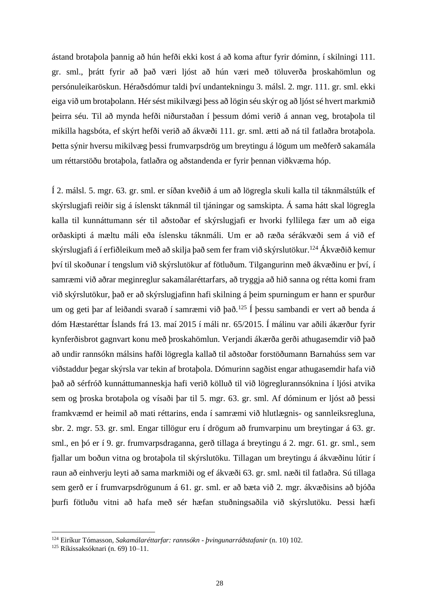ástand brotaþola þannig að hún hefði ekki kost á að koma aftur fyrir dóminn, í skilningi 111. gr. sml., þrátt fyrir að það væri ljóst að hún væri með töluverða þroskahömlun og persónuleikaröskun. Héraðsdómur taldi því undantekningu 3. málsl. 2. mgr. 111. gr. sml. ekki eiga við um brotaþolann. Hér sést mikilvægi þess að lögin séu skýr og að ljóst sé hvert markmið þeirra séu. Til að mynda hefði niðurstaðan í þessum dómi verið á annan veg, brotaþola til mikilla hagsbóta, ef skýrt hefði verið að ákvæði 111. gr. sml. ætti að ná til fatlaðra brotaþola. Þetta sýnir hversu mikilvæg þessi frumvarpsdrög um breytingu á lögum um meðferð sakamála um réttarstöðu brotaþola, fatlaðra og aðstandenda er fyrir þennan viðkvæma hóp.

Í 2. málsl. 5. mgr. 63. gr. sml. er síðan kveðið á um að lögregla skuli kalla til táknmálstúlk ef skýrslugjafi reiðir sig á íslenskt táknmál til tjáningar og samskipta. Á sama hátt skal lögregla kalla til kunnáttumann sér til aðstoðar ef skýrslugjafi er hvorki fyllilega fær um að eiga orðaskipti á mæltu máli eða íslensku táknmáli. Um er að ræða sérákvæði sem á við ef skýrslugjafi á í erfiðleikum með að skilja það sem fer fram við skýrslutökur. <sup>124</sup> Ákvæðið kemur því til skoðunar í tengslum við skýrslutökur af fötluðum. Tilgangurinn með ákvæðinu er því, í samræmi við aðrar meginreglur sakamálaréttarfars, að tryggja að hið sanna og rétta komi fram við skýrslutökur, það er að skýrslugjafinn hafi skilning á þeim spurningum er hann er spurður um og geti þar af leiðandi svarað í samræmi við það.<sup>125</sup> Í þessu sambandi er vert að benda á dóm Hæstaréttar Íslands frá 13. maí 2015 í máli nr. 65/2015. Í málinu var aðili ákærður fyrir kynferðisbrot gagnvart konu með þroskahömlun. Verjandi ákærða gerði athugasemdir við það að undir rannsókn málsins hafði lögregla kallað til aðstoðar forstöðumann Barnahúss sem var viðstaddur þegar skýrsla var tekin af brotaþola. Dómurinn sagðist engar athugasemdir hafa við það að sérfróð kunnáttumanneskja hafi verið kölluð til við lögreglurannsóknina í ljósi atvika sem og þroska brotaþola og vísaði þar til 5. mgr. 63. gr. sml. Af dóminum er ljóst að þessi framkvæmd er heimil að mati réttarins, enda í samræmi við hlutlægnis- og sannleiksregluna, sbr. 2. mgr. 53. gr. sml. Engar tillögur eru í drögum að frumvarpinu um breytingar á 63. gr. sml., en þó er í 9. gr. frumvarpsdraganna, gerð tillaga á breytingu á 2. mgr. 61. gr. sml., sem fjallar um boðun vitna og brotaþola til skýrslutöku. Tillagan um breytingu á ákvæðinu lútir í raun að einhverju leyti að sama markmiði og ef ákvæði 63. gr. sml. næði til fatlaðra. Sú tillaga sem gerð er í frumvarpsdrögunum á 61. gr. sml. er að bæta við 2. mgr. ákvæðisins að bjóða þurfi fötluðu vitni að hafa með sér hæfan stuðningsaðila við skýrslutöku. Þessi hæfi

<sup>124</sup> Eiríkur Tómasson, *Sakamálaréttarfar: rannsókn - þvingunarráðstafanir* (n. 10) 102.

<sup>125</sup> Ríkissaksóknari (n. 69) 10–11.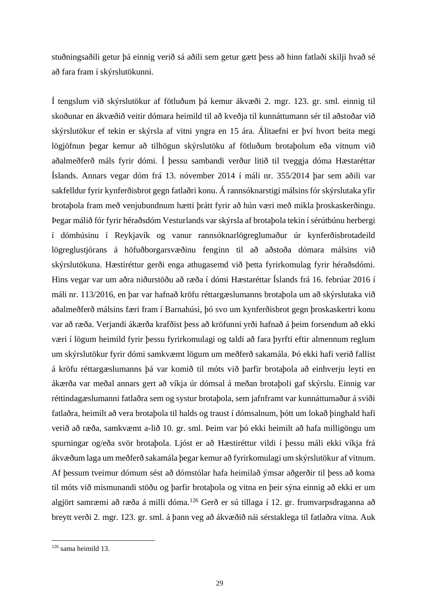stuðningsaðili getur þá einnig verið sá aðili sem getur gætt þess að hinn fatlaði skilji hvað sé að fara fram í skýrslutökunni.

Í tengslum við skýrslutökur af fötluðum þá kemur ákvæði 2. mgr. 123. gr. sml. einnig til skoðunar en ákvæðið veitir dómara heimild til að kveðja til kunnáttumann sér til aðstoðar við skýrslutökur ef tekin er skýrsla af vitni yngra en 15 ára. Álitaefni er því hvort beita megi lögjöfnun þegar kemur að tilhögun skýrslutöku af fötluðum brotaþolum eða vitnum við aðalmeðferð máls fyrir dómi. Í þessu sambandi verður litið til tveggja dóma Hæstaréttar Íslands. Annars vegar dóm frá 13. nóvember 2014 í máli nr. 355/2014 þar sem aðili var sakfelldur fyrir kynferðisbrot gegn fatlaðri konu. Á rannsóknarstigi málsins fór skýrslutaka yfir brotaþola fram með venjubundnum hætti þrátt fyrir að hún væri með mikla þroskaskerðingu. Þegar málið fór fyrir héraðsdóm Vesturlands var skýrsla af brotaþola tekin í sérútbúnu herbergi í dómhúsinu í Reykjavík og vanur rannsóknarlögreglumaður úr kynferðisbrotadeild lögreglustjórans á höfuðborgarsvæðinu fenginn til að aðstoða dómara málsins við skýrslutökuna. Hæstiréttur gerði enga athugasemd við þetta fyrirkomulag fyrir héraðsdómi. Hins vegar var um aðra niðurstöðu að ræða í dómi Hæstaréttar Íslands frá 16. febrúar 2016 í máli nr. 113/2016, en þar var hafnað kröfu réttargæslumanns brotaþola um að skýrslutaka við aðalmeðferð málsins færi fram í Barnahúsi, þó svo um kynferðisbrot gegn þroskaskertri konu var að ræða. Verjandi ákærða krafðist þess að kröfunni yrði hafnað á þeim forsendum að ekki væri í lögum heimild fyrir þessu fyrirkomulagi og taldi að fara þyrfti eftir almennum reglum um skýrslutökur fyrir dómi samkvæmt lögum um meðferð sakamála. Þó ekki hafi verið fallist á kröfu réttargæslumanns þá var komið til móts við þarfir brotaþola að einhverju leyti en ákærða var meðal annars gert að víkja úr dómsal á meðan brotaþoli gaf skýrslu. Einnig var réttindagæslumanni fatlaðra sem og systur brotaþola, sem jafnframt var kunnáttumaður á sviði fatlaðra, heimilt að vera brotaþola til halds og traust í dómsalnum, þótt um lokað þinghald hafi verið að ræða, samkvæmt a-lið 10. gr. sml. Þeim var þó ekki heimilt að hafa milligöngu um spurningar og/eða svör brotaþola. Ljóst er að Hæstiréttur vildi í þessu máli ekki víkja frá ákvæðum laga um meðferð sakamála þegar kemur að fyrirkomulagi um skýrslutökur af vitnum. Af þessum tveimur dómum sést að dómstólar hafa heimilað ýmsar aðgerðir til þess að koma til móts við mismunandi stöðu og þarfir brotaþola og vitna en þeir sýna einnig að ekki er um algjört samræmi að ræða á milli dóma.<sup>126</sup> Gerð er sú tillaga í 12. gr. frumvarpsdraganna að breytt verði 2. mgr. 123. gr. sml. á þann veg að ákvæðið nái sérstaklega til fatlaðra vitna. Auk

 $126$  sama heimild 13.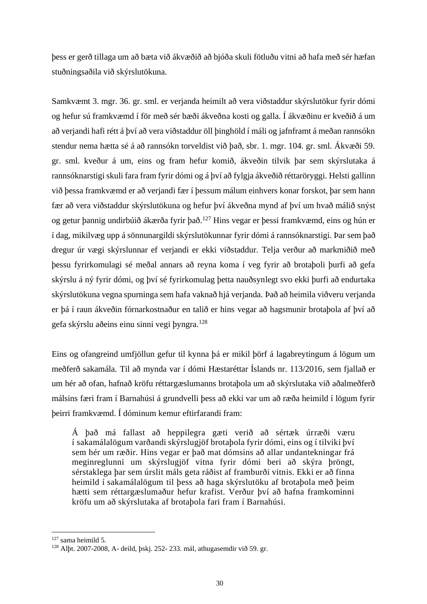þess er gerð tillaga um að bæta við ákvæðið að bjóða skuli fötluðu vitni að hafa með sér hæfan stuðningsaðila við skýrslutökuna.

Samkvæmt 3. mgr. 36. gr. sml. er verjanda heimilt að vera viðstaddur skýrslutökur fyrir dómi og hefur sú framkvæmd í för með sér bæði ákveðna kosti og galla. Í ákvæðinu er kveðið á um að verjandi hafi rétt á því að vera viðstaddur öll þinghöld í máli og jafnframt á meðan rannsókn stendur nema hætta sé á að rannsókn torveldist við það, sbr. 1. mgr. 104. gr. sml. Ákvæði 59. gr. sml. kveður á um, eins og fram hefur komið, ákveðin tilvik þar sem skýrslutaka á rannsóknarstigi skuli fara fram fyrir dómi og á því að fylgja ákveðið réttaröryggi. Helsti gallinn við þessa framkvæmd er að verjandi fær í þessum málum einhvers konar forskot, þar sem hann fær að vera viðstaddur skýrslutökuna og hefur því ákveðna mynd af því um hvað málið snýst og getur þannig undirbúið ákærða fyrir það.<sup>127</sup> Hins vegar er þessi framkvæmd, eins og hún er í dag, mikilvæg upp á sönnunargildi skýrslutökunnar fyrir dómi á rannsóknarstigi. Þar sem það dregur úr vægi skýrslunnar ef verjandi er ekki viðstaddur. Telja verður að markmiðið með þessu fyrirkomulagi sé meðal annars að reyna koma í veg fyrir að brotaþoli þurfi að gefa skýrslu á ný fyrir dómi, og því sé fyrirkomulag þetta nauðsynlegt svo ekki þurfi að endurtaka skýrslutökuna vegna spurninga sem hafa vaknað hjá verjanda. Það að heimila viðveru verjanda er þá í raun ákveðin fórnarkostnaður en talið er hins vegar að hagsmunir brotaþola af því að gefa skýrslu aðeins einu sinni vegi þyngra.<sup>128</sup>

Eins og ofangreind umfjöllun gefur til kynna þá er mikil þörf á lagabreytingum á lögum um meðferð sakamála. Til að mynda var í dómi Hæstaréttar Íslands nr. 113/2016, sem fjallað er um hér að ofan, hafnað kröfu réttargæslumanns brotaþola um að skýrslutaka við aðalmeðferð málsins færi fram í Barnahúsi á grundvelli þess að ekki var um að ræða heimild í lögum fyrir þeirri framkvæmd. Í dóminum kemur eftirfarandi fram:

Á það má fallast að heppilegra gæti verið að sértæk úrræði væru í sakamálalögum varðandi skýrslugjöf brotaþola fyrir dómi, eins og í tilviki því sem hér um ræðir. Hins vegar er það mat dómsins að allar undantekningar frá meginreglunni um skýrslugjöf vitna fyrir dómi beri að skýra þröngt, sérstaklega þar sem úrslit máls geta ráðist af framburði vitnis. Ekki er að finna heimild í sakamálalögum til þess að haga skýrslutöku af brotaþola með þeim hætti sem réttargæslumaður hefur krafist. Verður því að hafna framkominni kröfu um að skýrslutaka af brotaþola fari fram í Barnahúsi.

<sup>127</sup> sama heimild 5.

<sup>128</sup> Alþt. 2007-2008, A- deild, þskj. 252- 233. mál, athugasemdir við 59. gr.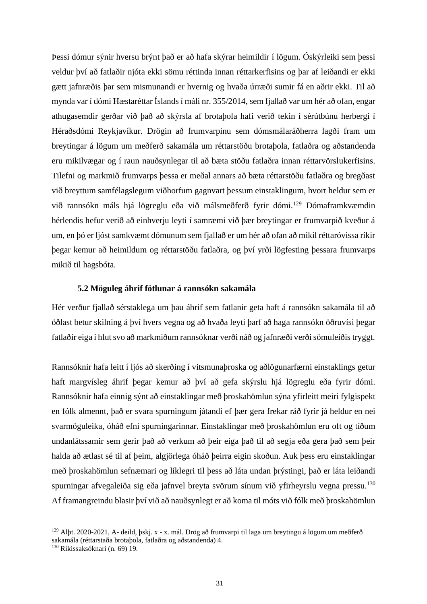Þessi dómur sýnir hversu brýnt það er að hafa skýrar heimildir í lögum. Óskýrleiki sem þessi veldur því að fatlaðir njóta ekki sömu réttinda innan réttarkerfisins og þar af leiðandi er ekki gætt jafnræðis þar sem mismunandi er hvernig og hvaða úrræði sumir fá en aðrir ekki. Til að mynda var í dómi Hæstaréttar Íslands í máli nr. 355/2014, sem fjallað var um hér að ofan, engar athugasemdir gerðar við það að skýrsla af brotaþola hafi verið tekin í sérútbúnu herbergi í Héraðsdómi Reykjavíkur. Drögin að frumvarpinu sem dómsmálaráðherra lagði fram um breytingar á lögum um meðferð sakamála um réttarstöðu brotaþola, fatlaðra og aðstandenda eru mikilvægar og í raun nauðsynlegar til að bæta stöðu fatlaðra innan réttarvörslukerfisins. Tilefni og markmið frumvarps þessa er meðal annars að bæta réttarstöðu fatlaðra og bregðast við breyttum samfélagslegum viðhorfum gagnvart þessum einstaklingum, hvort heldur sem er við rannsókn máls hjá lögreglu eða við málsmeðferð fyrir dómi. <sup>129</sup> Dómaframkvæmdin hérlendis hefur verið að einhverju leyti í samræmi við þær breytingar er frumvarpið kveður á um, en þó er ljóst samkvæmt dómunum sem fjallað er um hér að ofan að mikil réttaróvissa ríkir þegar kemur að heimildum og réttarstöðu fatlaðra, og því yrði lögfesting þessara frumvarps mikið til hagsbóta.

#### **5.2 Möguleg áhrif fötlunar á rannsókn sakamála**

Hér verður fjallað sérstaklega um þau áhrif sem fatlanir geta haft á rannsókn sakamála til að öðlast betur skilning á því hvers vegna og að hvaða leyti þarf að haga rannsókn öðruvísi þegar fatlaðir eiga í hlut svo að markmiðum rannsóknar verði náð og jafnræði verði sömuleiðis tryggt.

Rannsóknir hafa leitt í ljós að skerðing í vitsmunaþroska og aðlögunarfærni einstaklings getur haft margvísleg áhrif þegar kemur að því að gefa skýrslu hjá lögreglu eða fyrir dómi. Rannsóknir hafa einnig sýnt að einstaklingar með þroskahömlun sýna yfirleitt meiri fylgispekt en fólk almennt, það er svara spurningum játandi ef þær gera frekar ráð fyrir já heldur en nei svarmöguleika, óháð efni spurningarinnar. Einstaklingar með þroskahömlun eru oft og tíðum undanlátssamir sem gerir það að verkum að þeir eiga það til að segja eða gera það sem þeir halda að ætlast sé til af þeim, algjörlega óháð þeirra eigin skoðun. Auk þess eru einstaklingar með þroskahömlun sefnæmari og líklegri til þess að láta undan þrýstingi, það er láta leiðandi spurningar afvegaleiða sig eða jafnvel breyta svörum sínum við yfirheyrslu vegna pressu.<sup>130</sup> Af framangreindu blasir því við að nauðsynlegt er að koma til móts við fólk með þroskahömlun

<sup>129</sup> Alþt. 2020-2021, A- deild, þskj. x - x. mál. Drög að frumvarpi til laga um breytingu á lögum um meðferð sakamála (réttarstaða brotaþola, fatlaðra og aðstandenda) 4.

<sup>130</sup> Ríkissaksóknari (n. 69) 19.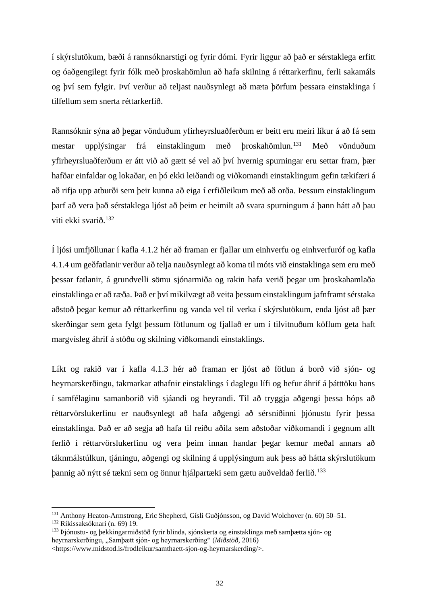í skýrslutökum, bæði á rannsóknarstigi og fyrir dómi. Fyrir liggur að það er sérstaklega erfitt og óaðgengilegt fyrir fólk með þroskahömlun að hafa skilning á réttarkerfinu, ferli sakamáls og því sem fylgir. Því verður að teljast nauðsynlegt að mæta þörfum þessara einstaklinga í tilfellum sem snerta réttarkerfið.

Rannsóknir sýna að þegar vönduðum yfirheyrsluaðferðum er beitt eru meiri líkur á að fá sem mestar upplýsingar frá einstaklingum með þroskahömlun.<sup>131</sup> Með vönduðum yfirheyrsluaðferðum er átt við að gætt sé vel að því hvernig spurningar eru settar fram, þær hafðar einfaldar og lokaðar, en þó ekki leiðandi og viðkomandi einstaklingum gefin tækifæri á að rifja upp atburði sem þeir kunna að eiga í erfiðleikum með að orða. Þessum einstaklingum þarf að vera það sérstaklega ljóst að þeim er heimilt að svara spurningum á þann hátt að þau viti ekki svarið.<sup>132</sup>

Í ljósi umfjöllunar í kafla 4.1.2 hér að framan er fjallar um einhverfu og einhverfuróf og kafla 4.1.4 um geðfatlanir verður að telja nauðsynlegt að koma til móts við einstaklinga sem eru með þessar fatlanir, á grundvelli sömu sjónarmiða og rakin hafa verið þegar um þroskahamlaða einstaklinga er að ræða. Það er því mikilvægt að veita þessum einstaklingum jafnframt sérstaka aðstoð þegar kemur að réttarkerfinu og vanda vel til verka í skýrslutökum, enda ljóst að þær skerðingar sem geta fylgt þessum fötlunum og fjallað er um í tilvitnuðum köflum geta haft margvísleg áhrif á stöðu og skilning viðkomandi einstaklings.

Líkt og rakið var í kafla 4.1.3 hér að framan er ljóst að fötlun á borð við sjón- og heyrnarskerðingu, takmarkar athafnir einstaklings í daglegu lífi og hefur áhrif á þátttöku hans í samfélaginu samanborið við sjáandi og heyrandi. Til að tryggja aðgengi þessa hóps að réttarvörslukerfinu er nauðsynlegt að hafa aðgengi að sérsniðinni þjónustu fyrir þessa einstaklinga. Það er að segja að hafa til reiðu aðila sem aðstoðar viðkomandi í gegnum allt ferlið í réttarvörslukerfinu og vera þeim innan handar þegar kemur meðal annars að táknmálstúlkun, tjáningu, aðgengi og skilning á upplýsingum auk þess að hátta skýrslutökum þannig að nýtt sé tækni sem og önnur hjálpartæki sem gætu auðveldað ferlið.<sup>133</sup>

<sup>131</sup> Anthony Heaton-Armstrong, Eric Shepherd, Gísli Guðjónsson, og David Wolchover (n. 60) 50–51.

<sup>132</sup> Ríkissaksóknari (n. 69) 19.

<sup>133</sup> Þjónustu- og þekkingarmiðstöð fyrir blinda, sjónskerta og einstaklinga með samþætta sjón- og heyrnarskerðingu, "Samþætt sjón- og heyrnarskerðing" (*Miðstöð*, 2016) <https://www.midstod.is/frodleikur/samthaett-sjon-og-heyrnarskerding/>.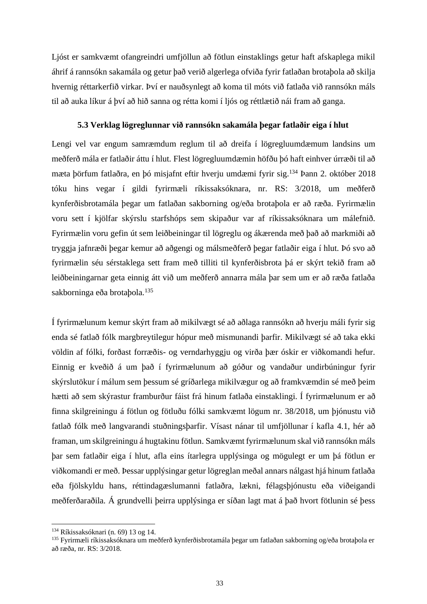Ljóst er samkvæmt ofangreindri umfjöllun að fötlun einstaklings getur haft afskaplega mikil áhrif á rannsókn sakamála og getur það verið algerlega ofviða fyrir fatlaðan brotaþola að skilja hvernig réttarkerfið virkar. Því er nauðsynlegt að koma til móts við fatlaða við rannsókn máls til að auka líkur á því að hið sanna og rétta komi í ljós og réttlætið nái fram að ganga.

#### **5.3 Verklag lögreglunnar við rannsókn sakamála þegar fatlaðir eiga í hlut**

Lengi vel var engum samræmdum reglum til að dreifa í lögregluumdæmum landsins um meðferð mála er fatlaðir áttu í hlut. Flest lögregluumdæmin höfðu þó haft einhver úrræði til að mæta þörfum fatlaðra, en þó misjafnt eftir hverju umdæmi fyrir sig. <sup>134</sup> Þann 2. október 2018 tóku hins vegar í gildi fyrirmæli ríkissaksóknara, nr. RS: 3/2018, um meðferð kynferðisbrotamála þegar um fatlaðan sakborning og/eða brotaþola er að ræða. Fyrirmælin voru sett í kjölfar skýrslu starfshóps sem skipaður var af ríkissaksóknara um málefnið. Fyrirmælin voru gefin út sem leiðbeiningar til lögreglu og ákærenda með það að markmiði að tryggja jafnræði þegar kemur að aðgengi og málsmeðferð þegar fatlaðir eiga í hlut. Þó svo að fyrirmælin séu sérstaklega sett fram með tilliti til kynferðisbrota þá er skýrt tekið fram að leiðbeiningarnar geta einnig átt við um meðferð annarra mála þar sem um er að ræða fatlaða sakborninga eða brotabola.<sup>135</sup>

Í fyrirmælunum kemur skýrt fram að mikilvægt sé að aðlaga rannsókn að hverju máli fyrir sig enda sé fatlað fólk margbreytilegur hópur með mismunandi þarfir. Mikilvægt sé að taka ekki völdin af fólki, forðast forræðis- og verndarhyggju og virða þær óskir er viðkomandi hefur. Einnig er kveðið á um það í fyrirmælunum að góður og vandaður undirbúningur fyrir skýrslutökur í málum sem þessum sé gríðarlega mikilvægur og að framkvæmdin sé með þeim hætti að sem skýrastur framburður fáist frá hinum fatlaða einstaklingi. Í fyrirmælunum er að finna skilgreiningu á fötlun og fötluðu fólki samkvæmt lögum nr. 38/2018, um þjónustu við fatlað fólk með langvarandi stuðningsþarfir. Vísast nánar til umfjöllunar í kafla 4.1, hér að framan, um skilgreiningu á hugtakinu fötlun. Samkvæmt fyrirmælunum skal við rannsókn máls þar sem fatlaðir eiga í hlut, afla eins ítarlegra upplýsinga og mögulegt er um þá fötlun er viðkomandi er með. Þessar upplýsingar getur lögreglan meðal annars nálgast hjá hinum fatlaða eða fjölskyldu hans, réttindagæslumanni fatlaðra, lækni, félagsþjónustu eða viðeigandi meðferðaraðila. Á grundvelli þeirra upplýsinga er síðan lagt mat á það hvort fötlunin sé þess

<sup>134</sup> Ríkissaksóknari (n. 69) 13 og 14.

<sup>135</sup> Fyrirmæli ríkissaksóknara um meðferð kynferðisbrotamála þegar um fatlaðan sakborning og/eða brotaþola er að ræða, nr. RS: 3/2018.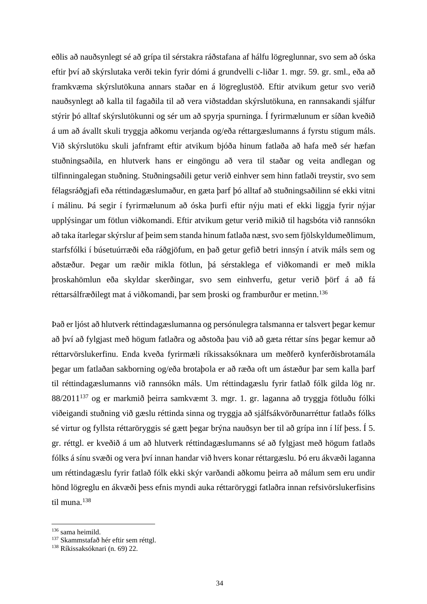eðlis að nauðsynlegt sé að grípa til sérstakra ráðstafana af hálfu lögreglunnar, svo sem að óska eftir því að skýrslutaka verði tekin fyrir dómi á grundvelli c-liðar 1. mgr. 59. gr. sml., eða að framkvæma skýrslutökuna annars staðar en á lögreglustöð. Eftir atvikum getur svo verið nauðsynlegt að kalla til fagaðila til að vera viðstaddan skýrslutökuna, en rannsakandi sjálfur stýrir þó alltaf skýrslutökunni og sér um að spyrja spurninga. Í fyrirmælunum er síðan kveðið á um að ávallt skuli tryggja aðkomu verjanda og/eða réttargæslumanns á fyrstu stigum máls. Við skýrslutöku skuli jafnframt eftir atvikum bjóða hinum fatlaða að hafa með sér hæfan stuðningsaðila, en hlutverk hans er eingöngu að vera til staðar og veita andlegan og tilfinningalegan stuðning. Stuðningsaðili getur verið einhver sem hinn fatlaði treystir, svo sem félagsráðgjafi eða réttindagæslumaður, en gæta þarf þó alltaf að stuðningsaðilinn sé ekki vitni í málinu. Þá segir í fyrirmælunum að óska þurfi eftir nýju mati ef ekki liggja fyrir nýjar upplýsingar um fötlun viðkomandi. Eftir atvikum getur verið mikið til hagsbóta við rannsókn að taka ítarlegar skýrslur af þeim sem standa hinum fatlaða næst, svo sem fjölskyldumeðlimum, starfsfólki í búsetuúrræði eða ráðgjöfum, en það getur gefið betri innsýn í atvik máls sem og aðstæður. Þegar um ræðir mikla fötlun, þá sérstaklega ef viðkomandi er með mikla þroskahömlun eða skyldar skerðingar, svo sem einhverfu, getur verið þörf á að fá réttarsálfræðilegt mat á viðkomandi, þar sem þroski og framburður er metinn. 136

Það er ljóst að hlutverk réttindagæslumanna og persónulegra talsmanna er talsvert þegar kemur að því að fylgjast með högum fatlaðra og aðstoða þau við að gæta réttar síns þegar kemur að réttarvörslukerfinu. Enda kveða fyrirmæli ríkissaksóknara um meðferð kynferðisbrotamála þegar um fatlaðan sakborning og/eða brotaþola er að ræða oft um ástæður þar sem kalla þarf til réttindagæslumanns við rannsókn máls. Um réttindagæslu fyrir fatlað fólk gilda lög nr. 88/2011<sup>137</sup> og er markmið þeirra samkvæmt 3. mgr. 1. gr. laganna að tryggja fötluðu fólki viðeigandi stuðning við gæslu réttinda sinna og tryggja að sjálfsákvörðunarréttur fatlaðs fólks sé virtur og fyllsta réttaröryggis sé gætt þegar brýna nauðsyn ber til að grípa inn í líf þess. Í 5. gr. réttgl. er kveðið á um að hlutverk réttindagæslumanns sé að fylgjast með högum fatlaðs fólks á sínu svæði og vera því innan handar við hvers konar réttargæslu. Þó eru ákvæði laganna um réttindagæslu fyrir fatlað fólk ekki skýr varðandi aðkomu þeirra að málum sem eru undir hönd lögreglu en ákvæði þess efnis myndi auka réttaröryggi fatlaðra innan refsivörslukerfisins til muna. 138

<sup>136</sup> sama heimild.

<sup>&</sup>lt;sup>137</sup> Skammstafað hér eftir sem réttgl.

<sup>138</sup> Ríkissaksóknari (n. 69) 22.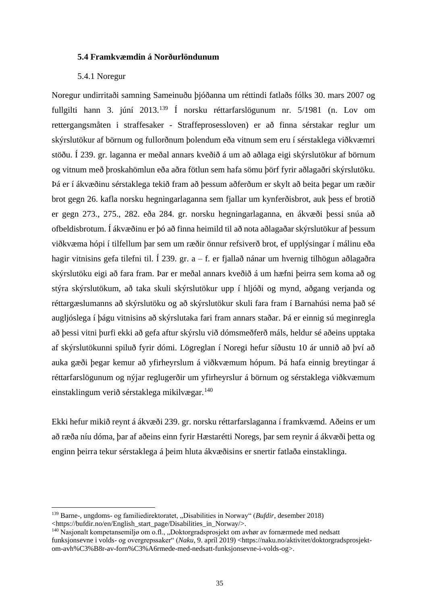#### **5.4 Framkvæmdin á Norðurlöndunum**

#### 5.4.1 Noregur

Noregur undirritaði samning Sameinuðu þjóðanna um réttindi fatlaðs fólks 30. mars 2007 og fullgilti hann 3. júní 2013.<sup>139</sup> Í norsku réttarfarslögunum nr. 5/1981 (n. Lov om rettergangsmåten i straffesaker - Straffeprosessloven) er að finna sérstakar reglur um skýrslutökur af börnum og fullorðnum þolendum eða vitnum sem eru í sérstaklega viðkvæmri stöðu. Í 239. gr. laganna er meðal annars kveðið á um að aðlaga eigi skýrslutökur af börnum og vitnum með þroskahömlun eða aðra fötlun sem hafa sömu þörf fyrir aðlagaðri skýrslutöku. Þá er í ákvæðinu sérstaklega tekið fram að þessum aðferðum er skylt að beita þegar um ræðir brot gegn 26. kafla norsku hegningarlaganna sem fjallar um kynferðisbrot, auk þess ef brotið er gegn 273., 275., 282. eða 284. gr. norsku hegningarlaganna, en ákvæði þessi snúa að ofbeldisbrotum. Í ákvæðinu er þó að finna heimild til að nota aðlagaðar skýrslutökur af þessum viðkvæma hópi í tilfellum þar sem um ræðir önnur refsiverð brot, ef upplýsingar í málinu eða hagir vitnisins gefa tilefni til. Í 239. gr. a – f. er fjallað nánar um hvernig tilhögun aðlagaðra skýrslutöku eigi að fara fram. Þar er meðal annars kveðið á um hæfni þeirra sem koma að og stýra skýrslutökum, að taka skuli skýrslutökur upp í hljóði og mynd, aðgang verjanda og réttargæslumanns að skýrslutöku og að skýrslutökur skuli fara fram í Barnahúsi nema það sé augljóslega í þágu vitnisins að skýrslutaka fari fram annars staðar. Þá er einnig sú meginregla að þessi vitni þurfi ekki að gefa aftur skýrslu við dómsmeðferð máls, heldur sé aðeins upptaka af skýrslutökunni spiluð fyrir dómi. Lögreglan í Noregi hefur síðustu 10 ár unnið að því að auka gæði þegar kemur að yfirheyrslum á viðkvæmum hópum. Þá hafa einnig breytingar á réttarfarslögunum og nýjar reglugerðir um yfirheyrslur á börnum og sérstaklega viðkvæmum einstaklingum verið sérstaklega mikilvægar.<sup>140</sup>

Ekki hefur mikið reynt á ákvæði 239. gr. norsku réttarfarslaganna í framkvæmd. Aðeins er um að ræða níu dóma, þar af aðeins einn fyrir Hæstarétti Noregs, þar sem reynir á ákvæði þetta og enginn þeirra tekur sérstaklega á þeim hluta ákvæðisins er snertir fatlaða einstaklinga.

<sup>&</sup>lt;sup>139</sup> Barne-, ungdoms- og familiedirektoratet, "Disabilities in Norway" (*Bufdir*, desember 2018) <https://bufdir.no/en/English\_start\_page/Disabilities\_in\_Norway/>.

<sup>&</sup>lt;sup>140</sup> Nasjonalt kompetansemiljø om o.fl., "Doktorgradsprosjekt om avhør av fornærmede med nedsatt funksjonsevne i volds- og overgrepssaker" (*Naku*, 9. apríl 2019) <https://naku.no/aktivitet/doktorgradsprosjektom-avh%C3%B8r-av-forn%C3%A6rmede-med-nedsatt-funksjonsevne-i-volds-og>.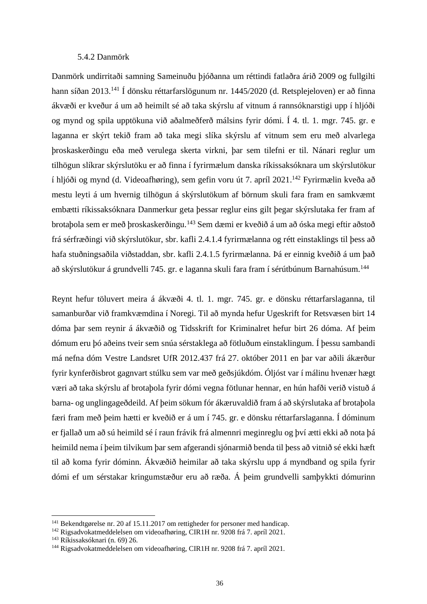#### 5.4.2 Danmörk

Danmörk undirritaði samning Sameinuðu þjóðanna um réttindi fatlaðra árið 2009 og fullgilti hann síðan 2013.<sup>141</sup> Í dönsku réttarfarslögunum nr. 1445/2020 (d. Retsplejeloven) er að finna ákvæði er kveður á um að heimilt sé að taka skýrslu af vitnum á rannsóknarstigi upp í hljóði og mynd og spila upptökuna við aðalmeðferð málsins fyrir dómi. Í 4. tl. 1. mgr. 745. gr. e laganna er skýrt tekið fram að taka megi slíka skýrslu af vitnum sem eru með alvarlega þroskaskerðingu eða með verulega skerta virkni, þar sem tilefni er til. Nánari reglur um tilhögun slíkrar skýrslutöku er að finna í fyrirmælum danska ríkissaksóknara um skýrslutökur í hljóði og mynd (d. Videoafhøring), sem gefin voru út 7. apríl 2021. <sup>142</sup> Fyrirmælin kveða að mestu leyti á um hvernig tilhögun á skýrslutökum af börnum skuli fara fram en samkvæmt embætti ríkissaksóknara Danmerkur geta þessar reglur eins gilt þegar skýrslutaka fer fram af brotaþola sem er með þroskaskerðingu.<sup>143</sup> Sem dæmi er kveðið á um að óska megi eftir aðstoð frá sérfræðingi við skýrslutökur, sbr. kafli 2.4.1.4 fyrirmælanna og rétt einstaklings til þess að hafa stuðningsaðila viðstaddan, sbr. kafli 2.4.1.5 fyrirmælanna. Þá er einnig kveðið á um það að skýrslutökur á grundvelli 745. gr. e laganna skuli fara fram í sérútbúnum Barnahúsum.<sup>144</sup>

Reynt hefur töluvert meira á ákvæði 4. tl. 1. mgr. 745. gr. e dönsku réttarfarslaganna, til samanburðar við framkvæmdina í Noregi. Til að mynda hefur Ugeskrift for Retsvæsen birt 14 dóma þar sem reynir á ákvæðið og Tidsskrift for Kriminalret hefur birt 26 dóma. Af þeim dómum eru þó aðeins tveir sem snúa sérstaklega að fötluðum einstaklingum. Í þessu sambandi má nefna dóm Vestre Landsret UfR 2012.437 frá 27. október 2011 en þar var aðili ákærður fyrir kynferðisbrot gagnvart stúlku sem var með geðsjúkdóm. Óljóst var í málinu hvenær hægt væri að taka skýrslu af brotaþola fyrir dómi vegna fötlunar hennar, en hún hafði verið vistuð á barna- og unglingageðdeild. Af þeim sökum fór ákæruvaldið fram á að skýrslutaka af brotaþola færi fram með þeim hætti er kveðið er á um í 745. gr. e dönsku réttarfarslaganna. Í dóminum er fjallað um að sú heimild sé í raun frávik frá almennri meginreglu og því ætti ekki að nota þá heimild nema í þeim tilvikum þar sem afgerandi sjónarmið benda til þess að vitnið sé ekki hæft til að koma fyrir dóminn. Ákvæðið heimilar að taka skýrslu upp á myndband og spila fyrir dómi ef um sérstakar kringumstæður eru að ræða. Á þeim grundvelli samþykkti dómurinn

<sup>&</sup>lt;sup>141</sup> Bekendtgørelse nr. 20 af 15.11.2017 om rettigheder for personer med handicap.

<sup>142</sup> Rigsadvokatmeddelelsen om videoafhøring, CIR1H nr. 9208 frá 7. apríl 2021.

<sup>143</sup> Ríkissaksóknari (n. 69) 26.

<sup>144</sup> Rigsadvokatmeddelelsen om videoafhøring, CIR1H nr. 9208 frá 7. apríl 2021.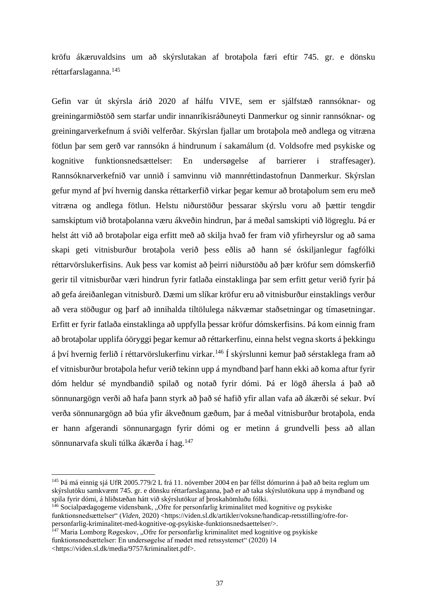kröfu ákæruvaldsins um að skýrslutakan af brotaþola færi eftir 745. gr. e dönsku réttarfarslaganna.<sup>145</sup>

Gefin var út skýrsla árið 2020 af hálfu VIVE, sem er sjálfstæð rannsóknar- og greiningarmiðstöð sem starfar undir innanríkisráðuneyti Danmerkur og sinnir rannsóknar- og greiningarverkefnum á sviði velferðar. Skýrslan fjallar um brotaþola með andlega og vitræna fötlun þar sem gerð var rannsókn á hindrunum í sakamálum (d. Voldsofre med psykiske og kognitive funktionsnedsættelser: En undersøgelse af barrierer i straffesager). Rannsóknarverkefnið var unnið í samvinnu við mannréttindastofnun Danmerkur. Skýrslan gefur mynd af því hvernig danska réttarkerfið virkar þegar kemur að brotaþolum sem eru með vitræna og andlega fötlun. Helstu niðurstöður þessarar skýrslu voru að þættir tengdir samskiptum við brotaþolanna væru ákveðin hindrun, þar á meðal samskipti við lögreglu. Þá er helst átt við að brotaþolar eiga erfitt með að skilja hvað fer fram við yfirheyrslur og að sama skapi geti vitnisburður brotaþola verið þess eðlis að hann sé óskiljanlegur fagfólki réttarvörslukerfisins. Auk þess var komist að þeirri niðurstöðu að þær kröfur sem dómskerfið gerir til vitnisburðar væri hindrun fyrir fatlaða einstaklinga þar sem erfitt getur verið fyrir þá að gefa áreiðanlegan vitnisburð. Dæmi um slíkar kröfur eru að vitnisburður einstaklings verður að vera stöðugur og þarf að innihalda tiltölulega nákvæmar staðsetningar og tímasetningar. Erfitt er fyrir fatlaða einstaklinga að uppfylla þessar kröfur dómskerfisins. Þá kom einnig fram að brotaþolar upplifa óöryggi þegar kemur að réttarkerfinu, einna helst vegna skorts á þekkingu á því hvernig ferlið í réttarvörslukerfinu virkar. <sup>146</sup> Í skýrslunni kemur það sérstaklega fram að ef vitnisburður brotaþola hefur verið tekinn upp á myndband þarf hann ekki að koma aftur fyrir dóm heldur sé myndbandið spilað og notað fyrir dómi. Þá er lögð áhersla á það að sönnunargögn verði að hafa þann styrk að það sé hafið yfir allan vafa að ákærði sé sekur. Því verða sönnunargögn að búa yfir ákveðnum gæðum, þar á meðal vitnisburður brotaþola, enda er hann afgerandi sönnunargagn fyrir dómi og er metinn á grundvelli þess að allan sönnunarvafa skuli túlka ákærða í hag.<sup>147</sup>

<sup>145</sup> Þá má einnig sjá UfR 2005.779/2 L frá 11. nóvember 2004 en þar féllst dómurinn á það að beita reglum um skýrslutöku samkvæmt 745. gr. e dönsku réttarfarslaganna, það er að taka skýrslutökuna upp á myndband og spila fyrir dómi, á hliðstæðan hátt við skýrslutökur af þroskahömluðu fólki.

 $146$  Socialpædagogerne vidensbank, "Ofre for personfarlig kriminalitet med kognitive og psykiske funktionsnedsættelser" (*Viden*, 2020) <https://viden.sl.dk/artikler/voksne/handicap-retsstilling/ofre-forpersonfarlig-kriminalitet-med-kognitive-og-psykiske-funktionsnedsaettelser/>.

<sup>&</sup>lt;sup>147</sup> Maria Lomborg Røgeskov, "Ofre for personfarlig kriminalitet med kognitive og psykiske funktionsnedsættelser: En undersøgelse af mødet med retssystemet" (2020) 14 <https://viden.sl.dk/media/9757/kriminalitet.pdf>.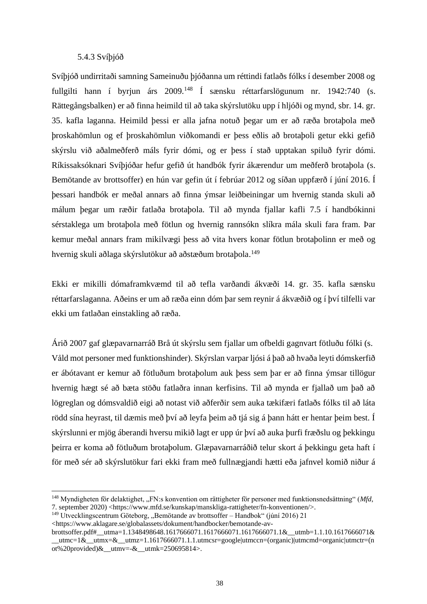## 5.4.3 Svíþjóð

Svíþjóð undirritaði samning Sameinuðu þjóðanna um réttindi fatlaðs fólks í desember 2008 og fullgilti hann í byrjun árs 2009.<sup>148</sup> Í sænsku réttarfarslögunum nr. 1942:740 (s. Rättegångsbalken) er að finna heimild til að taka skýrslutöku upp í hljóði og mynd, sbr. 14. gr. 35. kafla laganna. Heimild þessi er alla jafna notuð þegar um er að ræða brotaþola með þroskahömlun og ef þroskahömlun viðkomandi er þess eðlis að brotaþoli getur ekki gefið skýrslu við aðalmeðferð máls fyrir dómi, og er þess í stað upptakan spiluð fyrir dómi. Ríkissaksóknari Svíþjóðar hefur gefið út handbók fyrir ákærendur um meðferð brotaþola (s. Bemötande av brottsoffer) en hún var gefin út í febrúar 2012 og síðan uppfærð í júní 2016. Í þessari handbók er meðal annars að finna ýmsar leiðbeiningar um hvernig standa skuli að málum þegar um ræðir fatlaða brotaþola. Til að mynda fjallar kafli 7.5 í handbókinni sérstaklega um brotaþola með fötlun og hvernig rannsókn slíkra mála skuli fara fram. Þar kemur meðal annars fram mikilvægi þess að vita hvers konar fötlun brotaþolinn er með og hvernig skuli aðlaga skýrslutökur að aðstæðum brotaþola. 149

Ekki er mikilli dómaframkvæmd til að tefla varðandi ákvæði 14. gr. 35. kafla sænsku réttarfarslaganna. Aðeins er um að ræða einn dóm þar sem reynir á ákvæðið og í því tilfelli var ekki um fatlaðan einstakling að ræða.

Árið 2007 gaf glæpavarnarráð Brå út skýrslu sem fjallar um ofbeldi gagnvart fötluðu fólki (s. Våld mot personer med funktionshinder). Skýrslan varpar ljósi á það að hvaða leyti dómskerfið er ábótavant er kemur að fötluðum brotaþolum auk þess sem þar er að finna ýmsar tillögur hvernig hægt sé að bæta stöðu fatlaðra innan kerfisins. Til að mynda er fjallað um það að lögreglan og dómsvaldið eigi að notast við aðferðir sem auka tækifæri fatlaðs fólks til að láta rödd sína heyrast, til dæmis með því að leyfa þeim að tjá sig á þann hátt er hentar þeim best. Í skýrslunni er mjög áberandi hversu mikið lagt er upp úr því að auka þurfi fræðslu og þekkingu þeirra er koma að fötluðum brotaþolum. Glæpavarnarráðið telur skort á þekkingu geta haft í för með sér að skýrslutökur fari ekki fram með fullnægjandi hætti eða jafnvel komið niður á

<sup>&</sup>lt;sup>148</sup> Myndigheten för delaktighet, "FN:s konvention om rättigheter för personer med funktionsnedsättning" (*Mfd*, 7. september 2020) <https://www.mfd.se/kunskap/manskliga-rattigheter/fn-konventionen/>.

 $149$  Utvecklingscentrum Göteborg, "Bemötande av brottsoffer – Handbok" (júní 2016) 21

<sup>&</sup>lt;https://www.aklagare.se/globalassets/dokument/handbocker/bemotande-av-

brottsoffer.pdf#\_\_utma=1.1348498648.1617666071.1617666071.1617666071.1&\_\_utmb=1.1.10.1617666071&  $\text{Lutmc}=1\&\text{Lutmx}=\&\text{Lutmx}=1.1617666071.1.1.\text{utmcsr}=google|utmccn=(organic|utmcm=d-organic|utmctr=(n-1)$ ot%20provided) $\&$  utmv=- $\&$  utmk=250695814>.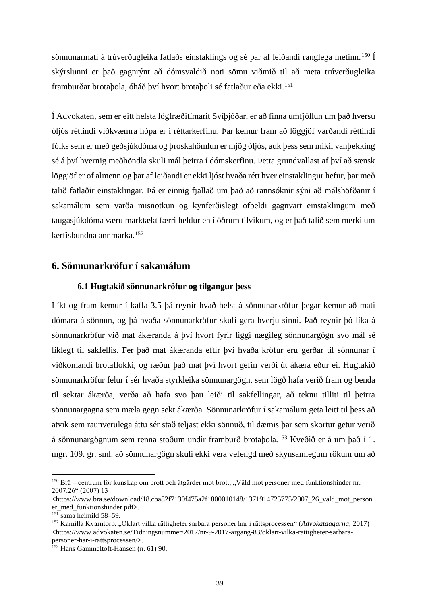sönnunarmati á trúverðugleika fatlaðs einstaklings og sé þar af leiðandi ranglega metinn.<sup>150</sup> Í skýrslunni er það gagnrýnt að dómsvaldið noti sömu viðmið til að meta trúverðugleika framburðar brotabola, óháð því hvort brotaboli sé fatlaður eða ekki.<sup>151</sup>

Í Advokaten, sem er eitt helsta lögfræðitímarit Svíþjóðar, er að finna umfjöllun um það hversu óljós réttindi viðkvæmra hópa er í réttarkerfinu. Þar kemur fram að löggjöf varðandi réttindi fólks sem er með geðsjúkdóma og þroskahömlun er mjög óljós, auk þess sem mikil vanþekking sé á því hvernig meðhöndla skuli mál þeirra í dómskerfinu. Þetta grundvallast af því að sænsk löggjöf er of almenn og þar af leiðandi er ekki ljóst hvaða rétt hver einstaklingur hefur, þar með talið fatlaðir einstaklingar. Þá er einnig fjallað um það að rannsóknir sýni að málshöfðanir í sakamálum sem varða misnotkun og kynferðislegt ofbeldi gagnvart einstaklingum með taugasjúkdóma væru marktækt færri heldur en í öðrum tilvikum, og er það talið sem merki um kerfisbundna annmarka.<sup>152</sup>

# **6. Sönnunarkröfur í sakamálum**

# **6.1 Hugtakið sönnunarkröfur og tilgangur þess**

Líkt og fram kemur í kafla 3.5 þá reynir hvað helst á sönnunarkröfur þegar kemur að mati dómara á sönnun, og þá hvaða sönnunarkröfur skuli gera hverju sinni. Það reynir þó líka á sönnunarkröfur við mat ákæranda á því hvort fyrir liggi nægileg sönnunargögn svo mál sé líklegt til sakfellis. Fer það mat ákæranda eftir því hvaða kröfur eru gerðar til sönnunar í viðkomandi brotaflokki, og ræður það mat því hvort gefin verði út ákæra eður ei. Hugtakið sönnunarkröfur felur í sér hvaða styrkleika sönnunargögn, sem lögð hafa verið fram og benda til sektar ákærða, verða að hafa svo þau leiði til sakfellingar, að teknu tilliti til þeirra sönnunargagna sem mæla gegn sekt ákærða. Sönnunarkröfur í sakamálum geta leitt til þess að atvik sem raunverulega áttu sér stað teljast ekki sönnuð, til dæmis þar sem skortur getur verið á sönnunargögnum sem renna stoðum undir framburð brotaþola.<sup>153</sup> Kveðið er á um það í 1. mgr. 109. gr. sml. að sönnunargögn skuli ekki vera vefengd með skynsamlegum rökum um að

 $150$  Brå – centrum för kunskap om brott och åtgärder mot brott, "Våld mot personer med funktionshinder nr. 2007:26" (2007) 13

<sup>&</sup>lt;https://www.bra.se/download/18.cba82f7130f475a2f1800010148/1371914725775/2007\_26\_vald\_mot\_person er\_med\_funktionshinder.pdf>.

 $151$  sama heimild 58–59.

<sup>152</sup> Kamilla Kvarntorp, "Oklart vilka rättigheter sårbara personer har i rättsprocessen" (*Advokatdagarna*, 2017) <https://www.advokaten.se/Tidningsnummer/2017/nr-9-2017-argang-83/oklart-vilka-rattigheter-sarbarapersoner-har-i-rattsprocessen/>.

<sup>153</sup> Hans Gammeltoft-Hansen (n. 61) 90.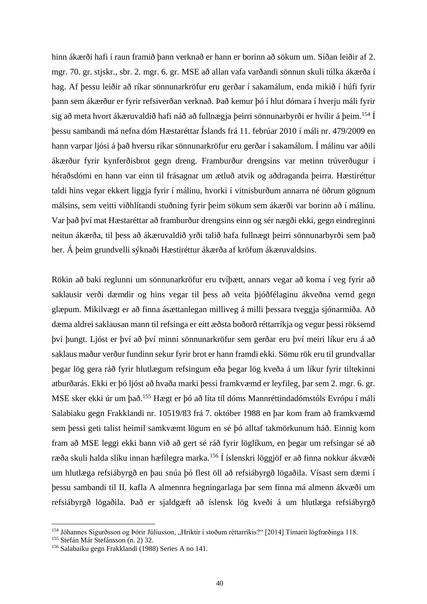hinn ákærði hafi í raun framið þann verknað er hann er borinn að sökum um. Síðan leiðir af 2. mgr. 70. gr. stjskr., sbr. 2. mgr. 6. gr. MSE að allan vafa varðandi sönnun skuli túlka ákærða í hag. Af þessu leiðir að ríkar sönnunarkröfur eru gerðar í sakamálum, enda mikið í húfi fyrir þann sem ákærður er fyrir refsiverðan verknað. Það kemur þó í hlut dómara í hverju máli fyrir sig að meta hvort ákæruvaldið hafi náð að fullnægja þeirri sönnunarbyrði er hvílir á þeim. <sup>154</sup> Í þessu sambandi má nefna dóm Hæstaréttar Íslands frá 11. febrúar 2010 í máli nr. 479/2009 en hann varpar ljósi á það hversu ríkar sönnunarkröfur eru gerðar í sakamálum. Í málinu var aðili ákærður fyrir kynferðisbrot gegn dreng. Framburður drengsins var metinn trúverðugur í héraðsdómi en hann var einn til frásagnar um ætluð atvik og aðdraganda þeirra. Hæstiréttur taldi hins vegar ekkert liggja fyrir í málinu, hvorki í vitnisburðum annarra né öðrum gögnum málsins, sem veitti viðhlítandi stuðning fyrir þeim sökum sem ákærði var borinn að í málinu. Var það því mat Hæstaréttar að framburður drengsins einn og sér nægði ekki, gegn eindreginni neitun ákærða, til þess að ákæruvaldið yrði talið hafa fullnægt þeirri sönnunarbyrði sem það ber. Á þeim grundvelli sýknaði Hæstiréttur ákærða af kröfum ákæruvaldsins.

Rökin að baki reglunni um sönnunarkröfur eru tvíþætt, annars vegar að koma í veg fyrir að saklausir verði dæmdir og hins vegar til þess að veita þjóðfélaginu ákveðna vernd gegn glæpum. Mikilvægt er að finna ásættanlegan milliveg á milli þessara tveggja sjónarmiða. Að dæma aldrei saklausan mann til refsinga er eitt æðsta boðorð réttarríkja og vegur þessi röksemd því þungt. Ljóst er því að því minni sönnunarkröfur sem gerðar eru því meiri líkur eru á að saklaus maður verður fundinn sekur fyrir brot er hann framdi ekki. Sömu rök eru til grundvallar þegar lög gera ráð fyrir hlutlægum refsingum eða þegar lög kveða á um líkur fyrir tiltekinni atburðarás. Ekki er þó ljóst að hvaða marki þessi framkvæmd er leyfileg, þar sem 2. mgr. 6. gr. MSE sker ekki úr um það.<sup>155</sup> Hægt er þó að líta til dóms Mannréttindadómstóls Evrópu í máli Salabiaku gegn Frakklandi nr. 10519/83 frá 7. október 1988 en þar kom fram að framkvæmd sem þessi geti talist heimil samkvæmt lögum en sé þó alltaf takmörkunum háð. Einnig kom fram að MSE leggi ekki bann við að gert sé ráð fyrir löglíkum, en þegar um refsingar sé að ræða skuli halda slíku innan hæfilegra marka.<sup>156</sup> Í íslenskri löggjöf er að finna nokkur ákvæði um hlutlæga refsiábyrgð en þau snúa þó flest öll að refsiábyrgð lögaðila. Vísast sem dæmi í þessu sambandi til II. kafla A almennra hegningarlaga þar sem finna má almenn ákvæði um refsiábyrgð lögaðila. Það er sjaldgæft að íslensk lög kveði á um hlutlæga refsiábyrgð

<sup>&</sup>lt;sup>154</sup> Jóhannes Sigurðsson og Þórir Júlíusson, "Hriktir í stoðum réttarríkis?" [2014] Tímarit lögfræðinga 118.

<sup>155</sup> Stefán Már Stefánsson (n. 2) 32.

<sup>156</sup> Salabaiku gegn Frakklandi (1988) Series A no 141.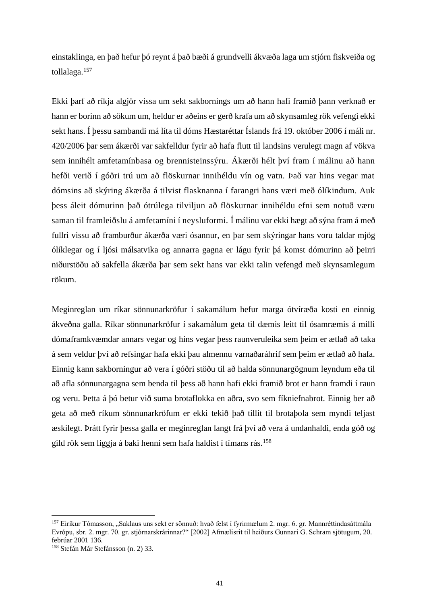einstaklinga, en það hefur þó reynt á það bæði á grundvelli ákvæða laga um stjórn fiskveiða og tollalaga.<sup>157</sup>

Ekki þarf að ríkja algjör vissa um sekt sakbornings um að hann hafi framið þann verknað er hann er borinn að sökum um, heldur er aðeins er gerð krafa um að skynsamleg rök vefengi ekki sekt hans. Í þessu sambandi má líta til dóms Hæstaréttar Íslands frá 19. október 2006 í máli nr. 420/2006 þar sem ákærði var sakfelldur fyrir að hafa flutt til landsins verulegt magn af vökva sem innihélt amfetamínbasa og brennisteinssýru. Ákærði hélt því fram í málinu að hann hefði verið í góðri trú um að flöskurnar innihéldu vín og vatn. Það var hins vegar mat dómsins að skýring ákærða á tilvist flasknanna í farangri hans væri með ólíkindum. Auk þess áleit dómurinn það ótrúlega tilviljun að flöskurnar innihéldu efni sem notuð væru saman til framleiðslu á amfetamíni í neysluformi. Í málinu var ekki hægt að sýna fram á með fullri vissu að framburður ákærða væri ósannur, en þar sem skýringar hans voru taldar mjög ólíklegar og í ljósi málsatvika og annarra gagna er lágu fyrir þá komst dómurinn að þeirri niðurstöðu að sakfella ákærða þar sem sekt hans var ekki talin vefengd með skynsamlegum rökum.

Meginreglan um ríkar sönnunarkröfur í sakamálum hefur marga ótvíræða kosti en einnig ákveðna galla. Ríkar sönnunarkröfur í sakamálum geta til dæmis leitt til ósamræmis á milli dómaframkvæmdar annars vegar og hins vegar þess raunveruleika sem þeim er ætlað að taka á sem veldur því að refsingar hafa ekki þau almennu varnaðaráhrif sem þeim er ætlað að hafa. Einnig kann sakborningur að vera í góðri stöðu til að halda sönnunargögnum leyndum eða til að afla sönnunargagna sem benda til þess að hann hafi ekki framið brot er hann framdi í raun og veru. Þetta á þó betur við suma brotaflokka en aðra, svo sem fíkniefnabrot. Einnig ber að geta að með ríkum sönnunarkröfum er ekki tekið það tillit til brotaþola sem myndi teljast æskilegt. Þrátt fyrir þessa galla er meginreglan langt frá því að vera á undanhaldi, enda góð og gild rök sem liggja á baki henni sem hafa haldist í tímans rás.<sup>158</sup>

<sup>&</sup>lt;sup>157</sup> Eiríkur Tómasson, "Saklaus uns sekt er sönnuð: hvað felst í fyrirmælum 2. mgr. 6. gr. Mannréttindasáttmála Evrópu, sbr. 2. mgr. 70. gr. stjórnarskrárinnar?" [2002] Afmælisrit til heiðurs Gunnari G. Schram sjötugum, 20. febrúar 2001 136.

<sup>158</sup> Stefán Már Stefánsson (n. 2) 33.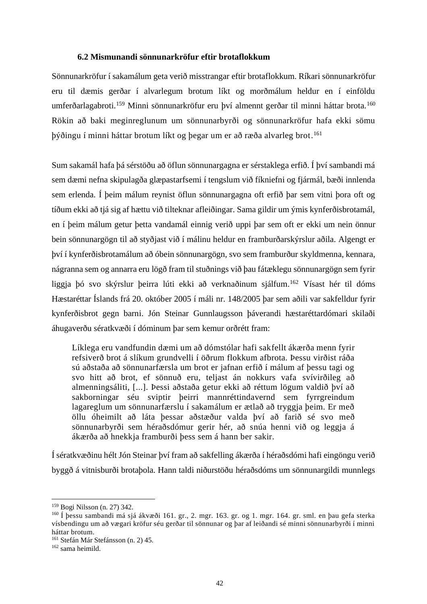#### **6.2 Mismunandi sönnunarkröfur eftir brotaflokkum**

Sönnunarkröfur í sakamálum geta verið misstrangar eftir brotaflokkum. Ríkari sönnunarkröfur eru til dæmis gerðar í alvarlegum brotum líkt og morðmálum heldur en í einföldu umferðarlagabroti.<sup>159</sup> Minni sönnunarkröfur eru því almennt gerðar til minni háttar brota.<sup>160</sup> Rökin að baki meginreglunum um sönnunarbyrði og sönnunarkröfur hafa ekki sömu þýðingu í minni háttar brotum líkt og þegar um er að ræða alvarleg brot. 161

Sum sakamál hafa þá sérstöðu að öflun sönnunargagna er sérstaklega erfið. Í því sambandi má sem dæmi nefna skipulagða glæpastarfsemi í tengslum við fíkniefni og fjármál, bæði innlenda sem erlenda. Í þeim málum reynist öflun sönnunargagna oft erfið þar sem vitni þora oft og tíðum ekki að tjá sig af hættu við tilteknar afleiðingar. Sama gildir um ýmis kynferðisbrotamál, en í þeim málum getur þetta vandamál einnig verið uppi þar sem oft er ekki um nein önnur bein sönnunargögn til að styðjast við í málinu heldur en framburðarskýrslur aðila. Algengt er því í kynferðisbrotamálum að óbein sönnunargögn, svo sem framburður skyldmenna, kennara, nágranna sem og annarra eru lögð fram til stuðnings við þau fátæklegu sönnunargögn sem fyrir liggja þó svo skýrslur þeirra lúti ekki að verknaðinum sjálfum. <sup>162</sup> Vísast hér til dóms Hæstaréttar Íslands frá 20. október 2005 í máli nr. 148/2005 þar sem aðili var sakfelldur fyrir kynferðisbrot gegn barni. Jón Steinar Gunnlaugsson þáverandi hæstaréttardómari skilaði áhugaverðu sératkvæði í dóminum þar sem kemur orðrétt fram:

Líklega eru vandfundin dæmi um að dómstólar hafi sakfellt ákærða menn fyrir refsiverð brot á slíkum grundvelli í öðrum flokkum afbrota. Þessu virðist ráða sú aðstaða að sönnunarfærsla um brot er jafnan erfið í málum af þessu tagi og svo hitt að brot, ef sönnuð eru, teljast án nokkurs vafa svívirðileg að almenningsáliti, [...]. Þessi aðstaða getur ekki að réttum lögum valdið því að sakborningar séu sviptir þeirri mannréttindavernd sem fyrrgreindum lagareglum um sönnunarfærslu í sakamálum er ætlað að tryggja þeim. Er með öllu óheimilt að láta þessar aðstæður valda því að farið sé svo með sönnunarbyrði sem héraðsdómur gerir hér, að snúa henni við og leggja á ákærða að hnekkja framburði þess sem á hann ber sakir.

Í sératkvæðinu hélt Jón Steinar því fram að sakfelling ákærða í héraðsdómi hafi eingöngu verið byggð á vitnisburði brotaþola. Hann taldi niðurstöðu héraðsdóms um sönnunargildi munnlegs

<sup>159</sup> Bogi Nilsson (n. 27) 342.

<sup>160</sup> Í þessu sambandi má sjá ákvæði 161. gr., 2. mgr. 163. gr. og 1. mgr. 164. gr. sml. en þau gefa sterka vísbendingu um að vægari kröfur séu gerðar til sönnunar og þar af leiðandi sé minni sönnunarbyrði í minni háttar brotum.

<sup>161</sup> Stefán Már Stefánsson (n. 2) 45.

<sup>162</sup> sama heimild.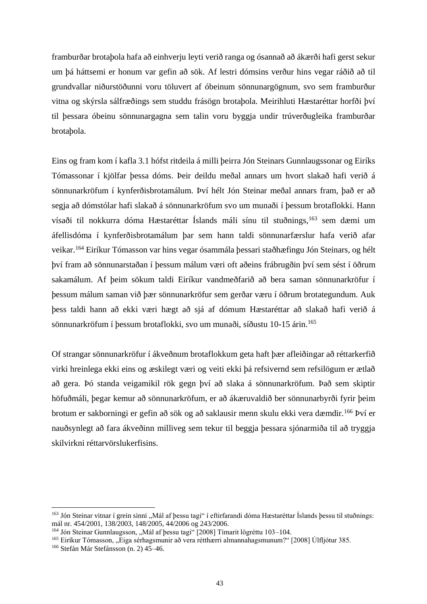framburðar brotaþola hafa að einhverju leyti verið ranga og ósannað að ákærði hafi gerst sekur um þá háttsemi er honum var gefin að sök. Af lestri dómsins verður hins vegar ráðið að til grundvallar niðurstöðunni voru töluvert af óbeinum sönnunargögnum, svo sem framburður vitna og skýrsla sálfræðings sem studdu frásögn brotaþola. Meirihluti Hæstaréttar horfði því til þessara óbeinu sönnunargagna sem talin voru byggja undir trúverðugleika framburðar brotaþola.

Eins og fram kom í kafla 3.1 hófst ritdeila á milli þeirra Jón Steinars Gunnlaugssonar og Eiríks Tómassonar í kjölfar þessa dóms. Þeir deildu meðal annars um hvort slakað hafi verið á sönnunarkröfum í kynferðisbrotamálum. Því hélt Jón Steinar meðal annars fram, það er að segja að dómstólar hafi slakað á sönnunarkröfum svo um munaði í þessum brotaflokki. Hann vísaði til nokkurra dóma Hæstaréttar Íslands máli sínu til stuðnings,<sup>163</sup> sem dæmi um áfellisdóma í kynferðisbrotamálum þar sem hann taldi sönnunarfærslur hafa verið afar veikar. <sup>164</sup> Eiríkur Tómasson var hins vegar ósammála þessari staðhæfingu Jón Steinars, og hélt því fram að sönnunarstaðan í þessum málum væri oft aðeins frábrugðin því sem sést í öðrum sakamálum. Af þeim sökum taldi Eiríkur vandmeðfarið að bera saman sönnunarkröfur í þessum málum saman við þær sönnunarkröfur sem gerðar væru í öðrum brotategundum. Auk þess taldi hann að ekki væri hægt að sjá af dómum Hæstaréttar að slakað hafi verið á sönnunarkröfum í þessum brotaflokki, svo um munaði, síðustu 10-15 árin. 165

Of strangar sönnunarkröfur í ákveðnum brotaflokkum geta haft þær afleiðingar að réttarkerfið virki hreinlega ekki eins og æskilegt væri og veiti ekki þá refsivernd sem refsilögum er ætlað að gera. Þó standa veigamikil rök gegn því að slaka á sönnunarkröfum. Það sem skiptir höfuðmáli, þegar kemur að sönnunarkröfum, er að ákæruvaldið ber sönnunarbyrði fyrir þeim brotum er sakborningi er gefin að sök og að saklausir menn skulu ekki vera dæmdir.<sup>166</sup> Því er nauðsynlegt að fara ákveðinn milliveg sem tekur til beggja bessara sjónarmiða til að tryggja skilvirkni réttarvörslukerfisins.

<sup>&</sup>lt;sup>163</sup> Jón Steinar vitnar í grein sinni "Mál af þessu tagi" í eftirfarandi dóma Hæstaréttar Íslands þessu til stuðnings: mál nr. 454/2001, 138/2003, 148/2005, 44/2006 og 243/2006.

<sup>&</sup>lt;sup>164</sup> Jón Steinar Gunnlaugsson, "Mál af þessu tagi" [2008] Tímarit lögréttu 103-104.

<sup>&</sup>lt;sup>165</sup> Eiríkur Tómasson, "Eiga sérhagsmunir að vera rétthærri almannahagsmunum?" [2008] Úlfljótur 385.

<sup>166</sup> Stefán Már Stefánsson (n. 2) 45–46.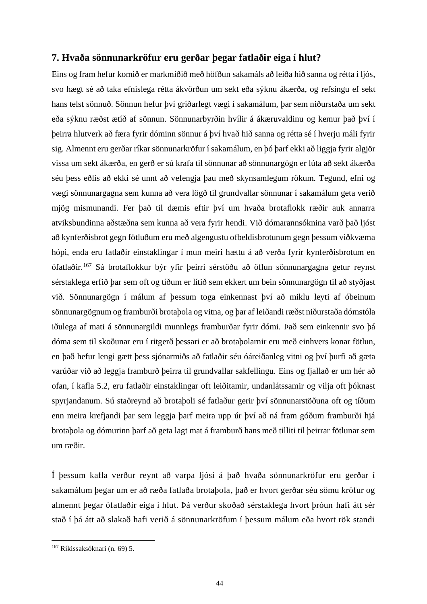# **7. Hvaða sönnunarkröfur eru gerðar þegar fatlaðir eiga í hlut?**

Eins og fram hefur komið er markmiðið með höfðun sakamáls að leiða hið sanna og rétta í ljós, svo hægt sé að taka efnislega rétta ákvörðun um sekt eða sýknu ákærða, og refsingu ef sekt hans telst sönnuð. Sönnun hefur því gríðarlegt vægi í sakamálum, þar sem niðurstaða um sekt eða sýknu ræðst ætíð af sönnun. Sönnunarbyrðin hvílir á ákæruvaldinu og kemur það því í þeirra hlutverk að færa fyrir dóminn sönnur á því hvað hið sanna og rétta sé í hverju máli fyrir sig. Almennt eru gerðar ríkar sönnunarkröfur í sakamálum, en þó þarf ekki að liggja fyrir algjör vissa um sekt ákærða, en gerð er sú krafa til sönnunar að sönnunargögn er lúta að sekt ákærða séu þess eðlis að ekki sé unnt að vefengja þau með skynsamlegum rökum. Tegund, efni og vægi sönnunargagna sem kunna að vera lögð til grundvallar sönnunar í sakamálum geta verið mjög mismunandi. Fer það til dæmis eftir því um hvaða brotaflokk ræðir auk annarra atviksbundinna aðstæðna sem kunna að vera fyrir hendi. Við dómarannsóknina varð það ljóst að kynferðisbrot gegn fötluðum eru með algengustu ofbeldisbrotunum gegn þessum viðkvæma hópi, enda eru fatlaðir einstaklingar í mun meiri hættu á að verða fyrir kynferðisbrotum en ófatlaðir.<sup>167</sup> Sá brotaflokkur býr yfir þeirri sérstöðu að öflun sönnunargagna getur reynst sérstaklega erfið þar sem oft og tíðum er lítið sem ekkert um bein sönnunargögn til að styðjast við. Sönnunargögn í málum af þessum toga einkennast því að miklu leyti af óbeinum sönnunargögnum og framburði brotaþola og vitna, og þar af leiðandi ræðst niðurstaða dómstóla iðulega af mati á sönnunargildi munnlegs framburðar fyrir dómi. Það sem einkennir svo þá dóma sem til skoðunar eru í ritgerð þessari er að brotaþolarnir eru með einhvers konar fötlun, en það hefur lengi gætt þess sjónarmiðs að fatlaðir séu óáreiðanleg vitni og því þurfi að gæta varúðar við að leggja framburð þeirra til grundvallar sakfellingu. Eins og fjallað er um hér að ofan, í kafla 5.2, eru fatlaðir einstaklingar oft leiðitamir, undanlátssamir og vilja oft þóknast spyrjandanum. Sú staðreynd að brotaþoli sé fatlaður gerir því sönnunarstöðuna oft og tíðum enn meira krefjandi þar sem leggja þarf meira upp úr því að ná fram góðum framburði hjá brotaþola og dómurinn þarf að geta lagt mat á framburð hans með tilliti til þeirrar fötlunar sem um ræðir.

Í þessum kafla verður reynt að varpa ljósi á það hvaða sönnunarkröfur eru gerðar í sakamálum þegar um er að ræða fatlaða brotaþola, það er hvort gerðar séu sömu kröfur og almennt þegar ófatlaðir eiga í hlut. Þá verður skoðað sérstaklega hvort þróun hafi átt sér stað í þá átt að slakað hafi verið á sönnunarkröfum í þessum málum eða hvort rök standi

 $167$  Ríkissaksóknari (n. 69) 5.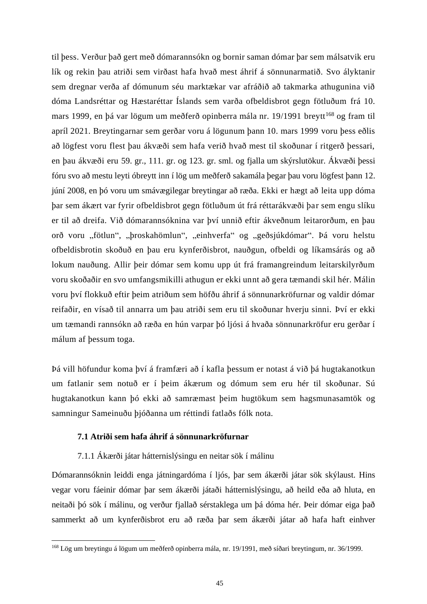til þess. Verður það gert með dómarannsókn og bornir saman dómar þar sem málsatvik eru lík og rekin þau atriði sem virðast hafa hvað mest áhrif á sönnunarmatið. Svo ályktanir sem dregnar verða af dómunum séu marktækar var afráðið að takmarka athugunina við dóma Landsréttar og Hæstaréttar Íslands sem varða ofbeldisbrot gegn fötluðum frá 10. mars 1999, en þá var lögum um meðferð opinberra mála nr. 19/1991 breytt<sup>168</sup> og fram til apríl 2021. Breytingarnar sem gerðar voru á lögunum þann 10. mars 1999 voru þess eðlis að lögfest voru flest þau ákvæði sem hafa verið hvað mest til skoðunar í ritgerð þessari, en þau ákvæði eru 59. gr., 111. gr. og 123. gr. sml. og fjalla um skýrslutökur. Ákvæði þessi fóru svo að mestu leyti óbreytt inn í lög um meðferð sakamála þegar þau voru lögfest þann 12. júní 2008, en þó voru um smávægilegar breytingar að ræða. Ekki er hægt að leita upp dóma þar sem ákært var fyrir ofbeldisbrot gegn fötluðum út frá réttarákvæði þar sem engu slíku er til að dreifa. Við dómarannsóknina var því unnið eftir ákveðnum leitarorðum, en þau orð voru "fötlun", "þroskahömlun", "einhverfa" og "geðsjúkdómar". Þá voru helstu ofbeldisbrotin skoðuð en þau eru kynferðisbrot, nauðgun, ofbeldi og líkamsárás og að lokum nauðung. Allir þeir dómar sem komu upp út frá framangreindum leitarskilyrðum voru skoðaðir en svo umfangsmikilli athugun er ekki unnt að gera tæmandi skil hér. Málin voru því flokkuð eftir þeim atriðum sem höfðu áhrif á sönnunarkröfurnar og valdir dómar reifaðir, en vísað til annarra um þau atriði sem eru til skoðunar hverju sinni. Því er ekki um tæmandi rannsókn að ræða en hún varpar þó ljósi á hvaða sönnunarkröfur eru gerðar í málum af þessum toga.

Þá vill höfundur koma því á framfæri að í kafla þessum er notast á við þá hugtakanotkun um fatlanir sem notuð er í þeim ákærum og dómum sem eru hér til skoðunar. Sú hugtakanotkun kann þó ekki að samræmast þeim hugtökum sem hagsmunasamtök og samningur Sameinuðu þjóðanna um réttindi fatlaðs fólk nota.

# **7.1 Atriði sem hafa áhrif á sönnunarkröfurnar**

## 7.1.1 Ákærði játar hátternislýsingu en neitar sök í málinu

Dómarannsóknin leiddi enga játningardóma í ljós, þar sem ákærði játar sök skýlaust. Hins vegar voru fáeinir dómar þar sem ákærði játaði hátternislýsingu, að heild eða að hluta, en neitaði þó sök í málinu, og verður fjallað sérstaklega um þá dóma hér. Þeir dómar eiga það sammerkt að um kynferðisbrot eru að ræða þar sem ákærði játar að hafa haft einhver

<sup>168</sup> Lög um breytingu á lögum um meðferð opinberra mála, nr. 19/1991, með síðari breytingum, nr. 36/1999.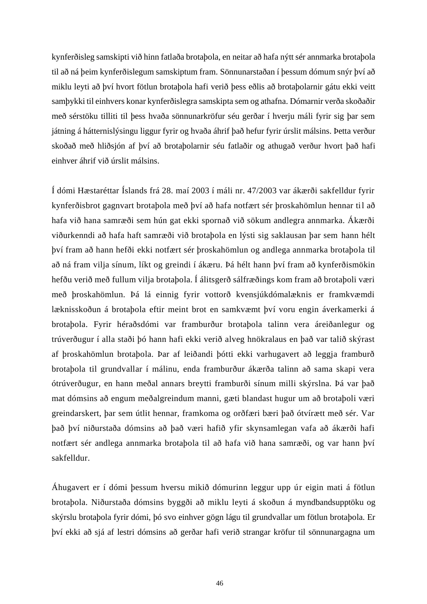kynferðisleg samskipti við hinn fatlaða brotaþola, en neitar að hafa nýtt sér annmarka brotaþola til að ná þeim kynferðislegum samskiptum fram. Sönnunarstaðan í þessum dómum snýr því að miklu leyti að því hvort fötlun brotaþola hafi verið þess eðlis að brotaþolarnir gátu ekki veitt samþykki til einhvers konar kynferðislegra samskipta sem og athafna. Dómarnir verða skoðaðir með sérstöku tilliti til þess hvaða sönnunarkröfur séu gerðar í hverju máli fyrir sig þar sem játning á hátternislýsingu liggur fyrir og hvaða áhrif það hefur fyrir úrslit málsins. Þetta verður skoðað með hliðsjón af því að brotaþolarnir séu fatlaðir og athugað verður hvort það hafi einhver áhrif við úrslit málsins.

Í dómi Hæstaréttar Íslands frá 28. maí 2003 í máli nr. 47/2003 var ákærði sakfelldur fyrir kynferðisbrot gagnvart brotaþola með því að hafa notfært sér þroskahömlun hennar til að hafa við hana samræði sem hún gat ekki spornað við sökum andlegra annmarka. Ákærði viðurkenndi að hafa haft samræði við brotaþola en lýsti sig saklausan þar sem hann hélt því fram að hann hefði ekki notfært sér þroskahömlun og andlega annmarka brotaþola til að ná fram vilja sínum, líkt og greindi í ákæru. Þá hélt hann því fram að kynferðismökin hefðu verið með fullum vilja brotaþola. Í álitsgerð sálfræðings kom fram að brotaþoli væri með þroskahömlun. Þá lá einnig fyrir vottorð kvensjúkdómalæknis er framkvæmdi læknisskoðun á brotaþola eftir meint brot en samkvæmt því voru engin áverkamerki á brotaþola. Fyrir héraðsdómi var framburður brotaþola talinn vera áreiðanlegur og trúverðugur í alla staði þó hann hafi ekki verið alveg hnökralaus en það var talið skýrast af þroskahömlun brotaþola. Þar af leiðandi þótti ekki varhugavert að leggja framburð brotaþola til grundvallar í málinu, enda framburður ákærða talinn að sama skapi vera ótrúverðugur, en hann meðal annars breytti framburði sínum milli skýrslna. Þá var það mat dómsins að engum meðalgreindum manni, gæti blandast hugur um að brotaþoli væri greindarskert, þar sem útlit hennar, framkoma og orðfæri bæri það ótvírætt með sér. Var það því niðurstaða dómsins að það væri hafið yfir skynsamlegan vafa að ákærði hafi notfært sér andlega annmarka brotaþola til að hafa við hana samræði, og var hann því sakfelldur.

Áhugavert er í dómi þessum hversu mikið dómurinn leggur upp úr eigin mati á fötlun brotaþola. Niðurstaða dómsins byggði að miklu leyti á skoðun á myndbandsupptöku og skýrslu brotaþola fyrir dómi, þó svo einhver gögn lágu til grundvallar um fötlun brotaþola. Er því ekki að sjá af lestri dómsins að gerðar hafi verið strangar kröfur til sönnunargagna um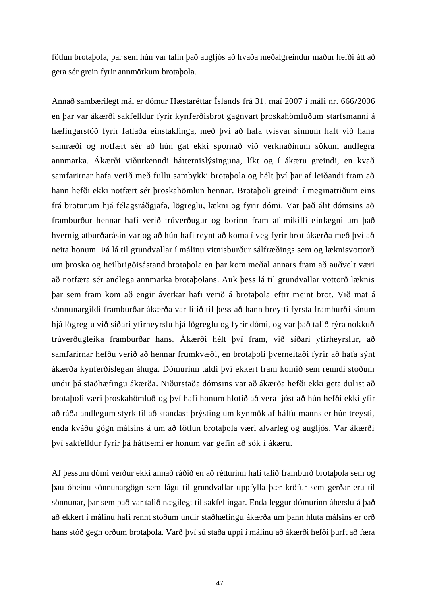fötlun brotaþola, þar sem hún var talin það augljós að hvaða meðalgreindur maður hefði átt að gera sér grein fyrir annmörkum brotaþola.

Annað sambærilegt mál er dómur Hæstaréttar Íslands frá 31. maí 2007 í máli nr. 666**/**2006 en þar var ákærði sakfelldur fyrir kynferðisbrot gagnvart þroskahömluðum starfsmanni á hæfingarstöð fyrir fatlaða einstaklinga, með því að hafa tvisvar sinnum haft við hana samræði og notfært sér að hún gat ekki spornað við verknaðinum sökum andlegra annmarka. Ákærði viðurkenndi hátternislýsinguna, líkt og í ákæru greindi, en kvað samfarirnar hafa verið með fullu samþykki brotaþola og hélt því þar af leiðandi fram að hann hefði ekki notfært sér þroskahömlun hennar. Brotaþoli greindi í meginatriðum eins frá brotunum hjá félagsráðgjafa, lögreglu, lækni og fyrir dómi. Var það álit dómsins að framburður hennar hafi verið trúverðugur og borinn fram af mikilli einlægni um það hvernig atburðarásin var og að hún hafi reynt að koma í veg fyrir brot ákærða með því að neita honum. Þá lá til grundvallar í málinu vitnisburður sálfræðings sem og læknisvottorð um þroska og heilbrigðisástand brotaþola en þar kom meðal annars fram að auðvelt væri að notfæra sér andlega annmarka brotaþolans. Auk þess lá til grundvallar vottorð læknis þar sem fram kom að engir áverkar hafi verið á brotaþola eftir meint brot. Við mat á sönnunargildi framburðar ákærða var litið til þess að hann breytti fyrsta framburði sínum hjá lögreglu við síðari yfirheyrslu hjá lögreglu og fyrir dómi, og var það talið rýra nokkuð trúverðugleika framburðar hans. Ákærði hélt því fram, við síðari yfirheyrslur, að samfarirnar hefðu verið að hennar frumkvæði, en brotaþoli þverneitaði fyrir að hafa sýnt ákærða kynferðislegan áhuga. Dómurinn taldi því ekkert fram komið sem renndi stoðum undir þá staðhæfingu ákærða. Niðurstaða dómsins var að ákærða hefði ekki geta dulist að brotaþoli væri þroskahömluð og því hafi honum hlotið að vera ljóst að hún hefði ekki yfir að ráða andlegum styrk til að standast þrýsting um kynmök af hálfu manns er hún treysti, enda kváðu gögn málsins á um að fötlun brotaþola væri alvarleg og augljós. Var ákærði því sakfelldur fyrir þá háttsemi er honum var gefin að sök í ákæru.

Af þessum dómi verður ekki annað ráðið en að rétturinn hafi talið framburð brotaþola sem og þau óbeinu sönnunargögn sem lágu til grundvallar uppfylla þær kröfur sem gerðar eru til sönnunar, þar sem það var talið nægilegt til sakfellingar. Enda leggur dómurinn áherslu á það að ekkert í málinu hafi rennt stoðum undir staðhæfingu ákærða um þann hluta málsins er orð hans stóð gegn orðum brotaþola. Varð því sú staða uppi í málinu að ákærði hefði þurft að færa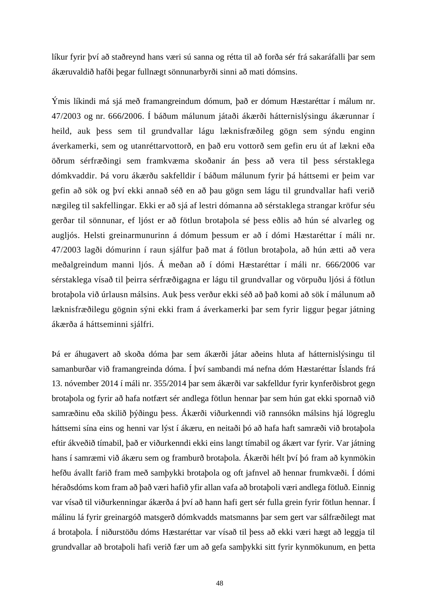líkur fyrir því að staðreynd hans væri sú sanna og rétta til að forða sér frá sakaráfalli þar sem ákæruvaldið hafði þegar fullnægt sönnunarbyrði sinni að mati dómsins.

Ýmis líkindi má sjá með framangreindum dómum, það er dómum Hæstaréttar í málum nr. 47/2003 og nr. 666**/**2006. Í báðum málunum játaði ákærði hátternislýsingu ákærunnar í heild, auk þess sem til grundvallar lágu læknisfræðileg gögn sem sýndu enginn áverkamerki, sem og utanréttarvottorð, en það eru vottorð sem gefin eru út af lækni eða öðrum sérfræðingi sem framkvæma skoðanir án þess að vera til þess sérstaklega dómkvaddir. Þá voru ákærðu sakfelldir í báðum málunum fyrir þá háttsemi er þeim var gefin að sök og því ekki annað séð en að þau gögn sem lágu til grundvallar hafi verið nægileg til sakfellingar. Ekki er að sjá af lestri dómanna að sérstaklega strangar kröfur séu gerðar til sönnunar, ef ljóst er að fötlun brotaþola sé þess eðlis að hún sé alvarleg og augljós. Helsti greinarmunurinn á dómum þessum er að í dómi Hæstaréttar í máli nr. 47/2003 lagði dómurinn í raun sjálfur það mat á fötlun brotaþola, að hún ætti að vera meðalgreindum manni ljós. Á meðan að í dómi Hæstaréttar í máli nr. 666**/**2006 var sérstaklega vísað til þeirra sérfræðigagna er lágu til grundvallar og vörpuðu ljósi á fötlun brotaþola við úrlausn málsins. Auk þess verður ekki séð að það komi að sök í málunum að læknisfræðilegu gögnin sýni ekki fram á áverkamerki þar sem fyrir liggur þegar játning ákærða á háttseminni sjálfri.

Þá er áhugavert að skoða dóma þar sem ákærði játar aðeins hluta af hátternislýsingu til samanburðar við framangreinda dóma. Í því sambandi má nefna dóm Hæstaréttar Íslands frá 13. nóvember 2014 í máli nr. 355/2014 þar sem ákærði var sakfelldur fyrir kynferðisbrot gegn brotaþola og fyrir að hafa notfært sér andlega fötlun hennar þar sem hún gat ekki spornað við samræðinu eða skilið þýðingu þess. Ákærði viðurkenndi við rannsókn málsins hjá lögreglu háttsemi sína eins og henni var lýst í ákæru, en neitaði þó að hafa haft samræði við brotaþola eftir ákveðið tímabil, það er viðurkenndi ekki eins langt tímabil og ákært var fyrir. Var játning hans í samræmi við ákæru sem og framburð brotaþola. Ákærði hélt því þó fram að kynmökin hefðu ávallt farið fram með samþykki brotaþola og oft jafnvel að hennar frumkvæði. Í dómi héraðsdóms kom fram að það væri hafið yfir allan vafa að brotaþoli væri andlega fötluð. Einnig var vísað til viðurkenningar ákærða á því að hann hafi gert sér fulla grein fyrir fötlun hennar. Í málinu lá fyrir greinargóð matsgerð dómkvadds matsmanns þar sem gert var sálfræðilegt mat á brotaþola. Í niðurstöðu dóms Hæstaréttar var vísað til þess að ekki væri hægt að leggja til grundvallar að brotaþoli hafi verið fær um að gefa samþykki sitt fyrir kynmökunum, en þetta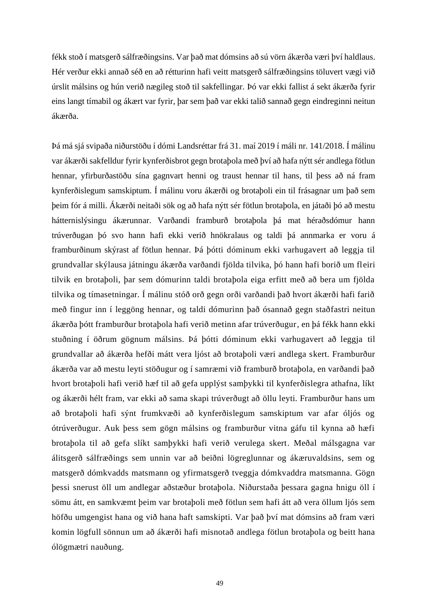fékk stoð í matsgerð sálfræðingsins. Var það mat dómsins að sú vörn ákærða væri því haldlaus. Hér verður ekki annað séð en að rétturinn hafi veitt matsgerð sálfræðingsins töluvert vægi við úrslit málsins og hún verið nægileg stoð til sakfellingar. Þó var ekki fallist á sekt ákærða fyrir eins langt tímabil og ákært var fyrir, þar sem það var ekki talið sannað gegn eindreginni neitun ákærða.

Þá má sjá svipaða niðurstöðu í dómi Landsréttar frá 31. maí 2019 í máli nr. 141/2018. Í málinu var ákærði sakfelldur fyrir kynferðisbrot gegn brotaþola með því að hafa nýtt sér andlega fötlun hennar, yfirburðastöðu sína gagnvart henni og traust hennar til hans, til þess að ná fram kynferðislegum samskiptum. Í málinu voru ákærði og brotaþoli ein til frásagnar um það sem þeim fór á milli. Ákærði neitaði sök og að hafa nýtt sér fötlun brotaþola, en játaði þó að mestu hátternislýsingu ákærunnar. Varðandi framburð brotaþola þá mat héraðsdómur hann trúverðugan þó svo hann hafi ekki verið hnökralaus og taldi þá annmarka er voru á framburðinum skýrast af fötlun hennar. Þá þótti dóminum ekki varhugavert að leggja til grundvallar skýlausa játningu ákærða varðandi fjölda tilvika, þó hann hafi borið um fleiri tilvik en brotaþoli, þar sem dómurinn taldi brotaþola eiga erfitt með að bera um fjölda tilvika og tímasetningar. Í málinu stóð orð gegn orði varðandi það hvort ákærði hafi farið með fingur inn í leggöng hennar, og taldi dómurinn það ósannað gegn staðfastri neitun ákærða þótt framburður brotaþola hafi verið metinn afar trúverðugur, en þá fékk hann ekki stuðning í öðrum gögnum málsins. Þá þótti dóminum ekki varhugavert að leggja til grundvallar að ákærða hefði mátt vera ljóst að brotaþoli væri andlega skert. Framburður ákærða var að mestu leyti stöðugur og í samræmi við framburð brotaþola, en varðandi það hvort brotaþoli hafi verið hæf til að gefa upplýst samþykki til kynferðislegra athafna, líkt og ákærði hélt fram, var ekki að sama skapi trúverðugt að öllu leyti. Framburður hans um að brotaþoli hafi sýnt frumkvæði að kynferðislegum samskiptum var afar óljós og ótrúverðugur. Auk þess sem gögn málsins og framburður vitna gáfu til kynna að hæfi brotaþola til að gefa slíkt samþykki hafi verið verulega skert. Meðal málsgagna var álitsgerð sálfræðings sem unnin var að beiðni lögreglunnar og ákæruvaldsins, sem og matsgerð dómkvadds matsmann og yfirmatsgerð tveggja dómkvaddra matsmanna. Gögn þessi snerust öll um andlegar aðstæður brotaþola. Niðurstaða þessara gagna hnigu öll í sömu átt, en samkvæmt þeim var brotaþoli með fötlun sem hafi átt að vera öllum ljós sem höfðu umgengist hana og við hana haft samskipti. Var það því mat dómsins að fram væri komin lögfull sönnun um að ákærði hafi misnotað andlega fötlun brotaþola og beitt hana ólögmætri nauðung.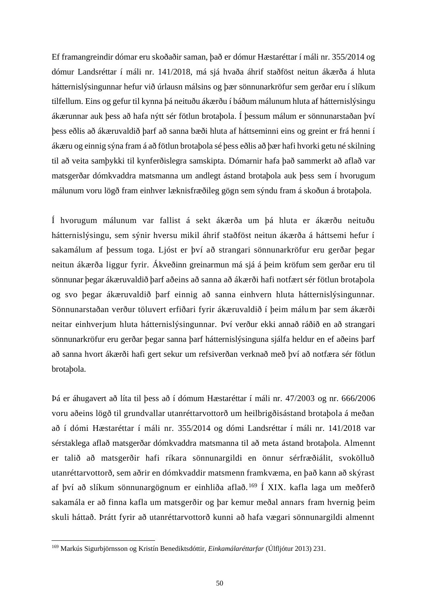Ef framangreindir dómar eru skoðaðir saman, það er dómur Hæstaréttar í máli nr. 355/2014 og dómur Landsréttar í máli nr. 141/2018, má sjá hvaða áhrif staðföst neitun ákærða á hluta hátternislýsingunnar hefur við úrlausn málsins og þær sönnunarkröfur sem gerðar eru í slíkum tilfellum. Eins og gefur til kynna þá neituðu ákærðu í báðum málunum hluta af hátternislýsingu ákærunnar auk þess að hafa nýtt sér fötlun brotaþola. Í þessum málum er sönnunarstaðan því þess eðlis að ákæruvaldið þarf að sanna bæði hluta af háttseminni eins og greint er frá henni í ákæru og einnig sýna fram á að fötlun brotaþola sé þess eðlis að þær hafi hvorki getu né skilning til að veita samþykki til kynferðislegra samskipta. Dómarnir hafa það sammerkt að aflað var matsgerðar dómkvaddra matsmanna um andlegt ástand brotaþola auk þess sem í hvorugum málunum voru lögð fram einhver læknisfræðileg gögn sem sýndu fram á skoðun á brotaþola.

Í hvorugum málunum var fallist á sekt ákærða um þá hluta er ákærðu neituðu hátternislýsingu, sem sýnir hversu mikil áhrif staðföst neitun ákærða á háttsemi hefur í sakamálum af þessum toga. Ljóst er því að strangari sönnunarkröfur eru gerðar þegar neitun ákærða liggur fyrir. Ákveðinn greinarmun má sjá á þeim kröfum sem gerðar eru til sönnunar þegar ákæruvaldið þarf aðeins að sanna að ákærði hafi notfært sér fötlun brotaþola og svo þegar ákæruvaldið þarf einnig að sanna einhvern hluta hátternislýsingunnar. Sönnunarstaðan verður töluvert erfiðari fyrir ákæruvaldið í þeim málum þar sem ákærði neitar einhverjum hluta hátternislýsingunnar. Því verður ekki annað ráðið en að strangari sönnunarkröfur eru gerðar þegar sanna þarf hátternislýsinguna sjálfa heldur en ef aðeins þarf að sanna hvort ákærði hafi gert sekur um refsiverðan verknað með því að notfæra sér fötlun brotaþola.

Þá er áhugavert að líta til þess að í dómum Hæstaréttar í máli nr. 47/2003 og nr. 666**/**2006 voru aðeins lögð til grundvallar utanréttarvottorð um heilbrigðisástand brotaþola á meðan að í dómi Hæstaréttar í máli nr. 355/2014 og dómi Landsréttar í máli nr. 141/2018 var sérstaklega aflað matsgerðar dómkvaddra matsmanna til að meta ástand brotaþola. Almennt er talið að matsgerðir hafi ríkara sönnunargildi en önnur sérfræðiálit, svokölluð utanréttarvottorð, sem aðrir en dómkvaddir matsmenn framkvæma, en það kann að skýrast af því að slíkum sönnunargögnum er einhliða aflað. <sup>169</sup> Í XIX. kafla laga um meðferð sakamála er að finna kafla um matsgerðir og þar kemur meðal annars fram hvernig þeim skuli háttað. Þrátt fyrir að utanréttarvottorð kunni að hafa vægari sönnunargildi almennt

<sup>169</sup> Markús Sigurbjörnsson og Kristín Benediktsdóttir, *Einkamálaréttarfar* (Úlfljótur 2013) 231.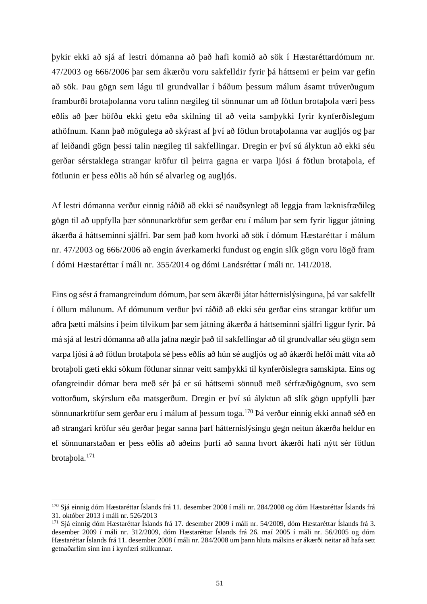þykir ekki að sjá af lestri dómanna að það hafi komið að sök í Hæstaréttardómum nr. 47/2003 og 666/2006 þar sem ákærðu voru sakfelldir fyrir þá háttsemi er þeim var gefin að sök. Þau gögn sem lágu til grundvallar í báðum þessum málum ásamt trúverðugum framburði brotaþolanna voru talinn nægileg til sönnunar um að fötlun brotaþola væri þess eðlis að þær höfðu ekki getu eða skilning til að veita samþykki fyrir kynferðislegum athöfnum. Kann það mögulega að skýrast af því að fötlun brotaþolanna var augljós og þar af leiðandi gögn þessi talin nægileg til sakfellingar. Dregin er því sú ályktun að ekki séu gerðar sérstaklega strangar kröfur til þeirra gagna er varpa ljósi á fötlun brotaþola, ef fötlunin er þess eðlis að hún sé alvarleg og augljós.

Af lestri dómanna verður einnig ráðið að ekki sé nauðsynlegt að leggja fram læknisfræðileg gögn til að uppfylla þær sönnunarkröfur sem gerðar eru í málum þar sem fyrir liggur játning ákærða á háttseminni sjálfri. Þar sem það kom hvorki að sök í dómum Hæstaréttar í málum nr. 47/2003 og 666/2006 að engin áverkamerki fundust og engin slík gögn voru lögð fram í dómi Hæstaréttar í máli nr. 355/2014 og dómi Landsréttar í máli nr. 141/2018.

Eins og sést á framangreindum dómum, þar sem ákærði játar hátternislýsinguna, þá var sakfellt í öllum málunum. Af dómunum verður því ráðið að ekki séu gerðar eins strangar kröfur um aðra þætti málsins í þeim tilvikum þar sem játning ákærða á háttseminni sjálfri liggur fyrir. Þá má sjá af lestri dómanna að alla jafna nægir það til sakfellingar að til grundvallar séu gögn sem varpa ljósi á að fötlun brotaþola sé þess eðlis að hún sé augljós og að ákærði hefði mátt vita að brotaþoli gæti ekki sökum fötlunar sinnar veitt samþykki til kynferðislegra samskipta. Eins og ofangreindir dómar bera með sér þá er sú háttsemi sönnuð með sérfræðigögnum, svo sem vottorðum, skýrslum eða matsgerðum. Dregin er því sú ályktun að slík gögn uppfylli þær sönnunarkröfur sem gerðar eru í málum af þessum toga.<sup>170</sup> Þá verður einnig ekki annað séð en að strangari kröfur séu gerðar þegar sanna þarf hátternislýsingu gegn neitun ákærða heldur en ef sönnunarstaðan er þess eðlis að aðeins þurfi að sanna hvort ákærði hafi nýtt sér fötlun brotaþola.<sup>171</sup>

<sup>170</sup> Sjá einnig dóm Hæstaréttar Íslands frá 11. desember 2008 í máli nr. 284/2008 og dóm Hæstaréttar Íslands frá 31. október 2013 í máli nr. 526/2013

<sup>171</sup> Sjá einnig dóm Hæstaréttar Íslands frá 17. desember 2009 í máli nr. 54/2009, dóm Hæstaréttar Íslands frá 3. desember 2009 í máli nr. 312/2009, dóm Hæstaréttar Íslands frá 26. maí 2005 í máli nr. 56/2005 og dóm Hæstaréttar Íslands frá 11. desember 2008 í máli nr. 284/2008 um þann hluta málsins er ákærði neitar að hafa sett getnaðarlim sinn inn í kynfæri stúlkunnar.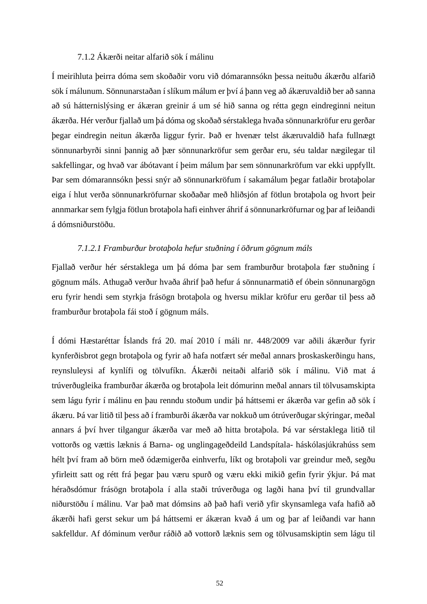## 7.1.2 Ákærði neitar alfarið sök í málinu

Í meirihluta þeirra dóma sem skoðaðir voru við dómarannsókn þessa neituðu ákærðu alfarið sök í málunum. Sönnunarstaðan í slíkum málum er því á þann veg að ákæruvaldið ber að sanna að sú hátternislýsing er ákæran greinir á um sé hið sanna og rétta gegn eindreginni neitun ákærða. Hér verður fjallað um þá dóma og skoðað sérstaklega hvaða sönnunarkröfur eru gerðar þegar eindregin neitun ákærða liggur fyrir. Það er hvenær telst ákæruvaldið hafa fullnægt sönnunarbyrði sinni þannig að þær sönnunarkröfur sem gerðar eru, séu taldar nægilegar til sakfellingar, og hvað var ábótavant í þeim málum þar sem sönnunarkröfum var ekki uppfyllt. Þar sem dómarannsókn þessi snýr að sönnunarkröfum í sakamálum þegar fatlaðir brotaþolar eiga í hlut verða sönnunarkröfurnar skoðaðar með hliðsjón af fötlun brotaþola og hvort þeir annmarkar sem fylgja fötlun brotaþola hafi einhver áhrif á sönnunarkröfurnar og þar af leiðandi á dómsniðurstöðu.

# *7.1.2.1 Framburður brotaþola hefur stuðning í öðrum gögnum máls*

Fjallað verður hér sérstaklega um þá dóma þar sem framburður brotaþola fær stuðning í gögnum máls. Athugað verður hvaða áhrif það hefur á sönnunarmatið ef óbein sönnunargögn eru fyrir hendi sem styrkja frásögn brotaþola og hversu miklar kröfur eru gerðar til þess að framburður brotaþola fái stoð í gögnum máls.

Í dómi Hæstaréttar Íslands frá 20. maí 2010 í máli nr. 448/2009 var aðili ákærður fyrir kynferðisbrot gegn brotaþola og fyrir að hafa notfært sér meðal annars þroskaskerðingu hans, reynsluleysi af kynlífi og tölvufíkn. Ákærði neitaði alfarið sök í málinu. Við mat á trúverðugleika framburðar ákærða og brotaþola leit dómurinn meðal annars til tölvusamskipta sem lágu fyrir í málinu en þau renndu stoðum undir þá háttsemi er ákærða var gefin að sök í ákæru. Þá var litið til þess að í framburði ákærða var nokkuð um ótrúverðugar skýringar, meðal annars á því hver tilgangur ákærða var með að hitta brotaþola. Þá var sérstaklega litið til vottorðs og vættis læknis á Barna- og unglingageðdeild Landspítala- háskólasjúkrahúss sem hélt því fram að börn með ódæmigerða einhverfu, líkt og brotaþoli var greindur með, segðu yfirleitt satt og rétt frá þegar þau væru spurð og væru ekki mikið gefin fyrir ýkjur. Þá mat héraðsdómur frásögn brotaþola í alla staði trúverðuga og lagði hana því til grundvallar niðurstöðu í málinu. Var það mat dómsins að það hafi verið yfir skynsamlega vafa hafið að ákærði hafi gerst sekur um þá háttsemi er ákæran kvað á um og þar af leiðandi var hann sakfelldur. Af dóminum verður ráðið að vottorð læknis sem og tölvusamskiptin sem lágu til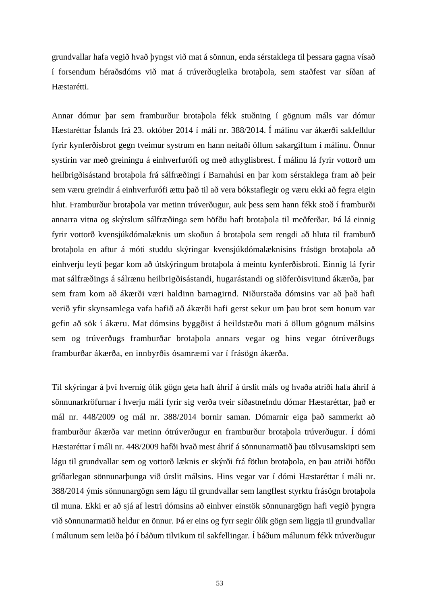grundvallar hafa vegið hvað þyngst við mat á sönnun, enda sérstaklega til þessara gagna vísað í forsendum héraðsdóms við mat á trúverðugleika brotaþola, sem staðfest var síðan af Hæstarétti.

Annar dómur þar sem framburður brotaþola fékk stuðning í gögnum máls var dómur Hæstaréttar Íslands frá 23. október 2014 í máli nr. 388/2014. Í málinu var ákærði sakfelldur fyrir kynferðisbrot gegn tveimur systrum en hann neitaði öllum sakargiftum í málinu. Önnur systirin var með greiningu á einhverfurófi og með athyglisbrest. Í málinu lá fyrir vottorð um heilbrigðisástand brotaþola frá sálfræðingi í Barnahúsi en þar kom sérstaklega fram að þeir sem væru greindir á einhverfurófi ættu það til að vera bókstaflegir og væru ekki að fegra eigin hlut. Framburður brotaþola var metinn trúverðugur, auk þess sem hann fékk stoð í framburði annarra vitna og skýrslum sálfræðinga sem höfðu haft brotaþola til meðferðar. Þá lá einnig fyrir vottorð kvensjúkdómalæknis um skoðun á brotaþola sem rengdi að hluta til framburð brotaþola en aftur á móti studdu skýringar kvensjúkdómalæknisins frásögn brotaþola að einhverju leyti þegar kom að útskýringum brotaþola á meintu kynferðisbroti. Einnig lá fyrir mat sálfræðings á sálrænu heilbrigðisástandi, hugarástandi og siðferðisvitund ákærða, þar sem fram kom að ákærði væri haldinn barnagirnd. Niðurstaða dómsins var að það hafi verið yfir skynsamlega vafa hafið að ákærði hafi gerst sekur um þau brot sem honum var gefin að sök í ákæru. Mat dómsins byggðist á heildstæðu mati á öllum gögnum málsins sem og trúverðugs framburðar brotaþola annars vegar og hins vegar ótrúverðugs framburðar ákærða, en innbyrðis ósamræmi var í frásögn ákærða.

Til skýringar á því hvernig ólík gögn geta haft áhrif á úrslit máls og hvaða atriði hafa áhrif á sönnunarkröfurnar í hverju máli fyrir sig verða tveir síðastnefndu dómar Hæstaréttar, það er mál nr. 448/2009 og mál nr. 388/2014 bornir saman. Dómarnir eiga það sammerkt að framburður ákærða var metinn ótrúverðugur en framburður brotaþola trúverðugur. Í dómi Hæstaréttar í máli nr. 448/2009 hafði hvað mest áhrif á sönnunarmatið þau tölvusamskipti sem lágu til grundvallar sem og vottorð læknis er skýrði frá fötlun brotaþola, en þau atriði höfðu gríðarlegan sönnunarþunga við úrslit málsins. Hins vegar var í dómi Hæstaréttar í máli nr. 388/2014 ýmis sönnunargögn sem lágu til grundvallar sem langflest styrktu frásögn brotaþola til muna. Ekki er að sjá af lestri dómsins að einhver einstök sönnunargögn hafi vegið þyngra við sönnunarmatið heldur en önnur. Þá er eins og fyrr segir ólík gögn sem liggja til grundvallar í málunum sem leiða þó í báðum tilvikum til sakfellingar. Í báðum málunum fékk trúverðugur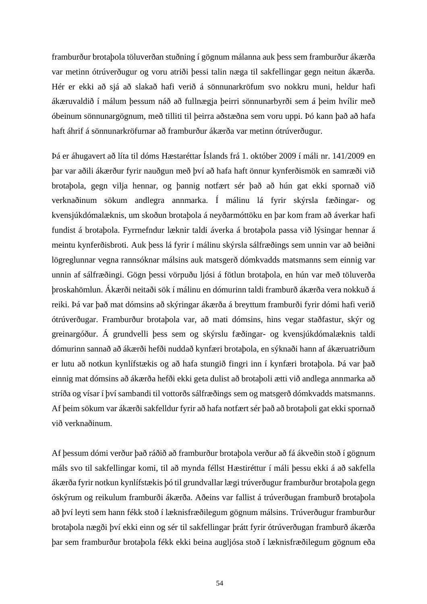framburður brotaþola töluverðan stuðning í gögnum málanna auk þess sem framburður ákærða var metinn ótrúverðugur og voru atriði þessi talin næga til sakfellingar gegn neitun ákærða. Hér er ekki að sjá að slakað hafi verið á sönnunarkröfum svo nokkru muni, heldur hafi ákæruvaldið í málum þessum náð að fullnægja þeirri sönnunarbyrði sem á þeim hvílir með óbeinum sönnunargögnum, með tilliti til þeirra aðstæðna sem voru uppi. Þó kann það að hafa haft áhrif á sönnunarkröfurnar að framburður ákærða var metinn ótrúverðugur.

Þá er áhugavert að líta til dóms Hæstaréttar Íslands frá 1. október 2009 í máli nr. 141/2009 en þar var aðili ákærður fyrir nauðgun með því að hafa haft önnur kynferðismök en samræði við brotaþola, gegn vilja hennar, og þannig notfært sér það að hún gat ekki spornað við verknaðinum sökum andlegra annmarka. Í málinu lá fyrir skýrsla fæðingar- og kvensjúkdómalæknis, um skoðun brotaþola á neyðarmóttöku en þar kom fram að áverkar hafi fundist á brotaþola. Fyrrnefndur læknir taldi áverka á brotaþola passa við lýsingar hennar á meintu kynferðisbroti. Auk þess lá fyrir í málinu skýrsla sálfræðings sem unnin var að beiðni lögreglunnar vegna rannsóknar málsins auk matsgerð dómkvadds matsmanns sem einnig var unnin af sálfræðingi. Gögn þessi vörpuðu ljósi á fötlun brotaþola, en hún var með töluverða þroskahömlun. Ákærði neitaði sök í málinu en dómurinn taldi framburð ákærða vera nokkuð á reiki. Þá var það mat dómsins að skýringar ákærða á breyttum framburði fyrir dómi hafi verið ótrúverðugar. Framburður brotaþola var, að mati dómsins, hins vegar staðfastur, skýr og greinargóður. Á grundvelli þess sem og skýrslu fæðingar- og kvensjúkdómalæknis taldi dómurinn sannað að ákærði hefði nuddað kynfæri brotaþola, en sýknaði hann af ákæruatriðum er lutu að notkun kynlífstækis og að hafa stungið fingri inn í kynfæri brotaþola. Þá var það einnig mat dómsins að ákærða hefði ekki geta dulist að brotaþoli ætti við andlega annmarka að stríða og vísar í því sambandi til vottorðs sálfræðings sem og matsgerð dómkvadds matsmanns. Af þeim sökum var ákærði sakfelldur fyrir að hafa notfært sér það að brotaþoli gat ekki spornað við verknaðinum.

Af þessum dómi verður það ráðið að framburður brotaþola verður að fá ákveðin stoð í gögnum máls svo til sakfellingar komi, til að mynda féllst Hæstiréttur í máli þessu ekki á að sakfella ákærða fyrir notkun kynlífstækis þó til grundvallar lægi trúverðugur framburður brotaþola gegn óskýrum og reikulum framburði ákærða. Aðeins var fallist á trúverðugan framburð brotaþola að því leyti sem hann fékk stoð í læknisfræðilegum gögnum málsins. Trúverðugur framburður brotaþola nægði því ekki einn og sér til sakfellingar þrátt fyrir ótrúverðugan framburð ákærða þar sem framburður brotaþola fékk ekki beina augljósa stoð í læknisfræðilegum gögnum eða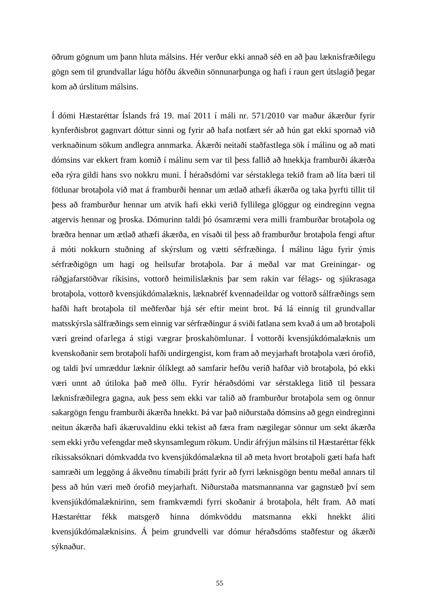öðrum gögnum um þann hluta málsins. Hér verður ekki annað séð en að þau læknisfræðilegu gögn sem til grundvallar lágu höfðu ákveðin sönnunarþunga og hafi í raun gert útslagið þegar kom að úrslitum málsins.

Í dómi Hæstaréttar Íslands frá 19. maí 2011 í máli nr. 571/2010 var maður ákærður fyrir kynferðisbrot gagnvart dóttur sinni og fyrir að hafa notfært sér að hún gat ekki spornað við verknaðinum sökum andlegra annmarka. Ákærði neitaði staðfastlega sök í málinu og að mati dómsins var ekkert fram komið í málinu sem var til þess fallið að hnekkja framburði ákærða eða rýra gildi hans svo nokkru muni. Í héraðsdómi var sérstaklega tekið fram að líta bæri til fötlunar brotaþola við mat á framburði hennar um ætlað athæfi ákærða og taka þyrfti tillit til þess að framburður hennar um atvik hafi ekki verið fyllilega glöggur og eindreginn vegna atgervis hennar og þroska. Dómurinn taldi þó ósamræmi vera milli framburðar brotaþola og bræðra hennar um ætlað athæfi ákærða, en vísaði til þess að framburður brotaþola fengi aftur á móti nokkurn stuðning af skýrslum og vætti sérfræðinga. Í málinu lágu fyrir ýmis sérfræðigögn um hagi og heilsufar brotaþola. Þar á meðal var mat Greiningar- og ráðgjafarstöðvar ríkisins, vottorð heimilislæknis þar sem rakin var félags- og sjúkrasaga brotaþola, vottorð kvensjúkdómalæknis, læknabréf kvennadeildar og vottorð sálfræðings sem hafði haft brotaþola til meðferðar hjá sér eftir meint brot. Þá lá einnig til grundvallar matsskýrsla sálfræðings sem einnig var sérfræðingur á sviði fatlana sem kvað á um að brotaþoli væri greind ofarlega á stigi vægrar þroskahömlunar. Í vottorði kvensjúkdómalæknis um kvenskoðanir sem brotaþoli hafði undirgengist, kom fram að meyjarhaft brotaþola væri órofið, og taldi því umræddur læknir ólíklegt að samfarir hefðu verið hafðar við brotaþola, þó ekki væri unnt að útiloka það með öllu. Fyrir héraðsdómi var sérstaklega litið til þessara læknisfræðilegra gagna, auk þess sem ekki var talið að framburður brotaþola sem og önnur sakargögn fengu framburði ákærða hnekkt. Þá var það niðurstaða dómsins að gegn eindreginni neitun ákærða hafi ákæruvaldinu ekki tekist að færa fram nægilegar sönnur um sekt ákærða sem ekki yrðu vefengdar með skynsamlegum rökum. Undir áfrýjun málsins til Hæstaréttar fékk ríkissaksóknari dómkvadda tvo kvensjúkdómalækna til að meta hvort brotaþoli gæti hafa haft samræði um leggöng á ákveðnu tímabili þrátt fyrir að fyrri læknisgögn bentu meðal annars til þess að hún væri með órofið meyjarhaft. Niðurstaða matsmannanna var gagnstæð því sem kvensjúkdómalæknirinn, sem framkvæmdi fyrri skoðanir á brotaþola, hélt fram. Að mati Hæstaréttar fékk matsgerð hinna dómkvöddu matsmanna ekki hnekkt áliti kvensjúkdómalæknisins. Á þeim grundvelli var dómur héraðsdóms staðfestur og ákærði sýknaður.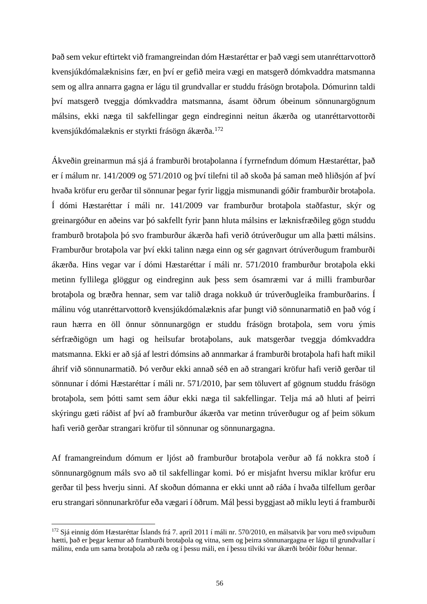Það sem vekur eftirtekt við framangreindan dóm Hæstaréttar er það vægi sem utanréttarvottorð kvensjúkdómalæknisins fær, en því er gefið meira vægi en matsgerð dómkvaddra matsmanna sem og allra annarra gagna er lágu til grundvallar er studdu frásögn brotaþola. Dómurinn taldi því matsgerð tveggja dómkvaddra matsmanna, ásamt öðrum óbeinum sönnunargögnum málsins, ekki næga til sakfellingar gegn eindreginni neitun ákærða og utanréttarvottorði kvensjúkdómalæknis er styrkti frásögn ákærða.<sup>172</sup>

Ákveðin greinarmun má sjá á framburði brotaþolanna í fyrrnefndum dómum Hæstaréttar, það er í málum nr. 141/2009 og 571/2010 og því tilefni til að skoða þá saman með hliðsjón af því hvaða kröfur eru gerðar til sönnunar þegar fyrir liggja mismunandi góðir framburðir brotaþola. Í dómi Hæstaréttar í máli nr. 141/2009 var framburður brotaþola staðfastur, skýr og greinargóður en aðeins var þó sakfellt fyrir þann hluta málsins er læknisfræðileg gögn studdu framburð brotaþola þó svo framburður ákærða hafi verið ótrúverðugur um alla þætti málsins. Framburður brotaþola var því ekki talinn næga einn og sér gagnvart ótrúverðugum framburði ákærða. Hins vegar var í dómi Hæstaréttar í máli nr. 571/2010 framburður brotaþola ekki metinn fyllilega glöggur og eindreginn auk þess sem ósamræmi var á milli framburðar brotaþola og bræðra hennar, sem var talið draga nokkuð úr trúverðugleika framburðarins. Í málinu vóg utanréttarvottorð kvensjúkdómalæknis afar þungt við sönnunarmatið en það vóg í raun hærra en öll önnur sönnunargögn er studdu frásögn brotaþola, sem voru ýmis sérfræðigögn um hagi og heilsufar brotaþolans, auk matsgerðar tveggja dómkvaddra matsmanna. Ekki er að sjá af lestri dómsins að annmarkar á framburði brotaþola hafi haft mikil áhrif við sönnunarmatið. Þó verður ekki annað séð en að strangari kröfur hafi verið gerðar til sönnunar í dómi Hæstaréttar í máli nr. 571/2010, þar sem töluvert af gögnum studdu frásögn brotaþola, sem þótti samt sem áður ekki næga til sakfellingar. Telja má að hluti af þeirri skýringu gæti ráðist af því að framburður ákærða var metinn trúverðugur og af þeim sökum hafi verið gerðar strangari kröfur til sönnunar og sönnunargagna.

Af framangreindum dómum er ljóst að framburður brotaþola verður að fá nokkra stoð í sönnunargögnum máls svo að til sakfellingar komi. Þó er misjafnt hversu miklar kröfur eru gerðar til þess hverju sinni. Af skoðun dómanna er ekki unnt að ráða í hvaða tilfellum gerðar eru strangari sönnunarkröfur eða vægari í öðrum. Mál þessi byggjast að miklu leyti á framburði

<sup>172</sup> Sjá einnig dóm Hæstaréttar Íslands frá 7. apríl 2011 í máli nr. 570/2010, en málsatvik þar voru með svipuðum hætti, það er þegar kemur að framburði brotaþola og vitna, sem og þeirra sönnunargagna er lágu til grundvallar í málinu, enda um sama brotaþola að ræða og í þessu máli, en í þessu tilviki var ákærði bróðir föður hennar.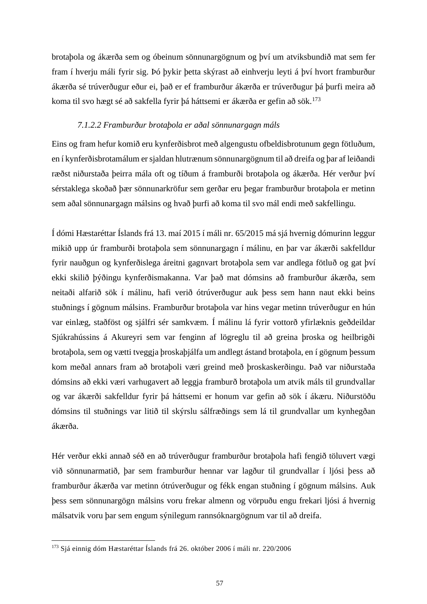brotaþola og ákærða sem og óbeinum sönnunargögnum og því um atviksbundið mat sem fer fram í hverju máli fyrir sig. Þó þykir þetta skýrast að einhverju leyti á því hvort framburður ákærða sé trúverðugur eður ei, það er ef framburður ákærða er trúverðugur þá þurfi meira að koma til svo hægt sé að sakfella fyrir þá háttsemi er ákærða er gefin að sök.<sup>173</sup>

## *7.1.2.2 Framburður brotaþola er aðal sönnunargagn máls*

Eins og fram hefur komið eru kynferðisbrot með algengustu ofbeldisbrotunum gegn fötluðum, en í kynferðisbrotamálum er sjaldan hlutrænum sönnunargögnum til að dreifa og þar af leiðandi ræðst niðurstaða þeirra mála oft og tíðum á framburði brotaþola og ákærða. Hér verður því sérstaklega skoðað þær sönnunarkröfur sem gerðar eru þegar framburður brotaþola er metinn sem aðal sönnunargagn málsins og hvað þurfi að koma til svo mál endi með sakfellingu.

Í dómi Hæstaréttar Íslands frá 13. maí 2015 í máli nr. 65/2015 má sjá hvernig dómurinn leggur mikið upp úr framburði brotaþola sem sönnunargagn í málinu, en þar var ákærði sakfelldur fyrir nauðgun og kynferðislega áreitni gagnvart brotaþola sem var andlega fötluð og gat því ekki skilið þýðingu kynferðismakanna. Var það mat dómsins að framburður ákærða, sem neitaði alfarið sök í málinu, hafi verið ótrúverðugur auk þess sem hann naut ekki beins stuðnings í gögnum málsins. Framburður brotaþola var hins vegar metinn trúverðugur en hún var einlæg, staðföst og sjálfri sér samkvæm. Í málinu lá fyrir vottorð yfirlæknis geðdeildar Sjúkrahússins á Akureyri sem var fenginn af lögreglu til að greina þroska og heilbrigði brotaþola, sem og vætti tveggja þroskaþjálfa um andlegt ástand brotaþola, en í gögnum þessum kom meðal annars fram að brotaþoli væri greind með þroskaskerðingu. Það var niðurstaða dómsins að ekki væri varhugavert að leggja framburð brotaþola um atvik máls til grundvallar og var ákærði sakfelldur fyrir þá háttsemi er honum var gefin að sök í ákæru. Niðurstöðu dómsins til stuðnings var litið til skýrslu sálfræðings sem lá til grundvallar um kynhegðan ákærða.

Hér verður ekki annað séð en að trúverðugur framburður brotaþola hafi fengið töluvert vægi við sönnunarmatið, þar sem framburður hennar var lagður til grundvallar í ljósi þess að framburður ákærða var metinn ótrúverðugur og fékk engan stuðning í gögnum málsins. Auk þess sem sönnunargögn málsins voru frekar almenn og vörpuðu engu frekari ljósi á hvernig málsatvik voru þar sem engum sýnilegum rannsóknargögnum var til að dreifa.

<sup>173</sup> Sjá einnig dóm Hæstaréttar Íslands frá 26. október 2006 í máli nr. 220/2006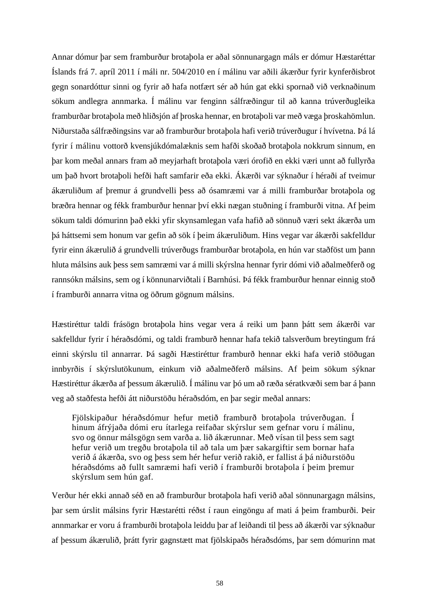Annar dómur þar sem framburður brotaþola er aðal sönnunargagn máls er dómur Hæstaréttar Íslands frá 7. apríl 2011 í máli nr. 504/2010 en í málinu var aðili ákærður fyrir kynferðisbrot gegn sonardóttur sinni og fyrir að hafa notfært sér að hún gat ekki spornað við verknaðinum sökum andlegra annmarka. Í málinu var fenginn sálfræðingur til að kanna trúverðugleika framburðar brotaþola með hliðsjón af þroska hennar, en brotaþoli var með væga þroskahömlun. Niðurstaða sálfræðingsins var að framburður brotaþola hafi verið trúverðugur í hvívetna. Þá lá fyrir í málinu vottorð kvensjúkdómalæknis sem hafði skoðað brotaþola nokkrum sinnum, en þar kom meðal annars fram að meyjarhaft brotaþola væri órofið en ekki væri unnt að fullyrða um það hvort brotaþoli hefði haft samfarir eða ekki. Ákærði var sýknaður í héraði af tveimur ákæruliðum af þremur á grundvelli þess að ósamræmi var á milli framburðar brotaþola og bræðra hennar og fékk framburður hennar því ekki nægan stuðning í framburði vitna. Af þeim sökum taldi dómurinn það ekki yfir skynsamlegan vafa hafið að sönnuð væri sekt ákærða um þá háttsemi sem honum var gefin að sök í þeim ákæruliðum. Hins vegar var ákærði sakfelldur fyrir einn ákærulið á grundvelli trúverðugs framburðar brotaþola, en hún var staðföst um þann hluta málsins auk þess sem samræmi var á milli skýrslna hennar fyrir dómi við aðalmeðferð og rannsókn málsins, sem og í könnunarviðtali í Barnhúsi. Þá fékk framburður hennar einnig stoð í framburði annarra vitna og öðrum gögnum málsins.

Hæstiréttur taldi frásögn brotaþola hins vegar vera á reiki um þann þátt sem ákærði var sakfelldur fyrir í héraðsdómi, og taldi framburð hennar hafa tekið talsverðum breytingum frá einni skýrslu til annarrar. Þá sagði Hæstiréttur framburð hennar ekki hafa verið stöðugan innbyrðis í skýrslutökunum, einkum við aðalmeðferð málsins. Af þeim sökum sýknar Hæstiréttur ákærða af þessum ákærulið. Í málinu var þó um að ræða sératkvæði sem bar á þann veg að staðfesta hefði átt niðurstöðu héraðsdóm, en þar segir meðal annars:

Fjölskipaður héraðsdómur hefur metið framburð brotaþola trúverðugan. Í hinum áfrýjaða dómi eru ítarlega reifaðar skýrslur sem gefnar voru í málinu, svo og önnur málsgögn sem varða a. lið ákærunnar. Með vísan til þess sem sagt hefur verið um tregðu brotaþola til að tala um þær sakargiftir sem bornar hafa verið á ákærða, svo og þess sem hér hefur verið rakið, er fallist á þá niðurstöðu héraðsdóms að fullt samræmi hafi verið í framburði brotaþola í þeim þremur skýrslum sem hún gaf.

Verður hér ekki annað séð en að framburður brotaþola hafi verið aðal sönnunargagn málsins, þar sem úrslit málsins fyrir Hæstarétti réðst í raun eingöngu af mati á þeim framburði. Þeir annmarkar er voru á framburði brotaþola leiddu þar af leiðandi til þess að ákærði var sýknaður af þessum ákærulið, þrátt fyrir gagnstætt mat fjölskipaðs héraðsdóms, þar sem dómurinn mat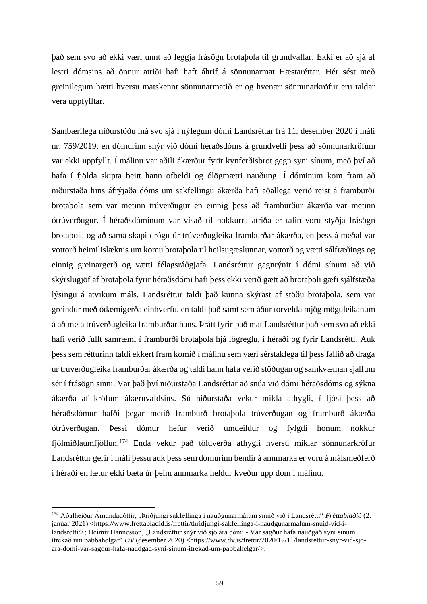það sem svo að ekki væri unnt að leggja frásögn brotaþola til grundvallar. Ekki er að sjá af lestri dómsins að önnur atriði hafi haft áhrif á sönnunarmat Hæstaréttar. Hér sést með greinilegum hætti hversu matskennt sönnunarmatið er og hvenær sönnunarkröfur eru taldar vera uppfylltar.

Sambærilega niðurstöðu má svo sjá í nýlegum dómi Landsréttar frá 11. desember 2020 í máli nr. 759/2019, en dómurinn snýr við dómi héraðsdóms á grundvelli þess að sönnunarkröfum var ekki uppfyllt. Í málinu var aðili ákærður fyrir kynferðisbrot gegn syni sínum, með því að hafa í fjölda skipta beitt hann ofbeldi og ólögmætri nauðung. Í dóminum kom fram að niðurstaða hins áfrýjaða dóms um sakfellingu ákærða hafi aðallega verið reist á framburði brotaþola sem var metinn trúverðugur en einnig þess að framburður ákærða var metinn ótrúverðugur. Í héraðsdóminum var vísað til nokkurra atriða er talin voru styðja frásögn brotaþola og að sama skapi drógu úr trúverðugleika framburðar ákærða, en þess á meðal var vottorð heimilislæknis um komu brotaþola til heilsugæslunnar, vottorð og vætti sálfræðings og einnig greinargerð og vætti félagsráðgjafa. Landsréttur gagnrýnir í dómi sínum að við skýrslugjöf af brotaþola fyrir héraðsdómi hafi þess ekki verið gætt að brotaþoli gæfi sjálfstæða lýsingu á atvikum máls. Landsréttur taldi það kunna skýrast af stöðu brotaþola, sem var greindur með ódæmigerða einhverfu, en taldi það samt sem áður torvelda mjög möguleikanum á að meta trúverðugleika framburðar hans. Þrátt fyrir það mat Landsréttur það sem svo að ekki hafi verið fullt samræmi í framburði brotaþola hjá lögreglu, í héraði og fyrir Landsrétti. Auk þess sem rétturinn taldi ekkert fram komið í málinu sem væri sérstaklega til þess fallið að draga úr trúverðugleika framburðar ákærða og taldi hann hafa verið stöðugan og samkvæman sjálfum sér í frásögn sinni. Var það því niðurstaða Landsréttar að snúa við dómi héraðsdóms og sýkna ákærða af kröfum ákæruvaldsins. Sú niðurstaða vekur mikla athygli, í ljósi þess að héraðsdómur hafði þegar metið framburð brotaþola trúverðugan og framburð ákærða ótrúverðugan. Þessi dómur hefur verið umdeildur og fylgdi honum nokkur fjölmiðlaumfjöllun.<sup>174</sup> Enda vekur það töluverða athygli hversu miklar sönnunarkröfur Landsréttur gerir í máli þessu auk þess sem dómurinn bendir á annmarka er voru á málsmeðferð í héraði en lætur ekki bæta úr þeim annmarka heldur kveður upp dóm í málinu.

<sup>&</sup>lt;sup>174</sup> Aðalheiður Ámundadóttir, "Þriðjungi sakfellinga í nauðgunarmálum snúið við í Landsrétti" *Fréttablaðið* (2. janúar 2021) <https://www.frettabladid.is/frettir/thridjungi-sakfellinga-i-naudgunarmalum-snuid-vid-ilandsretti/>; Heimir Hannesson, "Landsréttur snýr við sjö ára dómi - Var sagður hafa nauðgað syni sínum ítrekað um pabbahelgar" *DV* (desember 2020) <https://www.dv.is/frettir/2020/12/11/landsrettur-snyr-vid-sjoara-domi-var-sagdur-hafa-naudgad-syni-sinum-itrekad-um-pabbahelgar/>.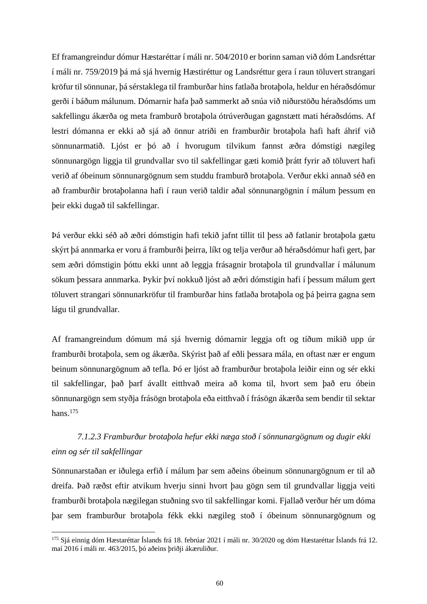Ef framangreindur dómur Hæstaréttar í máli nr. 504/2010 er borinn saman við dóm Landsréttar í máli nr. 759/2019 þá má sjá hvernig Hæstiréttur og Landsréttur gera í raun töluvert strangari kröfur til sönnunar, þá sérstaklega til framburðar hins fatlaða brotaþola, heldur en héraðsdómur gerði í báðum málunum. Dómarnir hafa það sammerkt að snúa við niðurstöðu héraðsdóms um sakfellingu ákærða og meta framburð brotaþola ótrúverðugan gagnstætt mati héraðsdóms. Af lestri dómanna er ekki að sjá að önnur atriði en framburðir brotaþola hafi haft áhrif við sönnunarmatið. Ljóst er þó að í hvorugum tilvikum fannst æðra dómstigi nægileg sönnunargögn liggja til grundvallar svo til sakfellingar gæti komið þrátt fyrir að töluvert hafi verið af óbeinum sönnunargögnum sem studdu framburð brotaþola. Verður ekki annað séð en að framburðir brotaþolanna hafi í raun verið taldir aðal sönnunargögnin í málum þessum en þeir ekki dugað til sakfellingar.

Þá verður ekki séð að æðri dómstigin hafi tekið jafnt tillit til þess að fatlanir brotaþola gætu skýrt þá annmarka er voru á framburði þeirra, líkt og telja verður að héraðsdómur hafi gert, þar sem æðri dómstigin þóttu ekki unnt að leggja frásagnir brotaþola til grundvallar í málunum sökum þessara annmarka. Þykir því nokkuð ljóst að æðri dómstigin hafi í þessum málum gert töluvert strangari sönnunarkröfur til framburðar hins fatlaða brotaþola og þá þeirra gagna sem lágu til grundvallar.

Af framangreindum dómum má sjá hvernig dómarnir leggja oft og tíðum mikið upp úr framburði brotaþola, sem og ákærða. Skýrist það af eðli þessara mála, en oftast nær er engum beinum sönnunargögnum að tefla. Þó er ljóst að framburður brotaþola leiðir einn og sér ekki til sakfellingar, það þarf ávallt eitthvað meira að koma til, hvort sem það eru óbein sönnunargögn sem styðja frásögn brotaþola eða eitthvað í frásögn ákærða sem bendir til sektar hans. 175

# *7.1.2.3 Framburður brotaþola hefur ekki næga stoð í sönnunargögnum og dugir ekki einn og sér til sakfellingar*

Sönnunarstaðan er iðulega erfið í málum þar sem aðeins óbeinum sönnunargögnum er til að dreifa. Það ræðst eftir atvikum hverju sinni hvort þau gögn sem til grundvallar liggja veiti framburði brotaþola nægilegan stuðning svo til sakfellingar komi. Fjallað verður hér um dóma þar sem framburður brotaþola fékk ekki nægileg stoð í óbeinum sönnunargögnum og

<sup>175</sup> Sjá einnig dóm Hæstaréttar Íslands frá 18. febrúar 2021 í máli nr. 30/2020 og dóm Hæstaréttar Íslands frá 12. maí 2016 í máli nr. 463/2015, þó aðeins þriðji ákæruliður.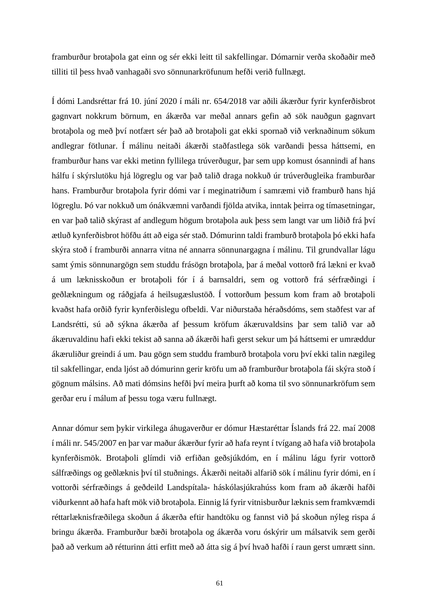framburður brotaþola gat einn og sér ekki leitt til sakfellingar. Dómarnir verða skoðaðir með tilliti til þess hvað vanhagaði svo sönnunarkröfunum hefði verið fullnægt.

Í dómi Landsréttar frá 10. júní 2020 í máli nr. 654/2018 var aðili ákærður fyrir kynferðisbrot gagnvart nokkrum börnum, en ákærða var meðal annars gefin að sök nauðgun gagnvart brotaþola og með því notfært sér það að brotaþoli gat ekki spornað við verknaðinum sökum andlegrar fötlunar. Í málinu neitaði ákærði staðfastlega sök varðandi þessa háttsemi, en framburður hans var ekki metinn fyllilega trúverðugur, þar sem upp komust ósannindi af hans hálfu í skýrslutöku hjá lögreglu og var það talið draga nokkuð úr trúverðugleika framburðar hans. Framburður brotaþola fyrir dómi var í meginatriðum í samræmi við framburð hans hjá lögreglu. Þó var nokkuð um ónákvæmni varðandi fjölda atvika, inntak þeirra og tímasetningar, en var það talið skýrast af andlegum högum brotaþola auk þess sem langt var um liðið frá því ætluð kynferðisbrot höfðu átt að eiga sér stað. Dómurinn taldi framburð brotaþola þó ekki hafa skýra stoð í framburði annarra vitna né annarra sönnunargagna í málinu. Til grundvallar lágu samt ýmis sönnunargögn sem studdu frásögn brotaþola, þar á meðal vottorð frá lækni er kvað á um læknisskoðun er brotaþoli fór í á barnsaldri, sem og vottorð frá sérfræðingi í geðlækningum og ráðgjafa á heilsugæslustöð. Í vottorðum þessum kom fram að brotaþoli kvaðst hafa orðið fyrir kynferðislegu ofbeldi. Var niðurstaða héraðsdóms, sem staðfest var af Landsrétti, sú að sýkna ákærða af þessum kröfum ákæruvaldsins þar sem talið var að ákæruvaldinu hafi ekki tekist að sanna að ákærði hafi gerst sekur um þá háttsemi er umræddur ákæruliður greindi á um. Þau gögn sem studdu framburð brotaþola voru því ekki talin nægileg til sakfellingar, enda ljóst að dómurinn gerir kröfu um að framburður brotaþola fái skýra stoð í gögnum málsins. Að mati dómsins hefði því meira þurft að koma til svo sönnunarkröfum sem gerðar eru í málum af þessu toga væru fullnægt.

Annar dómur sem þykir virkilega áhugaverður er dómur Hæstaréttar Íslands frá 22. maí 2008 í máli nr. 545/2007 en þar var maður ákærður fyrir að hafa reynt í tvígang að hafa við brotaþola kynferðismök. Brotaþoli glímdi við erfiðan geðsjúkdóm, en í málinu lágu fyrir vottorð sálfræðings og geðlæknis því til stuðnings. Ákærði neitaði alfarið sök í málinu fyrir dómi, en í vottorði sérfræðings á geðdeild Landspítala- háskólasjúkrahúss kom fram að ákærði hafði viðurkennt að hafa haft mök við brotaþola. Einnig lá fyrir vitnisburður læknis sem framkvæmdi réttarlæknisfræðilega skoðun á ákærða eftir handtöku og fannst við þá skoðun nýleg rispa á bringu ákærða. Framburður bæði brotaþola og ákærða voru óskýrir um málsatvik sem gerði það að verkum að rétturinn átti erfitt með að átta sig á því hvað hafði í raun gerst umrætt sinn.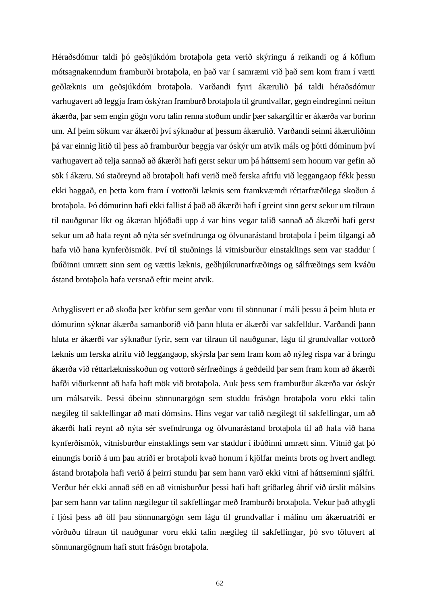Héraðsdómur taldi þó geðsjúkdóm brotaþola geta verið skýringu á reikandi og á köflum mótsagnakenndum framburði brotaþola, en það var í samræmi við það sem kom fram í vætti geðlæknis um geðsjúkdóm brotaþola. Varðandi fyrri ákærulið þá taldi héraðsdómur varhugavert að leggja fram óskýran framburð brotaþola til grundvallar, gegn eindreginni neitun ákærða, þar sem engin gögn voru talin renna stoðum undir þær sakargiftir er ákærða var borinn um. Af þeim sökum var ákærði því sýknaður af þessum ákærulið. Varðandi seinni ákæruliðinn þá var einnig litið til þess að framburður beggja var óskýr um atvik máls og þótti dóminum því varhugavert að telja sannað að ákærði hafi gerst sekur um þá háttsemi sem honum var gefin að sök í ákæru. Sú staðreynd að brotaþoli hafi verið með ferska afrifu við leggangaop fékk þessu ekki haggað, en þetta kom fram í vottorði læknis sem framkvæmdi réttarfræðilega skoðun á brotaþola. Þó dómurinn hafi ekki fallist á það að ákærði hafi í greint sinn gerst sekur um tilraun til nauðgunar líkt og ákæran hljóðaði upp á var hins vegar talið sannað að ákærði hafi gerst sekur um að hafa reynt að nýta sér svefndrunga og ölvunarástand brotaþola í þeim tilgangi að hafa við hana kynferðismök. Því til stuðnings lá vitnisburður einstaklings sem var staddur í íbúðinni umrætt sinn sem og vættis læknis, geðhjúkrunarfræðings og sálfræðings sem kváðu ástand brotaþola hafa versnað eftir meint atvik.

Athyglisvert er að skoða þær kröfur sem gerðar voru til sönnunar í máli þessu á þeim hluta er dómurinn sýknar ákærða samanborið við þann hluta er ákærði var sakfelldur. Varðandi þann hluta er ákærði var sýknaður fyrir, sem var tilraun til nauðgunar, lágu til grundvallar vottorð læknis um ferska afrifu við leggangaop, skýrsla þar sem fram kom að nýleg rispa var á bringu ákærða við réttarlæknisskoðun og vottorð sérfræðings á geðdeild þar sem fram kom að ákærði hafði viðurkennt að hafa haft mök við brotaþola. Auk þess sem framburður ákærða var óskýr um málsatvik. Þessi óbeinu sönnunargögn sem studdu frásögn brotaþola voru ekki talin nægileg til sakfellingar að mati dómsins. Hins vegar var talið nægilegt til sakfellingar, um að ákærði hafi reynt að nýta sér svefndrunga og ölvunarástand brotaþola til að hafa við hana kynferðismök, vitnisburður einstaklings sem var staddur í íbúðinni umrætt sinn. Vitnið gat þó einungis borið á um þau atriði er brotaþoli kvað honum í kjölfar meints brots og hvert andlegt ástand brotaþola hafi verið á þeirri stundu þar sem hann varð ekki vitni af háttseminni sjálfri. Verður hér ekki annað séð en að vitnisburður þessi hafi haft gríðarleg áhrif við úrslit málsins þar sem hann var talinn nægilegur til sakfellingar með framburði brotaþola. Vekur það athygli í ljósi þess að öll þau sönnunargögn sem lágu til grundvallar í málinu um ákæruatriði er vörðuðu tilraun til nauðgunar voru ekki talin nægileg til sakfellingar, þó svo töluvert af sönnunargögnum hafi stutt frásögn brotaþola.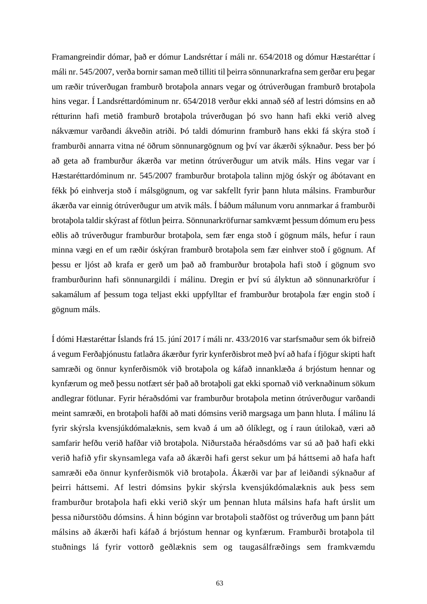Framangreindir dómar, það er dómur Landsréttar í máli nr. 654/2018 og dómur Hæstaréttar í máli nr. 545/2007, verða bornir saman með tilliti til þeirra sönnunarkrafna sem gerðar eru þegar um ræðir trúverðugan framburð brotaþola annars vegar og ótrúverðugan framburð brotaþola hins vegar. Í Landsréttardóminum nr. 654/2018 verður ekki annað séð af lestri dómsins en að rétturinn hafi metið framburð brotaþola trúverðugan þó svo hann hafi ekki verið alveg nákvæmur varðandi ákveðin atriði. Þó taldi dómurinn framburð hans ekki fá skýra stoð í framburði annarra vitna né öðrum sönnunargögnum og því var ákærði sýknaður. Þess ber þó að geta að framburður ákærða var metinn ótrúverðugur um atvik máls. Hins vegar var í Hæstaréttardóminum nr. 545/2007 framburður brotaþola talinn mjög óskýr og ábótavant en fékk þó einhverja stoð í málsgögnum, og var sakfellt fyrir þann hluta málsins. Framburður ákærða var einnig ótrúverðugur um atvik máls. Í báðum málunum voru annmarkar á framburði brotaþola taldir skýrast af fötlun þeirra. Sönnunarkröfurnar samkvæmt þessum dómum eru þess eðlis að trúverðugur framburður brotaþola, sem fær enga stoð í gögnum máls, hefur í raun minna vægi en ef um ræðir óskýran framburð brotaþola sem fær einhver stoð í gögnum. Af þessu er ljóst að krafa er gerð um það að framburður brotaþola hafi stoð í gögnum svo framburðurinn hafi sönnunargildi í málinu. Dregin er því sú ályktun að sönnunarkröfur í sakamálum af þessum toga teljast ekki uppfylltar ef framburður brotaþola fær engin stoð í gögnum máls.

Í dómi Hæstaréttar Íslands frá 15. júní 2017 í máli nr. 433/2016 var starfsmaður sem ók bifreið á vegum Ferðaþjónustu fatlaðra ákærður fyrir kynferðisbrot með því að hafa í fjögur skipti haft samræði og önnur kynferðismök við brotaþola og káfað innanklæða á brjóstum hennar og kynfærum og með þessu notfært sér það að brotaþoli gat ekki spornað við verknaðinum sökum andlegrar fötlunar. Fyrir héraðsdómi var framburður brotaþola metinn ótrúverðugur varðandi meint samræði, en brotaþoli hafði að mati dómsins verið margsaga um þann hluta. Í málinu lá fyrir skýrsla kvensjúkdómalæknis, sem kvað á um að ólíklegt, og í raun útilokað, væri að samfarir hefðu verið hafðar við brotaþola. Niðurstaða héraðsdóms var sú að það hafi ekki verið hafið yfir skynsamlega vafa að ákærði hafi gerst sekur um þá háttsemi að hafa haft samræði eða önnur kynferðismök við brotaþola. Ákærði var þar af leiðandi sýknaður af þeirri háttsemi. Af lestri dómsins þykir skýrsla kvensjúkdómalæknis auk þess sem framburður brotaþola hafi ekki verið skýr um þennan hluta málsins hafa haft úrslit um þessa niðurstöðu dómsins. Á hinn bóginn var brotaþoli staðföst og trúverðug um þann þátt málsins að ákærði hafi káfað á brjóstum hennar og kynfærum. Framburði brotaþola til stuðnings lá fyrir vottorð geðlæknis sem og taugasálfræðings sem framkvæmdu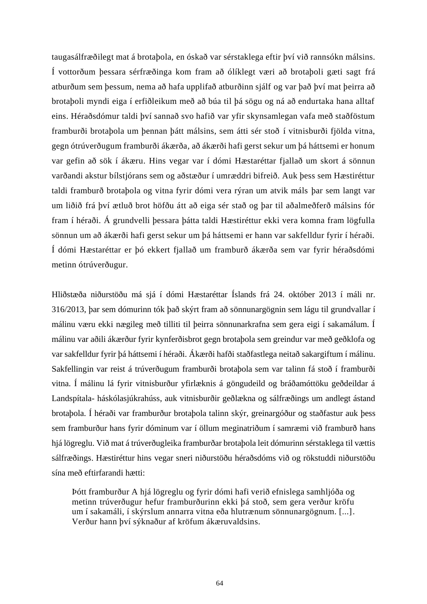taugasálfræðilegt mat á brotaþola, en óskað var sérstaklega eftir því við rannsókn málsins. Í vottorðum þessara sérfræðinga kom fram að ólíklegt væri að brotaþoli gæti sagt frá atburðum sem þessum, nema að hafa upplifað atburðinn sjálf og var það því mat þeirra að brotaþoli myndi eiga í erfiðleikum með að búa til þá sögu og ná að endurtaka hana alltaf eins. Héraðsdómur taldi því sannað svo hafið var yfir skynsamlegan vafa með staðföstum framburði brotaþola um þennan þátt málsins, sem átti sér stoð í vitnisburði fjölda vitna, gegn ótrúverðugum framburði ákærða, að ákærði hafi gerst sekur um þá háttsemi er honum var gefin að sök í ákæru. Hins vegar var í dómi Hæstaréttar fjallað um skort á sönnun varðandi akstur bílstjórans sem og aðstæður í umræddri bifreið. Auk þess sem Hæstiréttur taldi framburð brotaþola og vitna fyrir dómi vera rýran um atvik máls þar sem langt var um liðið frá því ætluð brot höfðu átt að eiga sér stað og þar til aðalmeðferð málsins fór fram í héraði. Á grundvelli þessara þátta taldi Hæstiréttur ekki vera komna fram lögfulla sönnun um að ákærði hafi gerst sekur um þá háttsemi er hann var sakfelldur fyrir í héraði. Í dómi Hæstaréttar er þó ekkert fjallað um framburð ákærða sem var fyrir héraðsdómi metinn ótrúverðugur.

Hliðstæða niðurstöðu má sjá í dómi Hæstaréttar Íslands frá 24. október 2013 í máli nr. 316/2013, þar sem dómurinn tók það skýrt fram að sönnunargögnin sem lágu til grundvallar í málinu væru ekki nægileg með tilliti til þeirra sönnunarkrafna sem gera eigi í sakamálum. Í málinu var aðili ákærður fyrir kynferðisbrot gegn brotaþola sem greindur var með geðklofa og var sakfelldur fyrir þá háttsemi í héraði. Ákærði hafði staðfastlega neitað sakargiftum í málinu. Sakfellingin var reist á trúverðugum framburði brotaþola sem var talinn fá stoð í framburði vitna. Í málinu lá fyrir vitnisburður yfirlæknis á göngudeild og bráðamóttöku geðdeildar á Landspítala- háskólasjúkrahúss, auk vitnisburðir geðlækna og sálfræðings um andlegt ástand brotaþola. Í héraði var framburður brotaþola talinn skýr, greinargóður og staðfastur auk þess sem framburður hans fyrir dóminum var í öllum meginatriðum í samræmi við framburð hans hjá lögreglu. Við mat á trúverðugleika framburðar brotaþola leit dómurinn sérstaklega til vættis sálfræðings. Hæstiréttur hins vegar sneri niðurstöðu héraðsdóms við og rökstuddi niðurstöðu sína með eftirfarandi hætti:

Þótt framburður A hjá lögreglu og fyrir dómi hafi verið efnislega samhljóða og metinn trúverðugur hefur framburðurinn ekki þá stoð, sem gera verður kröfu um í sakamáli, í skýrslum annarra vitna eða hlutrænum sönnunargögnum. [...]. Verður hann því sýknaður af kröfum ákæruvaldsins.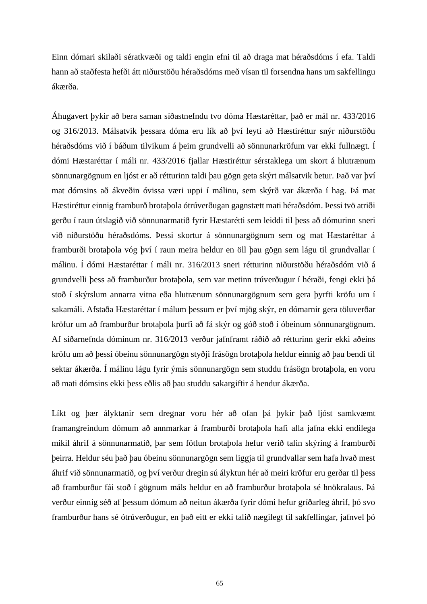Einn dómari skilaði sératkvæði og taldi engin efni til að draga mat héraðsdóms í efa. Taldi hann að staðfesta hefði átt niðurstöðu héraðsdóms með vísan til forsendna hans um sakfellingu ákærða.

Áhugavert þykir að bera saman síðastnefndu tvo dóma Hæstaréttar, það er mál nr. 433/2016 og 316/2013. Málsatvik þessara dóma eru lík að því leyti að Hæstiréttur snýr niðurstöðu héraðsdóms við í báðum tilvikum á þeim grundvelli að sönnunarkröfum var ekki fullnægt. Í dómi Hæstaréttar í máli nr. 433/2016 fjallar Hæstiréttur sérstaklega um skort á hlutrænum sönnunargögnum en ljóst er að rétturinn taldi þau gögn geta skýrt málsatvik betur. Það var því mat dómsins að ákveðin óvissa væri uppi í málinu, sem skýrð var ákærða í hag. Þá mat Hæstiréttur einnig framburð brotaþola ótrúverðugan gagnstætt mati héraðsdóm. Þessi tvö atriði gerðu í raun útslagið við sönnunarmatið fyrir Hæstarétti sem leiddi til þess að dómurinn sneri við niðurstöðu héraðsdóms. Þessi skortur á sönnunargögnum sem og mat Hæstaréttar á framburði brotaþola vóg því í raun meira heldur en öll þau gögn sem lágu til grundvallar í málinu. Í dómi Hæstaréttar í máli nr. 316/2013 sneri rétturinn niðurstöðu héraðsdóm við á grundvelli þess að framburður brotaþola, sem var metinn trúverðugur í héraði, fengi ekki þá stoð í skýrslum annarra vitna eða hlutrænum sönnunargögnum sem gera þyrfti kröfu um í sakamáli. Afstaða Hæstaréttar í málum þessum er því mjög skýr, en dómarnir gera töluverðar kröfur um að framburður brotaþola þurfi að fá skýr og góð stoð í óbeinum sönnunargögnum. Af síðarnefnda dóminum nr. 316/2013 verður jafnframt ráðið að rétturinn gerir ekki aðeins kröfu um að þessi óbeinu sönnunargögn styðji frásögn brotaþola heldur einnig að þau bendi til sektar ákærða. Í málinu lágu fyrir ýmis sönnunargögn sem studdu frásögn brotaþola, en voru að mati dómsins ekki þess eðlis að þau studdu sakargiftir á hendur ákærða.

Líkt og þær ályktanir sem dregnar voru hér að ofan þá þykir það ljóst samkvæmt framangreindum dómum að annmarkar á framburði brotaþola hafi alla jafna ekki endilega mikil áhrif á sönnunarmatið, þar sem fötlun brotaþola hefur verið talin skýring á framburði þeirra. Heldur séu það þau óbeinu sönnunargögn sem liggja til grundvallar sem hafa hvað mest áhrif við sönnunarmatið, og því verður dregin sú ályktun hér að meiri kröfur eru gerðar til þess að framburður fái stoð í gögnum máls heldur en að framburður brotaþola sé hnökralaus. Þá verður einnig séð af þessum dómum að neitun ákærða fyrir dómi hefur gríðarleg áhrif, þó svo framburður hans sé ótrúverðugur, en það eitt er ekki talið nægilegt til sakfellingar, jafnvel þó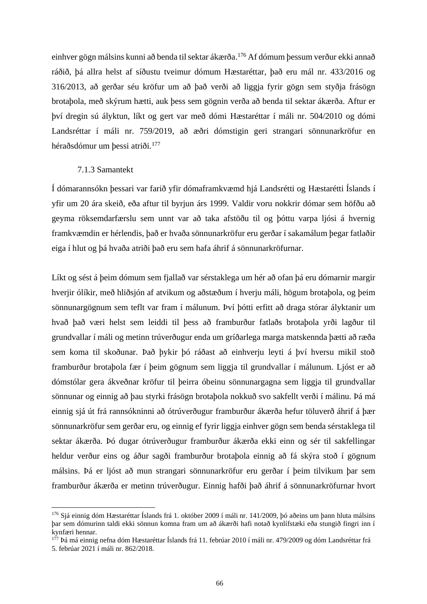einhver gögn málsins kunni að benda til sektar ákærða. <sup>176</sup> Af dómum þessum verður ekki annað ráðið, þá allra helst af síðustu tveimur dómum Hæstaréttar, það eru mál nr. 433/2016 og 316/2013, að gerðar séu kröfur um að það verði að liggja fyrir gögn sem styðja frásögn brotaþola, með skýrum hætti, auk þess sem gögnin verða að benda til sektar ákærða. Aftur er því dregin sú ályktun, líkt og gert var með dómi Hæstaréttar í máli nr. 504/2010 og dómi Landsréttar í máli nr. 759/2019, að æðri dómstigin geri strangari sönnunarkröfur en héraðsdómur um þessi atriði. 177

## 7.1.3 Samantekt

Í dómarannsókn þessari var farið yfir dómaframkvæmd hjá Landsrétti og Hæstarétti Íslands í yfir um 20 ára skeið, eða aftur til byrjun árs 1999. Valdir voru nokkrir dómar sem höfðu að geyma röksemdarfærslu sem unnt var að taka afstöðu til og þóttu varpa ljósi á hvernig framkvæmdin er hérlendis, það er hvaða sönnunarkröfur eru gerðar í sakamálum þegar fatlaðir eiga í hlut og þá hvaða atriði það eru sem hafa áhrif á sönnunarkröfurnar.

Líkt og sést á þeim dómum sem fjallað var sérstaklega um hér að ofan þá eru dómarnir margir hverjir ólíkir, með hliðsjón af atvikum og aðstæðum í hverju máli, högum brotaþola, og þeim sönnunargögnum sem teflt var fram í málunum. Því þótti erfitt að draga stórar ályktanir um hvað það væri helst sem leiddi til þess að framburður fatlaðs brotaþola yrði lagður til grundvallar í máli og metinn trúverðugur enda um gríðarlega marga matskennda þætti að ræða sem koma til skoðunar. Það þykir þó ráðast að einhverju leyti á því hversu mikil stoð framburður brotaþola fær í þeim gögnum sem liggja til grundvallar í málunum. Ljóst er að dómstólar gera ákveðnar kröfur til þeirra óbeinu sönnunargagna sem liggja til grundvallar sönnunar og einnig að þau styrki frásögn brotaþola nokkuð svo sakfellt verði í málinu. Þá má einnig sjá út frá rannsókninni að ótrúverðugur framburður ákærða hefur töluverð áhrif á þær sönnunarkröfur sem gerðar eru, og einnig ef fyrir liggja einhver gögn sem benda sérstaklega til sektar ákærða. Þó dugar ótrúverðugur framburður ákærða ekki einn og sér til sakfellingar heldur verður eins og áður sagði framburður brotaþola einnig að fá skýra stoð í gögnum málsins. Þá er ljóst að mun strangari sönnunarkröfur eru gerðar í þeim tilvikum þar sem framburður ákærða er metinn trúverðugur. Einnig hafði það áhrif á sönnunarkröfurnar hvort

<sup>176</sup> Sjá einnig dóm Hæstaréttar Íslands frá 1. október 2009 í máli nr. 141/2009, þó aðeins um þann hluta málsins þar sem dómurinn taldi ekki sönnun komna fram um að ákærði hafi notað kynlífstæki eða stungið fingri inn í kynfæri hennar.

<sup>&</sup>lt;sup>177</sup> Þá má einnig nefna dóm Hæstaréttar Íslands frá 11. febrúar 2010 í máli nr. 479/2009 og dóm Landsréttar frá 5. febrúar 2021 í máli nr. 862/2018.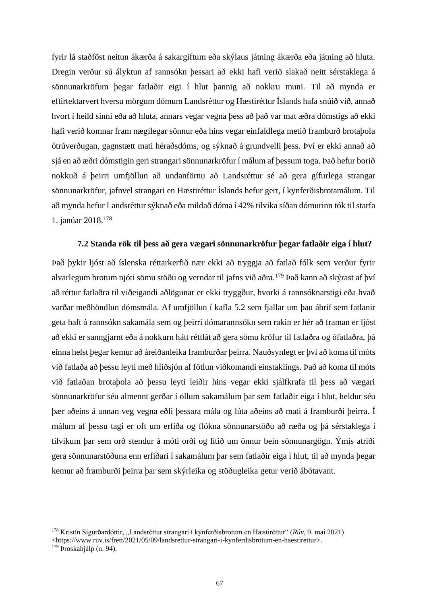fyrir lá staðföst neitun ákærða á sakargiftum eða skýlaus játning ákærða eða játning að hluta. Dregin verður sú ályktun af rannsókn þessari að ekki hafi verið slakað neitt sérstaklega á sönnunarkröfum þegar fatlaðir eigi í hlut þannig að nokkru muni. Til að mynda er eftirtektarvert hversu mörgum dómum Landsréttur og Hæstiréttur Íslands hafa snúið við, annað hvort í heild sinni eða að hluta, annars vegar vegna þess að það var mat æðra dómstigs að ekki hafi verið komnar fram nægilegar sönnur eða hins vegar einfaldlega metið framburð brotaþola ótrúverðugan, gagnstætt mati héraðsdóms, og sýknað á grundvelli þess. Því er ekki annað að sjá en að æðri dómstigin geri strangari sönnunarkröfur í málum af þessum toga. Það hefur borið nokkuð á þeirri umfjöllun að undanförnu að Landsréttur sé að gera gífurlega strangar sönnunarkröfur, jafnvel strangari en Hæstiréttur Íslands hefur gert, í kynferðisbrotamálum. Til að mynda hefur Landsréttur sýknað eða mildað dóma í 42% tilvika síðan dómurinn tók til starfa 1. janúar 2018.<sup>178</sup>

## **7.2 Standa rök til þess að gera vægari sönnunarkröfur þegar fatlaðir eiga í hlut?**

Það þykir ljóst að íslenska réttarkerfið nær ekki að tryggja að fatlað fólk sem verður fyrir alvarlegum brotum njóti sömu stöðu og verndar til jafns við aðra.<sup>179</sup> Það kann að skýrast af því að réttur fatlaðra til viðeigandi aðlögunar er ekki tryggður, hvorki á rannsóknarstigi eða hvað varðar meðhöndlun dómsmála. Af umfjöllun í kafla 5.2 sem fjallar um þau áhrif sem fatlanir geta haft á rannsókn sakamála sem og þeirri dómarannsókn sem rakin er hér að framan er ljóst að ekki er sanngjarnt eða á nokkurn hátt réttlát að gera sömu kröfur til fatlaðra og ófatlaðra, þá einna helst þegar kemur að áreiðanleika framburðar þeirra. Nauðsynlegt er því að koma til móts við fatlaða að þessu leyti með hliðsjón af fötlun viðkomandi einstaklings. Það að koma til móts við fatlaðan brotaþola að þessu leyti leiðir hins vegar ekki sjálfkrafa til þess að vægari sönnunarkröfur séu almennt gerðar í öllum sakamálum þar sem fatlaðir eiga í hlut, heldur séu þær aðeins á annan veg vegna eðli þessara mála og lúta aðeins að mati á framburði þeirra. Í málum af þessu tagi er oft um erfiða og flókna sönnunarstöðu að ræða og þá sérstaklega í tilvikum þar sem orð stendur á móti orði og lítið um önnur bein sönnunargögn. Ýmis atriði gera sönnunarstöðuna enn erfiðari í sakamálum þar sem fatlaðir eiga í hlut, til að mynda þegar kemur að framburði þeirra þar sem skýrleika og stöðugleika getur verið ábótavant.

<sup>178</sup> Kristín Sigurðardóttir, "Landsréttur strangari í kynferðisbrotum en Hæstiréttur" (*Rúv*, 9. maí 2021) <https://www.ruv.is/frett/2021/05/09/landsrettur-strangari-i-kynferdisbrotum-en-haestirettur>. <sup>179</sup> Þroskahjálp (n. 94).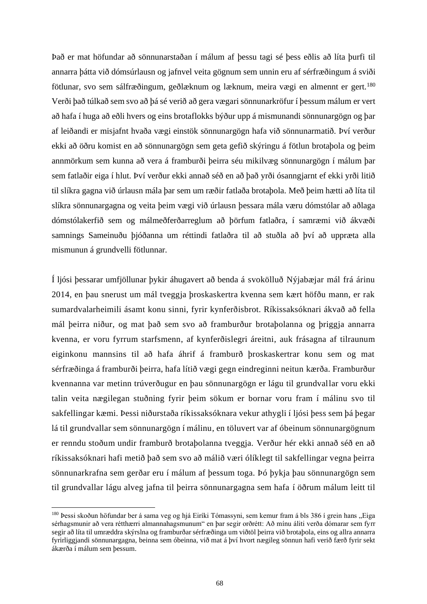Það er mat höfundar að sönnunarstaðan í málum af þessu tagi sé þess eðlis að líta þurfi til annarra þátta við dómsúrlausn og jafnvel veita gögnum sem unnin eru af sérfræðingum á sviði fötlunar, svo sem sálfræðingum, geðlæknum og læknum, meira vægi en almennt er gert.<sup>180</sup> Verði það túlkað sem svo að þá sé verið að gera vægari sönnunarkröfur í þessum málum er vert að hafa í huga að eðli hvers og eins brotaflokks býður upp á mismunandi sönnunargögn og þar af leiðandi er misjafnt hvaða vægi einstök sönnunargögn hafa við sönnunarmatið. Því verður ekki að öðru komist en að sönnunargögn sem geta gefið skýringu á fötlun brotaþola og þeim annmörkum sem kunna að vera á framburði þeirra séu mikilvæg sönnunargögn í málum þar sem fatlaðir eiga í hlut. Því verður ekki annað séð en að það yrði ósanngjarnt ef ekki yrði litið til slíkra gagna við úrlausn mála þar sem um ræðir fatlaða brotaþola. Með þeim hætti að líta til slíkra sönnunargagna og veita þeim vægi við úrlausn þessara mála væru dómstólar að aðlaga dómstólakerfið sem og málmeðferðarreglum að þörfum fatlaðra, í samræmi við ákvæði samnings Sameinuðu þjóðanna um réttindi fatlaðra til að stuðla að því að uppræta alla mismunun á grundvelli fötlunnar.

Í ljósi þessarar umfjöllunar þykir áhugavert að benda á svokölluð Nýjabæjar mál frá árinu 2014, en þau snerust um mál tveggja þroskaskertra kvenna sem kært höfðu mann, er rak sumardvalarheimili ásamt konu sinni, fyrir kynferðisbrot. Ríkissaksóknari ákvað að fella mál þeirra niður, og mat það sem svo að framburður brotaþolanna og þriggja annarra kvenna, er voru fyrrum starfsmenn, af kynferðislegri áreitni, auk frásagna af tilraunum eiginkonu mannsins til að hafa áhrif á framburð þroskaskertrar konu sem og mat sérfræðinga á framburði þeirra, hafa lítið vægi gegn eindreginni neitun kærða. Framburður kvennanna var metinn trúverðugur en þau sönnunargögn er lágu til grundvallar voru ekki talin veita nægilegan stuðning fyrir þeim sökum er bornar voru fram í málinu svo til sakfellingar kæmi. Þessi niðurstaða ríkissaksóknara vekur athygli í ljósi þess sem þá þegar lá til grundvallar sem sönnunargögn í málinu, en töluvert var af óbeinum sönnunargögnum er renndu stoðum undir framburð brotaþolanna tveggja. Verður hér ekki annað séð en að ríkissaksóknari hafi metið það sem svo að málið væri ólíklegt til sakfellingar vegna þeirra sönnunarkrafna sem gerðar eru í málum af þessum toga. Þó þykja þau sönnunargögn sem til grundvallar lágu alveg jafna til þeirra sönnunargagna sem hafa í öðrum málum leitt til

<sup>&</sup>lt;sup>180</sup> Þessi skoðun höfundar ber á sama veg og hjá Eiríki Tómassyni, sem kemur fram á bls 386 í grein hans "Eiga sérhagsmunir að vera rétthærri almannahagsmunum" en þar segir orðrétt: Að mínu áliti verða dómarar sem fyrr segir að líta til umræddra skýrslna og framburðar sérfræðinga um viðtöl þeirra við brotaþola, eins og allra annarra fyrirliggjandi sönnunargagna, beinna sem óbeinna, við mat á því hvort nægileg sönnun hafi verið færð fyrir sekt ákærða í málum sem þessum.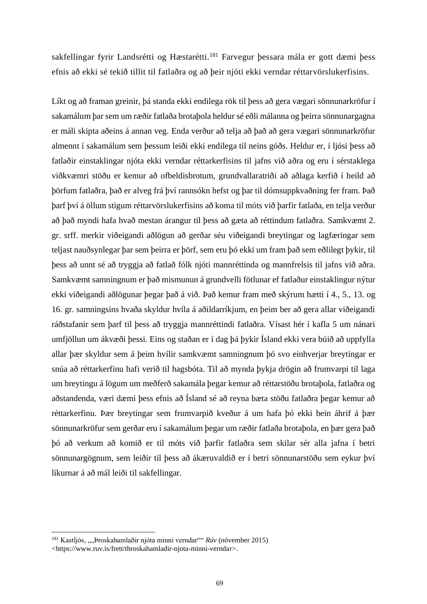sakfellingar fyrir Landsrétti og Hæstarétti.<sup>181</sup> Farvegur þessara mála er gott dæmi þess efnis að ekki sé tekið tillit til fatlaðra og að þeir njóti ekki verndar réttarvörslukerfisins.

Líkt og að framan greinir, þá standa ekki endilega rök til þess að gera vægari sönnunarkröfur í sakamálum þar sem um ræðir fatlaða brotaþola heldur sé eðli málanna og þeirra sönnunargagna er máli skipta aðeins á annan veg. Enda verður að telja að það að gera vægari sönnunarkröfur almennt í sakamálum sem þessum leiði ekki endilega til neins góðs. Heldur er, í ljósi þess að fatlaðir einstaklingar njóta ekki verndar réttarkerfisins til jafns við aðra og eru í sérstaklega viðkvæmri stöðu er kemur að ofbeldisbrotum, grundvallaratriði að aðlaga kerfið í heild að þörfum fatlaðra, það er alveg frá því rannsókn hefst og þar til dómsuppkvaðning fer fram. Það þarf því á öllum stigum réttarvörslukerfisins að koma til móts við þarfir fatlaða, en telja verður að það myndi hafa hvað mestan árangur til þess að gæta að réttindum fatlaðra. Samkvæmt 2. gr. srff. merkir viðeigandi aðlögun að gerðar séu viðeigandi breytingar og lagfæringar sem teljast nauðsynlegar þar sem þeirra er þörf, sem eru þó ekki um fram það sem eðlilegt þykir, til þess að unnt sé að tryggja að fatlað fólk njóti mannréttinda og mannfrelsis til jafns við aðra. Samkvæmt samningnum er það mismunun á grundvelli fötlunar ef fatlaður einstaklingur nýtur ekki viðeigandi aðlögunar þegar það á við. Það kemur fram með skýrum hætti í 4., 5., 13. og 16. gr. samningsins hvaða skyldur hvíla á aðildarríkjum, en þeim ber að gera allar viðeigandi ráðstafanir sem þarf til þess að tryggja mannréttindi fatlaðra. Vísast hér í kafla 5 um nánari umfjöllun um ákvæði þessi. Eins og staðan er í dag þá þykir Ísland ekki vera búið að uppfylla allar þær skyldur sem á þeim hvílir samkvæmt samningnum þó svo einhverjar breytingar er snúa að réttarkerfinu hafi verið til hagsbóta. Til að mynda þykja drögin að frumvarpi til laga um breytingu á lögum um meðferð sakamála þegar kemur að réttarstöðu brotaþola, fatlaðra og aðstandenda, væri dæmi þess efnis að Ísland sé að reyna bæta stöðu fatlaðra þegar kemur að réttarkerfinu. Þær breytingar sem frumvarpið kveður á um hafa þó ekki bein áhrif á þær sönnunarkröfur sem gerðar eru í sakamálum þegar um ræðir fatlaða brotaþola, en þær gera það þó að verkum að komið er til móts við þarfir fatlaðra sem skilar sér alla jafna í betri sönnunargögnum, sem leiðir til þess að ákæruvaldið er í betri sönnunarstöðu sem eykur því líkurnar á að mál leiði til sakfellingar.

<sup>&</sup>lt;sup>181</sup> Kastljós, ""Þroskahamlaðir njóta minni verndar"" *Rúv* (nóvember 2015) <https://www.ruv.is/frett/throskahamladir-njota-minni-verndar>.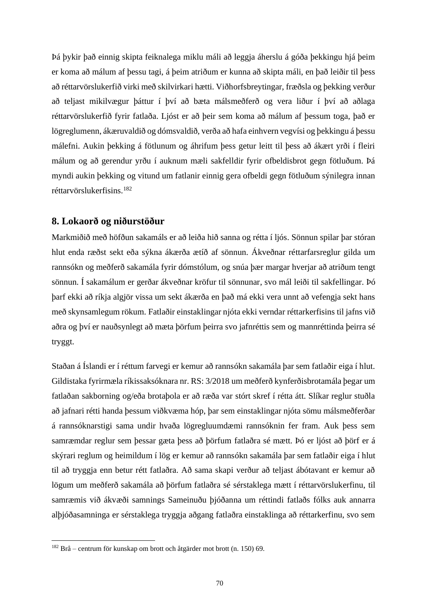Þá þykir það einnig skipta feiknalega miklu máli að leggja áherslu á góða þekkingu hjá þeim er koma að málum af þessu tagi, á þeim atriðum er kunna að skipta máli, en það leiðir til þess að réttarvörslukerfið virki með skilvirkari hætti. Viðhorfsbreytingar, fræðsla og þekking verður að teljast mikilvægur þáttur í því að bæta málsmeðferð og vera liður í því að aðlaga réttarvörslukerfið fyrir fatlaða. Ljóst er að þeir sem koma að málum af þessum toga, það er lögreglumenn, ákæruvaldið og dómsvaldið, verða að hafa einhvern vegvísi og þekkingu á þessu málefni. Aukin þekking á fötlunum og áhrifum þess getur leitt til þess að ákært yrði í fleiri málum og að gerendur yrðu í auknum mæli sakfelldir fyrir ofbeldisbrot gegn fötluðum. Þá myndi aukin þekking og vitund um fatlanir einnig gera ofbeldi gegn fötluðum sýnilegra innan réttarvörslukerfisins.<sup>182</sup>

## **8. Lokaorð og niðurstöður**

Markmiðið með höfðun sakamáls er að leiða hið sanna og rétta í ljós. Sönnun spilar þar stóran hlut enda ræðst sekt eða sýkna ákærða ætíð af sönnun. Ákveðnar réttarfarsreglur gilda um rannsókn og meðferð sakamála fyrir dómstólum, og snúa þær margar hverjar að atriðum tengt sönnun. Í sakamálum er gerðar ákveðnar kröfur til sönnunar, svo mál leiði til sakfellingar. Þó þarf ekki að ríkja algjör vissa um sekt ákærða en það má ekki vera unnt að vefengja sekt hans með skynsamlegum rökum. Fatlaðir einstaklingar njóta ekki verndar réttarkerfisins til jafns við aðra og því er nauðsynlegt að mæta þörfum þeirra svo jafnréttis sem og mannréttinda þeirra sé tryggt.

Staðan á Íslandi er í réttum farvegi er kemur að rannsókn sakamála þar sem fatlaðir eiga í hlut. Gildistaka fyrirmæla ríkissaksóknara nr. RS: 3/2018 um meðferð kynferðisbrotamála þegar um fatlaðan sakborning og/eða brotaþola er að ræða var stórt skref í rétta átt. Slíkar reglur stuðla að jafnari rétti handa þessum viðkvæma hóp, þar sem einstaklingar njóta sömu málsmeðferðar á rannsóknarstigi sama undir hvaða lögregluumdæmi rannsóknin fer fram. Auk þess sem samræmdar reglur sem þessar gæta þess að þörfum fatlaðra sé mætt. Þó er ljóst að þörf er á skýrari reglum og heimildum í lög er kemur að rannsókn sakamála þar sem fatlaðir eiga í hlut til að tryggja enn betur rétt fatlaðra. Að sama skapi verður að teljast ábótavant er kemur að lögum um meðferð sakamála að þörfum fatlaðra sé sérstaklega mætt í réttarvörslukerfinu, til samræmis við ákvæði samnings Sameinuðu þjóðanna um réttindi fatlaðs fólks auk annarra alþjóðasamninga er sérstaklega tryggja aðgang fatlaðra einstaklinga að réttarkerfinu, svo sem

<sup>182</sup> Brå – centrum för kunskap om brott och åtgärder mot brott (n. 150) 69.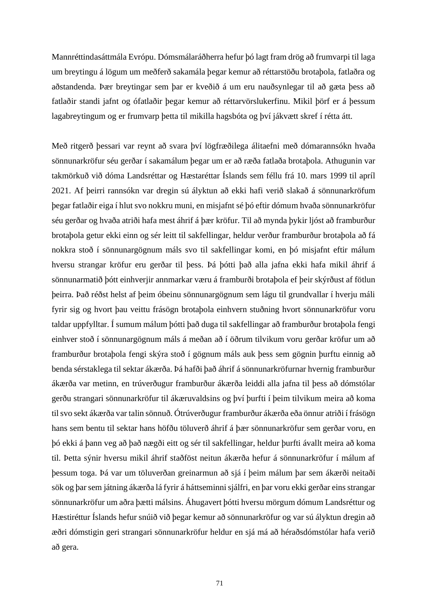Mannréttindasáttmála Evrópu. Dómsmálaráðherra hefur þó lagt fram drög að frumvarpi til laga um breytingu á lögum um meðferð sakamála þegar kemur að réttarstöðu brotaþola, fatlaðra og aðstandenda. Þær breytingar sem þar er kveðið á um eru nauðsynlegar til að gæta þess að fatlaðir standi jafnt og ófatlaðir þegar kemur að réttarvörslukerfinu. Mikil þörf er á þessum lagabreytingum og er frumvarp þetta til mikilla hagsbóta og því jákvætt skref í rétta átt.

Með ritgerð þessari var reynt að svara því lögfræðilega álitaefni með dómarannsókn hvaða sönnunarkröfur séu gerðar í sakamálum þegar um er að ræða fatlaða brotaþola. Athugunin var takmörkuð við dóma Landsréttar og Hæstaréttar Íslands sem féllu frá 10. mars 1999 til apríl 2021. Af þeirri rannsókn var dregin sú ályktun að ekki hafi verið slakað á sönnunarkröfum þegar fatlaðir eiga í hlut svo nokkru muni, en misjafnt sé þó eftir dómum hvaða sönnunarkröfur séu gerðar og hvaða atriði hafa mest áhrif á þær kröfur. Til að mynda þykir ljóst að framburður brotaþola getur ekki einn og sér leitt til sakfellingar, heldur verður framburður brotaþola að fá nokkra stoð í sönnunargögnum máls svo til sakfellingar komi, en þó misjafnt eftir málum hversu strangar kröfur eru gerðar til þess. Þá þótti það alla jafna ekki hafa mikil áhrif á sönnunarmatið þótt einhverjir annmarkar væru á framburði brotaþola ef þeir skýrðust af fötlun þeirra. Það réðst helst af þeim óbeinu sönnunargögnum sem lágu til grundvallar í hverju máli fyrir sig og hvort þau veittu frásögn brotaþola einhvern stuðning hvort sönnunarkröfur voru taldar uppfylltar. Í sumum málum þótti það duga til sakfellingar að framburður brotaþola fengi einhver stoð í sönnunargögnum máls á meðan að í öðrum tilvikum voru gerðar kröfur um að framburður brotaþola fengi skýra stoð í gögnum máls auk þess sem gögnin þurftu einnig að benda sérstaklega til sektar ákærða. Þá hafði það áhrif á sönnunarkröfurnar hvernig framburður ákærða var metinn, en trúverðugur framburður ákærða leiddi alla jafna til þess að dómstólar gerðu strangari sönnunarkröfur til ákæruvaldsins og því þurfti í þeim tilvikum meira að koma til svo sekt ákærða var talin sönnuð. Ótrúverðugur framburður ákærða eða önnur atriði í frásögn hans sem bentu til sektar hans höfðu töluverð áhrif á þær sönnunarkröfur sem gerðar voru, en þó ekki á þann veg að það nægði eitt og sér til sakfellingar, heldur þurfti ávallt meira að koma til. Þetta sýnir hversu mikil áhrif staðföst neitun ákærða hefur á sönnunarkröfur í málum af þessum toga. Þá var um töluverðan greinarmun að sjá í þeim málum þar sem ákærði neitaði sök og þar sem játning ákærða lá fyrir á háttseminni sjálfri, en þar voru ekki gerðar eins strangar sönnunarkröfur um aðra þætti málsins. Áhugavert þótti hversu mörgum dómum Landsréttur og Hæstiréttur Íslands hefur snúið við þegar kemur að sönnunarkröfur og var sú ályktun dregin að æðri dómstigin geri strangari sönnunarkröfur heldur en sjá má að héraðsdómstólar hafa verið að gera.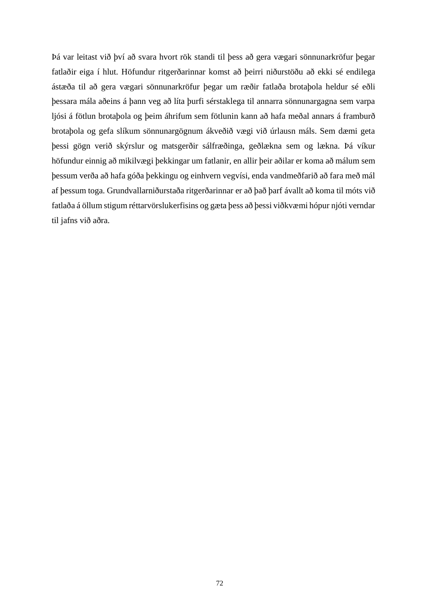Þá var leitast við því að svara hvort rök standi til þess að gera vægari sönnunarkröfur þegar fatlaðir eiga í hlut. Höfundur ritgerðarinnar komst að þeirri niðurstöðu að ekki sé endilega ástæða til að gera vægari sönnunarkröfur þegar um ræðir fatlaða brotaþola heldur sé eðli þessara mála aðeins á þann veg að líta þurfi sérstaklega til annarra sönnunargagna sem varpa ljósi á fötlun brotaþola og þeim áhrifum sem fötlunin kann að hafa meðal annars á framburð brotaþola og gefa slíkum sönnunargögnum ákveðið vægi við úrlausn máls. Sem dæmi geta þessi gögn verið skýrslur og matsgerðir sálfræðinga, geðlækna sem og lækna. Þá víkur höfundur einnig að mikilvægi þekkingar um fatlanir, en allir þeir aðilar er koma að málum sem þessum verða að hafa góða þekkingu og einhvern vegvísi, enda vandmeðfarið að fara með mál af þessum toga. Grundvallarniðurstaða ritgerðarinnar er að það þarf ávallt að koma til móts við fatlaða á öllum stigum réttarvörslukerfisins og gæta þess að þessi viðkvæmi hópur njóti verndar til jafns við aðra.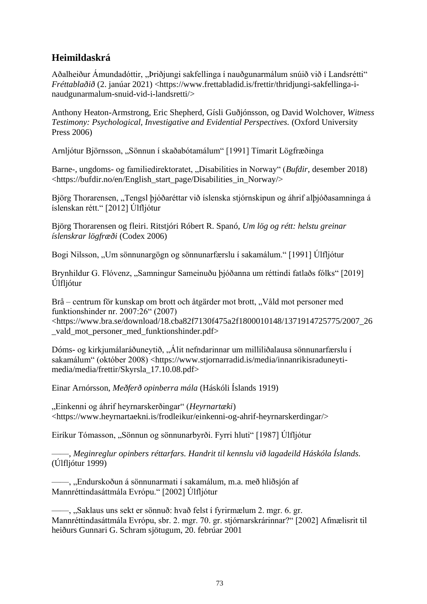## **Heimildaskrá**

Aðalheiður Ámundadóttir, "Þriðjungi sakfellinga í nauðgunarmálum snúið við í Landsrétti" *Fréttablaðið* (2. janúar 2021) <https://www.frettabladid.js/frettir/thridjungi-sakfellinga-inaudgunarmalum-snuid-vid-i-landsretti/>

Anthony Heaton-Armstrong, Eric Shepherd, Gísli Guðjónsson, og David Wolchover, *Witness Testimony: Psychological, Investigative and Evidential Perspectives.* (Oxford University Press 2006)

Arnljótur Björnsson, "Sönnun í skaðabótamálum" [1991] Tímarit Lögfræðinga

Barne-, ungdoms- og familiedirektoratet, "Disabilities in Norway" (*Bufdir*, desember 2018) <https://bufdir.no/en/English\_start\_page/Disabilities\_in\_Norway/>

Björg Thorarensen, "Tengsl þjóðaréttar við íslenska stjórnskipun og áhrif alþjóðasamninga á íslenskan rétt." [2012] Úlfljótur

Björg Thorarensen og fleiri. Ritstjóri Róbert R. Spanó, *Um lög og rétt: helstu greinar íslenskrar lögfræði* (Codex 2006)

Bogi Nilsson, "Um sönnunargögn og sönnunarfærslu í sakamálum." [1991] Úlfljótur

Brynhildur G. Flóvenz, "Samningur Sameinuðu þjóðanna um réttindi fatlaðs fólks" [2019] Úlfljótur

Brå – centrum för kunskap om brott och åtgärder mot brott, "Våld mot personer med funktionshinder nr. 2007:26" (2007) <https://www.bra.se/download/18.cba82f7130f475a2f1800010148/1371914725775/2007\_26 \_vald\_mot\_personer\_med\_funktionshinder.pdf>

Dóms- og kirkjumálaráðuneytið, "Álit nefndarinnar um milliliðalausa sönnunarfærslu í sakamálum" (október 2008) <https://www.stjornarradid.is/media/innanrikisraduneytimedia/media/frettir/Skyrsla\_17.10.08.pdf>

Einar Arnórsson, *Meðferð opinberra mála* (Háskóli Íslands 1919)

"Einkenni og áhrif heyrnarskerðingar" (*Heyrnartæki*) <https://www.heyrnartaekni.is/frodleikur/einkenni-og-ahrif-heyrnarskerdingar/>

Eiríkur Tómasson, "Sönnun og sönnunarbyrði. Fyrri hluti" [1987] Úlfljótur

——, *Meginreglur opinbers réttarfars. Handrit til kennslu við lagadeild Háskóla Íslands.* (Úlfljótur 1999)

—, "Endurskoðun á sönnunarmati í sakamálum, m.a. með hliðsjón af Mannréttindasáttmála Evrópu." [2002] Úlfljótur

—, "Saklaus uns sekt er sönnuð: hvað felst í fyrirmælum 2. mgr. 6. gr. Mannréttindasáttmála Evrópu, sbr. 2. mgr. 70. gr. stjórnarskrárinnar?" [2002] Afmælisrit til heiðurs Gunnari G. Schram sjötugum, 20. febrúar 2001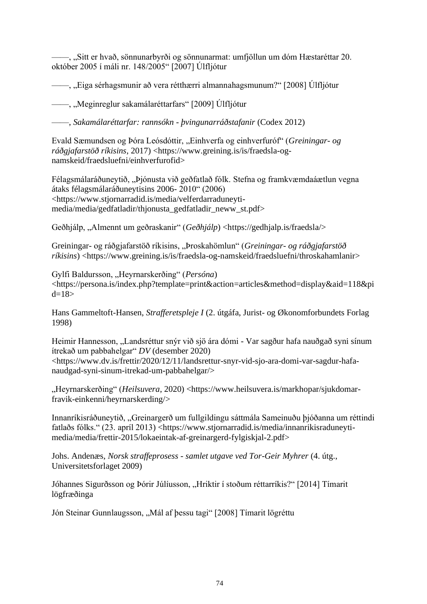——, "Sitt er hvað, sönnunarbyrði og sönnunarmat: umfjöllun um dóm Hæstaréttar 20. október 2005 í máli nr. 148/2005" [2007] Úlfljótur

——, "Eiga sérhagsmunir að vera rétthærri almannahagsmunum?" [2008] Úlfljótur

——, "Meginreglur sakamálaréttarfars" [2009] Úlfljótur

——, *Sakamálaréttarfar: rannsókn - þvingunarráðstafanir* (Codex 2012)

Evald Sæmundsen og Þóra Leósdóttir, "Einhverfa og einhverfuróf" (*Greiningar- og ráðgjafarstöð ríkisins*, 2017) <https://www.greining.is/is/fraedsla-ognamskeid/fraedsluefni/einhverfurofid>

Félagsmálaráðuneytið, "Þjónusta við geðfatlað fólk. Stefna og framkvæmdaáætlun vegna átaks félagsmálaráðuneytisins 2006- 2010" (2006) <https://www.stjornarradid.is/media/velferdarraduneytimedia/media/gedfatladir/thjonusta\_gedfatladir\_neww\_st.pdf>

Geðhjálp, "Almennt um geðraskanir" (*Geðhjálp*) <https://gedhjalp.is/fraedsla/>

Greiningar- og ráðgjafarstöð ríkisins, "Þroskahömlun" (*Greiningar- og ráðgjafarstöð ríkisins*) <https://www.greining.is/is/fraedsla-og-namskeid/fraedsluefni/throskahamlanir>

Gylfi Baldursson, "Heyrnarskerðing" (*Persóna*) <https://persona.is/index.php?template=print&action=articles&method=display&aid=118&pi  $d=18$ 

Hans Gammeltoft-Hansen, *Strafferetspleje I* (2. útgáfa, Jurist- og Økonomforbundets Forlag 1998)

Heimir Hannesson, "Landsréttur snýr við sjö ára dómi - Var sagður hafa nauðgað syni sínum ítrekað um pabbahelgar" *DV* (desember 2020) <https://www.dv.is/frettir/2020/12/11/landsrettur-snyr-vid-sjo-ara-domi-var-sagdur-hafanaudgad-syni-sinum-itrekad-um-pabbahelgar/>

"Heyrnarskerðing" (*Heilsuvera*, 2020) <https://www.heilsuvera.is/markhopar/sjukdomarfravik-einkenni/heyrnarskerding/>

Innanríkisráðuneytið, "Greinargerð um fullgildingu sáttmála Sameinuðu þjóðanna um réttindi fatlaðs fólks." (23. apríl 2013) <https://www.stjornarradid.is/media/innanrikisraduneytimedia/media/frettir-2015/lokaeintak-af-greinargerd-fylgiskjal-2.pdf>

Johs. Andenæs, *Norsk straffeprosess - samlet utgave ved Tor-Geir Myhrer* (4. útg., Universitetsforlaget 2009)

Jóhannes Sigurðsson og Þórir Júlíusson, "Hriktir í stoðum réttarríkis?" [2014] Tímarit lögfræðinga

Jón Steinar Gunnlaugsson, "Mál af þessu tagi" [2008] Tímarit lögréttu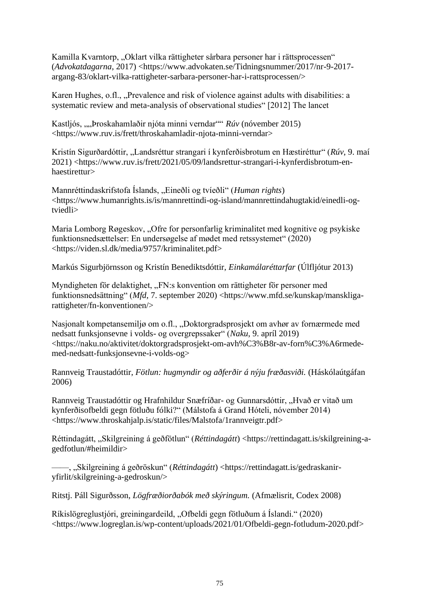Kamilla Kvarntorp, "Oklart vilka rättigheter sårbara personer har i rättsprocessen" (*Advokatdagarna*, 2017) <https://www.advokaten.se/Tidningsnummer/2017/nr-9-2017 argang-83/oklart-vilka-rattigheter-sarbara-personer-har-i-rattsprocessen/>

Karen Hughes, o.fl., "Prevalence and risk of violence against adults with disabilities: a systematic review and meta-analysis of observational studies" [2012] The lancet

Kastljós, ""Þroskahamlaðir njóta minni verndar"" *Rúv* (nóvember 2015) <https://www.ruv.is/frett/throskahamladir-njota-minni-verndar>

Kristín Sigurðardóttir, "Landsréttur strangari í kynferðisbrotum en Hæstiréttur" (*Rúv*, 9. maí 2021) <https://www.ruv.is/frett/2021/05/09/landsrettur-strangari-i-kynferdisbrotum-enhaestirettur>

Mannréttindaskrifstofa Íslands, "Eineðli og tvíeðli" (*Human rights*) <https://www.humanrights.is/is/mannrettindi-og-island/mannrettindahugtakid/einedli-ogtviedli>

Maria Lomborg Røgeskov, "Ofre for personfarlig kriminalitet med kognitive og psykiske funktionsnedsættelser: En undersøgelse af mødet med retssystemet" (2020) <https://viden.sl.dk/media/9757/kriminalitet.pdf>

Markús Sigurbjörnsson og Kristín Benediktsdóttir, *Einkamálaréttarfar* (Úlfljótur 2013)

Myndigheten för delaktighet, "FN:s konvention om rättigheter för personer med funktionsnedsättning" (*Mfd*, 7. september 2020) <https://www.mfd.se/kunskap/manskligarattigheter/fn-konventionen/>

Nasjonalt kompetansemiljø om o.fl., "Doktorgradsprosjekt om avhør av fornærmede med nedsatt funksjonsevne i volds- og overgrepssaker" (*Naku*, 9. apríl 2019) <https://naku.no/aktivitet/doktorgradsprosjekt-om-avh%C3%B8r-av-forn%C3%A6rmedemed-nedsatt-funksjonsevne-i-volds-og>

Rannveig Traustadóttir, *Fötlun: hugmyndir og aðferðir á nýju fræðasviði.* (Háskólaútgáfan 2006)

Rannveig Traustadóttir og Hrafnhildur Snæfríðar- og Gunnarsdóttir, "Hvað er vitað um kynferðisofbeldi gegn fötluðu fólki?" (Málstofa á Grand Hóteli, nóvember 2014) <https://www.throskahjalp.is/static/files/Malstofa/1rannveigtr.pdf>

Réttindagátt, "Skilgreining á geðfötlun" (*Réttindagátt*) <https://rettindagatt.is/skilgreining-agedfotlun/#heimildir>

——, "Skilgreining á geðröskun" (*Réttindagátt*) <https://rettindagatt.is/gedraskaniryfirlit/skilgreining-a-gedroskun/>

Ritstj. Páll Sigurðsson, *Lögfræðiorðabók með skýringum.* (Afmælisrit, Codex 2008)

Ríkislögreglustjóri, greiningardeild, "Ofbeldi gegn fötluðum á Íslandi." (2020) <https://www.logreglan.is/wp-content/uploads/2021/01/Ofbeldi-gegn-fotludum-2020.pdf>